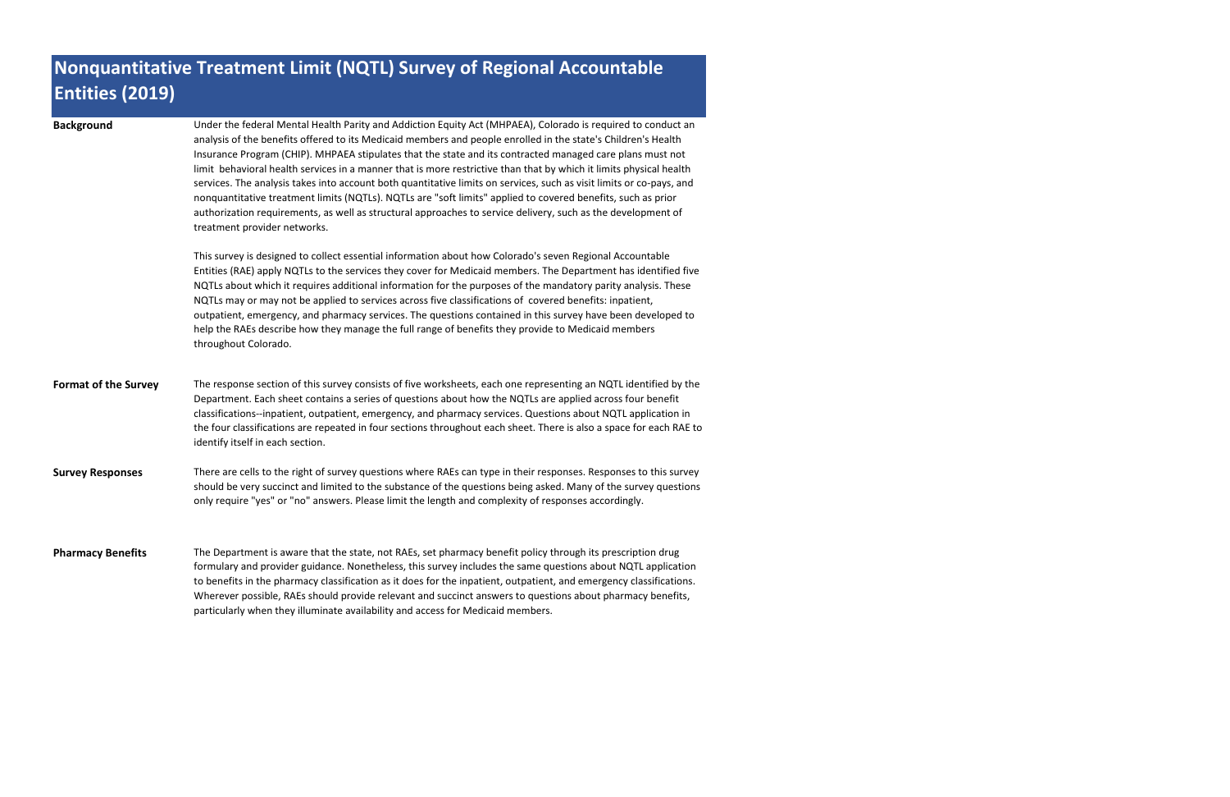| <b>Background</b>           | Under the federal Mental Health Parity and Addiction Equity Act (MHPAEA), Colorado is required to conduct an<br>analysis of the benefits offered to its Medicaid members and people enrolled in the state's Children's Health<br>Insurance Program (CHIP). MHPAEA stipulates that the state and its contracted managed care plans must not<br>limit behavioral health services in a manner that is more restrictive than that by which it limits physical health<br>services. The analysis takes into account both quantitative limits on services, such as visit limits or co-pays, and<br>nonquantitative treatment limits (NQTLs). NQTLs are "soft limits" applied to covered benefits, such as prior<br>authorization requirements, as well as structural approaches to service delivery, such as the development of<br>treatment provider networks. |
|-----------------------------|----------------------------------------------------------------------------------------------------------------------------------------------------------------------------------------------------------------------------------------------------------------------------------------------------------------------------------------------------------------------------------------------------------------------------------------------------------------------------------------------------------------------------------------------------------------------------------------------------------------------------------------------------------------------------------------------------------------------------------------------------------------------------------------------------------------------------------------------------------|
|                             | This survey is designed to collect essential information about how Colorado's seven Regional Accountable<br>Entities (RAE) apply NQTLs to the services they cover for Medicaid members. The Department has identified five<br>NQTLs about which it requires additional information for the purposes of the mandatory parity analysis. These<br>NQTLs may or may not be applied to services across five classifications of covered benefits: inpatient,<br>outpatient, emergency, and pharmacy services. The questions contained in this survey have been developed to<br>help the RAEs describe how they manage the full range of benefits they provide to Medicaid members<br>throughout Colorado.                                                                                                                                                      |
| <b>Format of the Survey</b> | The response section of this survey consists of five worksheets, each one representing an NQTL identified by the<br>Department. Each sheet contains a series of questions about how the NQTLs are applied across four benefit<br>classifications--inpatient, outpatient, emergency, and pharmacy services. Questions about NQTL application in<br>the four classifications are repeated in four sections throughout each sheet. There is also a space for each RAE to<br>identify itself in each section.                                                                                                                                                                                                                                                                                                                                                |
| <b>Survey Responses</b>     | There are cells to the right of survey questions where RAEs can type in their responses. Responses to this survey<br>should be very succinct and limited to the substance of the questions being asked. Many of the survey questions<br>only require "yes" or "no" answers. Please limit the length and complexity of responses accordingly.                                                                                                                                                                                                                                                                                                                                                                                                                                                                                                             |
| <b>Pharmacy Benefits</b>    | The Department is aware that the state, not RAEs, set pharmacy benefit policy through its prescription drug<br>formulary and provider guidance. Nonetheless, this survey includes the same questions about NQTL application<br>to benefits in the pharmacy classification as it does for the inpatient, outpatient, and emergency classifications.<br>Wherever possible, RAEs should provide relevant and succinct answers to questions about pharmacy benefits,<br>particularly when they illuminate availability and access for Medicaid members.                                                                                                                                                                                                                                                                                                      |

## **Nonquantitative Treatment Limit (NQTL) Survey of Regional Accountable Entities (2019)**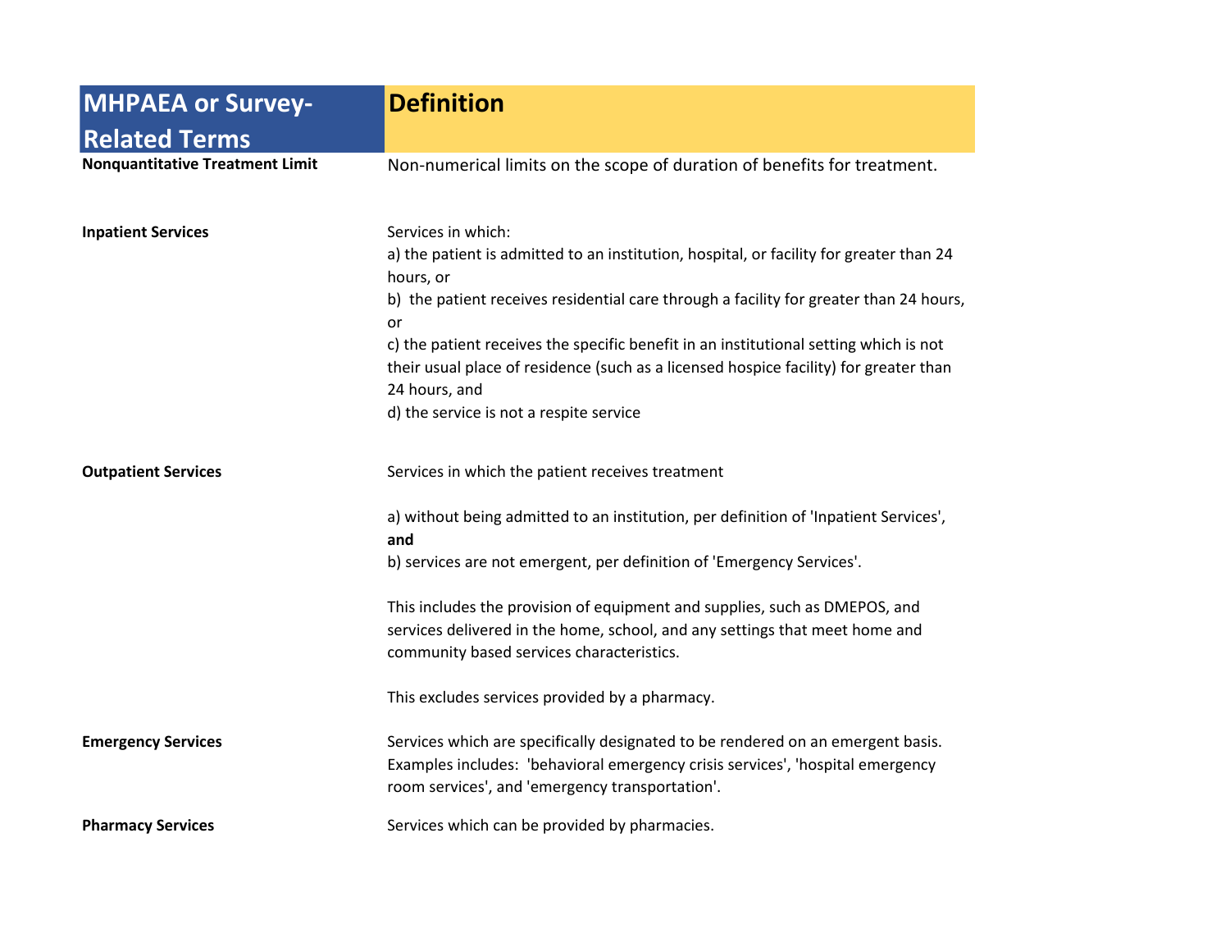| <b>MHPAEA or Survey-</b>               | <b>Definition</b>                                                                                                                                                                                                                                                                                                                                                                                                                                                                    |
|----------------------------------------|--------------------------------------------------------------------------------------------------------------------------------------------------------------------------------------------------------------------------------------------------------------------------------------------------------------------------------------------------------------------------------------------------------------------------------------------------------------------------------------|
| <b>Related Terms</b>                   |                                                                                                                                                                                                                                                                                                                                                                                                                                                                                      |
| <b>Nonquantitative Treatment Limit</b> | Non-numerical limits on the scope of duration of benefits for treatment.                                                                                                                                                                                                                                                                                                                                                                                                             |
| <b>Inpatient Services</b>              | Services in which:<br>a) the patient is admitted to an institution, hospital, or facility for greater than 24<br>hours, or<br>b) the patient receives residential care through a facility for greater than 24 hours,<br>or<br>c) the patient receives the specific benefit in an institutional setting which is not<br>their usual place of residence (such as a licensed hospice facility) for greater than<br>24 hours, and<br>d) the service is not a respite service             |
| <b>Outpatient Services</b>             | Services in which the patient receives treatment<br>a) without being admitted to an institution, per definition of 'Inpatient Services',<br>and<br>b) services are not emergent, per definition of 'Emergency Services'.<br>This includes the provision of equipment and supplies, such as DMEPOS, and<br>services delivered in the home, school, and any settings that meet home and<br>community based services characteristics.<br>This excludes services provided by a pharmacy. |
| <b>Emergency Services</b>              | Services which are specifically designated to be rendered on an emergent basis.<br>Examples includes: 'behavioral emergency crisis services', 'hospital emergency<br>room services', and 'emergency transportation'.                                                                                                                                                                                                                                                                 |
| <b>Pharmacy Services</b>               | Services which can be provided by pharmacies.                                                                                                                                                                                                                                                                                                                                                                                                                                        |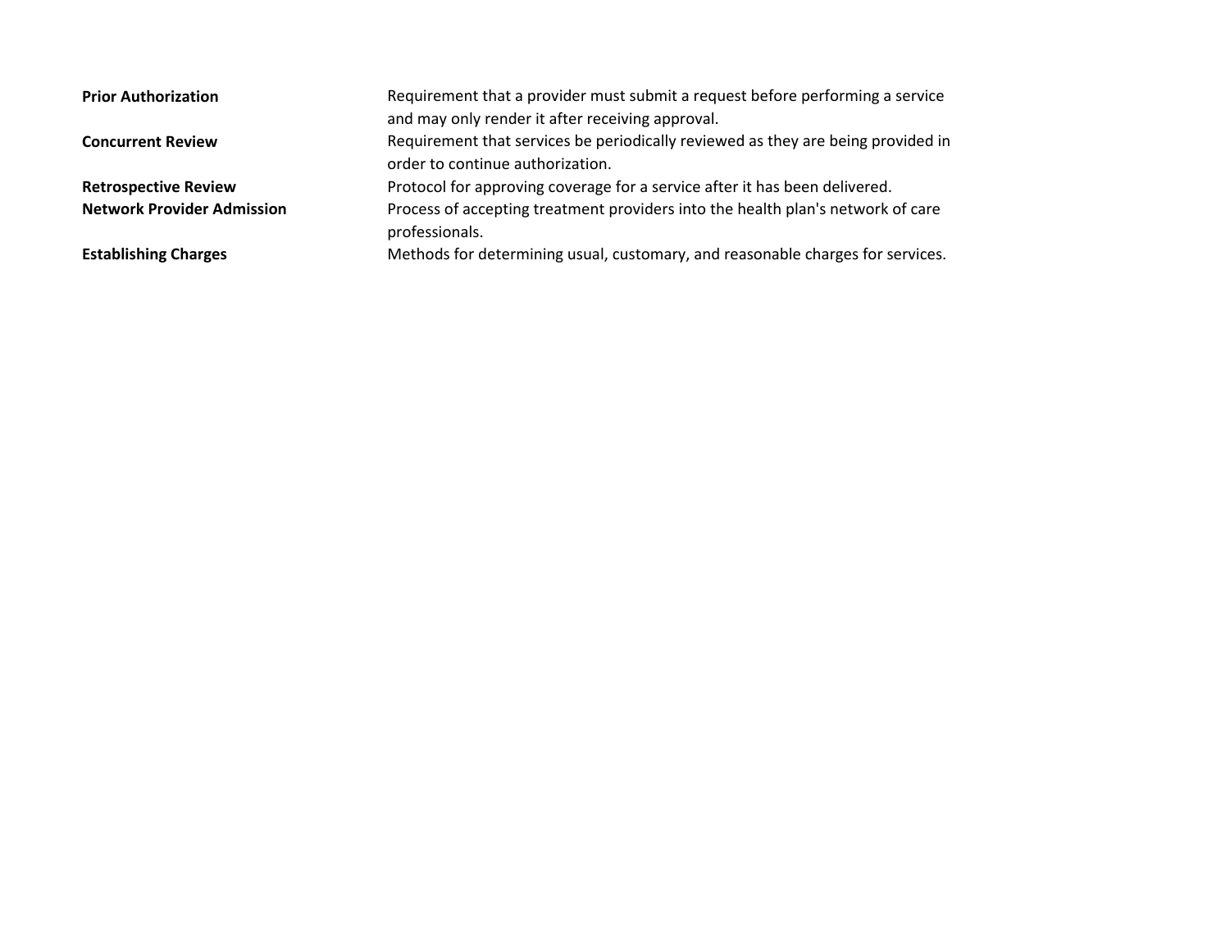| <b>Prior Authorization</b>        | Requirement that a provider must submit a request before performing a service<br>and may only render it after receiving approval. |
|-----------------------------------|-----------------------------------------------------------------------------------------------------------------------------------|
| <b>Concurrent Review</b>          | Requirement that services be periodically reviewed as they are being provided in<br>order to continue authorization.              |
| <b>Retrospective Review</b>       | Protocol for approving coverage for a service after it has been delivered.                                                        |
| <b>Network Provider Admission</b> | Process of accepting treatment providers into the health plan's network of care<br>professionals.                                 |
| <b>Establishing Charges</b>       | Methods for determining usual, customary, and reasonable charges for services.                                                    |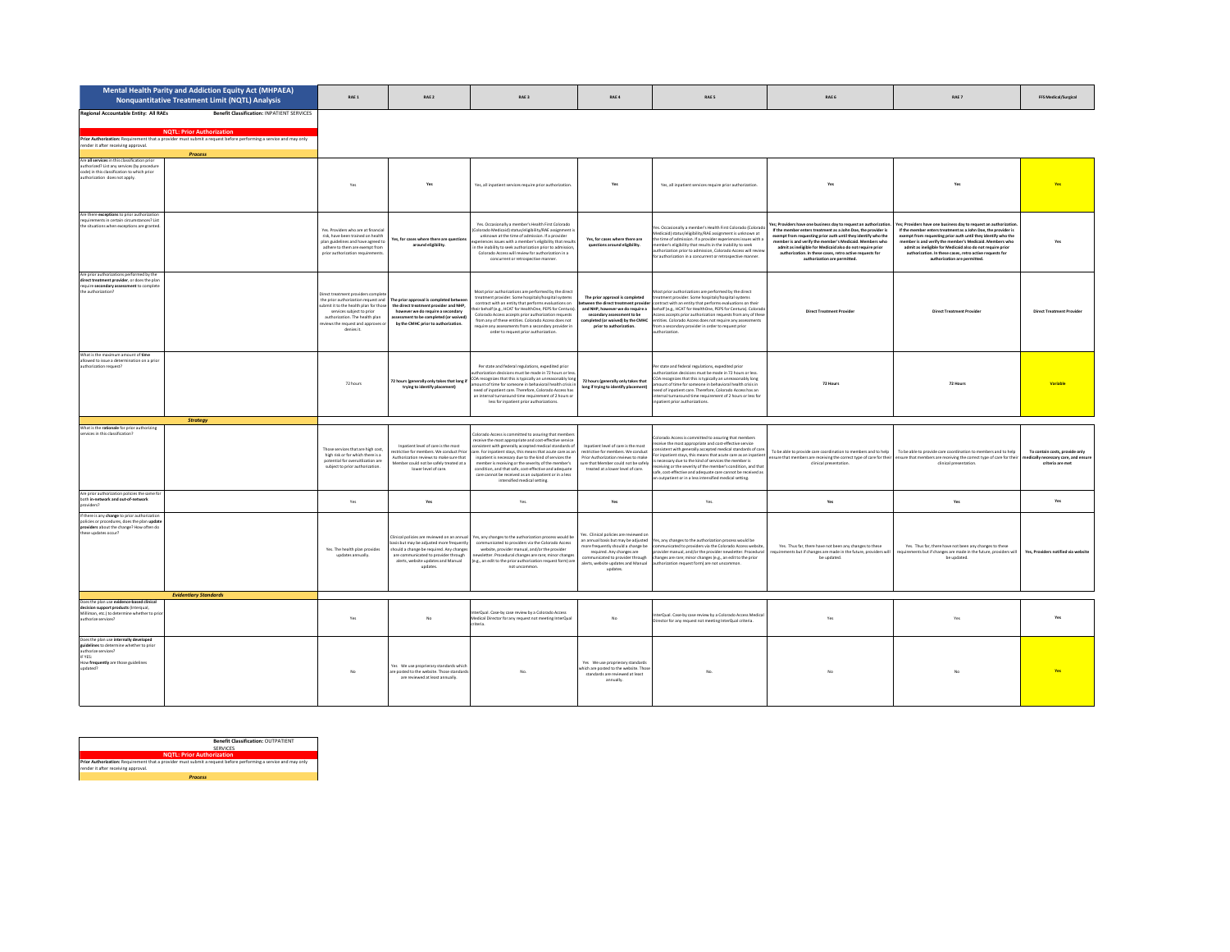|                                                                                                                                                                              | Mental Health Parity and Addiction Equity Act (MHPAEA)<br><b>Nonquantitative Treatment Limit (NQTL) Analysis</b>                                                                                                    | RAE 1                                                                                                                                                                                     | RAE 2                                                                                                                                                                                                                                     | RAE 3                                                                                                                                                                                                                                                                                                                                                                                                                                                                                                      | RAE 4                                                                                                                                                                                                                                | RAE 5                                                                                                                                                                                                                                                                                                                                                                                                                                                                                            | RAE 6                                                                                                                                                                                                                                                                                                                                                                                                                   | RAE 7                                                                                                                                                                                                                                                                                                                                                                                                                 | <b>FFS Medical/Surgical</b>                                                                |
|------------------------------------------------------------------------------------------------------------------------------------------------------------------------------|---------------------------------------------------------------------------------------------------------------------------------------------------------------------------------------------------------------------|-------------------------------------------------------------------------------------------------------------------------------------------------------------------------------------------|-------------------------------------------------------------------------------------------------------------------------------------------------------------------------------------------------------------------------------------------|------------------------------------------------------------------------------------------------------------------------------------------------------------------------------------------------------------------------------------------------------------------------------------------------------------------------------------------------------------------------------------------------------------------------------------------------------------------------------------------------------------|--------------------------------------------------------------------------------------------------------------------------------------------------------------------------------------------------------------------------------------|--------------------------------------------------------------------------------------------------------------------------------------------------------------------------------------------------------------------------------------------------------------------------------------------------------------------------------------------------------------------------------------------------------------------------------------------------------------------------------------------------|-------------------------------------------------------------------------------------------------------------------------------------------------------------------------------------------------------------------------------------------------------------------------------------------------------------------------------------------------------------------------------------------------------------------------|-----------------------------------------------------------------------------------------------------------------------------------------------------------------------------------------------------------------------------------------------------------------------------------------------------------------------------------------------------------------------------------------------------------------------|--------------------------------------------------------------------------------------------|
| Regional Accountable Entity: All RAEs<br>render it after receiving approval.                                                                                                 | Benefit Classification: INPATIENT SERVICES<br><b>NQTL: Prior Authorization</b><br>Prior Authorization: Requirement that a provider must submit a request before performing a service and may only<br><b>Process</b> |                                                                                                                                                                                           |                                                                                                                                                                                                                                           |                                                                                                                                                                                                                                                                                                                                                                                                                                                                                                            |                                                                                                                                                                                                                                      |                                                                                                                                                                                                                                                                                                                                                                                                                                                                                                  |                                                                                                                                                                                                                                                                                                                                                                                                                         |                                                                                                                                                                                                                                                                                                                                                                                                                       |                                                                                            |
| Are all services in this classification prior<br>authorized? List any services (by procedure<br>code) in this classification to which prior<br>authorization does not apply. |                                                                                                                                                                                                                     | Yes                                                                                                                                                                                       |                                                                                                                                                                                                                                           | Yes, all inpatient services require prior authorization                                                                                                                                                                                                                                                                                                                                                                                                                                                    |                                                                                                                                                                                                                                      | Yes, all inpatient services require prior authorization.                                                                                                                                                                                                                                                                                                                                                                                                                                         | Yes                                                                                                                                                                                                                                                                                                                                                                                                                     |                                                                                                                                                                                                                                                                                                                                                                                                                       |                                                                                            |
| Are there exceptions to prior authorization<br>requirements in certain circumstances? List<br>the situations when exceptions are granted.                                    |                                                                                                                                                                                                                     | Yes. Providers who are at financial<br>risk, have been trained on health<br>plan guidelines and have agreed to<br>adhere to them are exempt from<br>prior authorization requirements      | fes, for cases where there are questio<br>around eligibility.                                                                                                                                                                             | Yes, Occasionally a member's Health First Colorado<br>(Colorado Medicaid) status/eligibility/RAE assignment is<br>unknown at the time of admission. If a provider<br>eriences issues with a member's eligibility that result<br>in the inability to seek authorization prior to admission<br>Colorado Access will review for authorization in a<br>concurrent or retrospective manner.                                                                                                                     | Yes, for cases where there are<br>questions around eligibility.                                                                                                                                                                      | Yes. Occasionally a member's Health First Colorado (Colorad<br>Medicaid) status/eligibility/RAE assignment is unknown at<br>the time of admission. If a provider experiences issues with a<br>member's eligibility that results in the inability to seek<br>uthorization prior to admission, Colorado Access will revier<br>for authorization in a concurrent or retrospective manner.                                                                                                           | Yes: Providers have one business day to request an authorization.<br>If the member enters treatment as a John Doe, the provider is<br>exempt from requesting prior auth until they identify who the<br>member is and verify the member's Medicaid. Members wh<br>admit as ineligible for Medicaid also do not require prior<br>authorization. In these cases, retro active requests for<br>authorization are permitted. | es: Providers have one business day to request an authorizatio<br>If the member enters treatment as a John Doe, the provider is<br>exempt from requesting prior auth until they identify who the<br>member is and verify the member's Medicaid. Members who<br>admit as ineligible for Medicaid also do not require prior<br>authorization. In these cases, retro active requests for<br>authorization are permitted. | Voc                                                                                        |
| Are prior authorizations performed by the<br>direct treatment provider, or does the plan<br>require secondary assessment to complete<br>the authorization?                   |                                                                                                                                                                                                                     | Direct treatment providers compli<br>ubmit it to the health plan for those<br>services subject to prior<br>authorization. The health plan<br>views the request and approves<br>denies it. | the prior authorization request and The prior approval is completed betwee<br>the direct treatment provider and NHP,<br>however we do require a secondary<br>ssessment to be completed (or waived)<br>by the CMHC prior to authorization. | Most prior authorizations are performed by the direct<br>treatment provider. Some hospitals/hospital systems<br>contract with an entity that performs evaluations on<br>ir behalf (e.g., HCAT for HealthOne, PEPS for Centura)<br>Colorado Access accepts prior authorization requests<br>from any of these entities. Colorado Access does not<br>require any assessments from a secondary provider in<br>order to request prior authorization.                                                            | The prior approval is completed<br>tween the direct treatment provider<br>and NHP, however we do require a<br>secondary assessment to be<br>completed for waived) by the CMHC<br>prior to authorization.                             | Most prior authorizations are performed by the direct<br>reatment provider. Some hospitals/hospital systems<br>contract with an entity that performs evaluations on their<br>behalf (e.g., HCAT for HealthOne, PEPS for Centura). Colorad<br>Access accepts prior authorization requests from any of these<br>entities. Colorado Access does not require any assessments<br>from a secondary provider in order to request orion<br>thorization                                                   | <b>Direct Treatment Provider</b>                                                                                                                                                                                                                                                                                                                                                                                        | <b>Direct Treatment Provider</b>                                                                                                                                                                                                                                                                                                                                                                                      | <b>Direct Treatment Provide</b>                                                            |
| What is the maximum amount of time<br>allowed to issue a determination on a prior<br>authorization request?                                                                  |                                                                                                                                                                                                                     | 72 hours                                                                                                                                                                                  | 22 hours (generally only takes that long if<br>trying to identify placement)                                                                                                                                                              | Per state and federal regulations, expedited prior<br>thorization decisions must be made in 72 hours or les<br>COA recognizes that this is typically an unreasonably lon<br>nount of time for someone in behavioral health crisis<br>need of inpatient care. Therefore, Colorado Access has<br>an internal turnaround time requirement of 7 hours or<br>less for inpatient prior authorizations.                                                                                                           | 72 hours (generally only takes that<br>long if trying to identify placement)                                                                                                                                                         | Per state and federal regulations, expedited prior<br>uthorization decisions must be made in 72 hours or less.<br>COA recognizes that this is typically an unreasonably long<br>amount of time for someone in behavioral health crisis in<br>need of inpatient care. Therefore, Colorado Access has an<br>internal turnaround time requirement of 2 hours or less for<br>inpatient prior authorizations.                                                                                         | 72 Hours                                                                                                                                                                                                                                                                                                                                                                                                                | 72 Hours                                                                                                                                                                                                                                                                                                                                                                                                              | Variable                                                                                   |
|                                                                                                                                                                              | <b>Strategy</b>                                                                                                                                                                                                     |                                                                                                                                                                                           |                                                                                                                                                                                                                                           |                                                                                                                                                                                                                                                                                                                                                                                                                                                                                                            |                                                                                                                                                                                                                                      |                                                                                                                                                                                                                                                                                                                                                                                                                                                                                                  |                                                                                                                                                                                                                                                                                                                                                                                                                         |                                                                                                                                                                                                                                                                                                                                                                                                                       |                                                                                            |
| What is the rationale for prior authorizing<br>services in this classification?                                                                                              |                                                                                                                                                                                                                     | Those services that are high cost,<br>high risk or for which there is a<br>notential for overvitlization are<br>subject to prior authorization.                                           | Innationt level of care is the most<br>strictive for members. We conduct Prior<br>luthorization reviews to make sure that<br>fember could not be safely treated at a<br>lower level of care                                               | Colorado Access is committed to assuring that member<br>receive the most appropriate and cost-effective service<br>onsistent with generally accepted medical standards of<br>care. For inpatient stays, this means that acute care as a<br>inpatient is necessary due to the kind of services the<br>member is receiving or the severity of the member's<br>condition, and that safe, cost-effective and adequate<br>care cannot be received as an outpatient or in a less<br>intensified medical setting. | Innationt level of care is the most<br>restrictive for members. We conduct<br>Prior Authorization reviews to make<br>ure that Member could not be safely<br>treated at a lower level of care.                                        | lorado Access is committed to assuring that members<br>receive the most appropriate and cost-effective service<br>istent with generally accepted medical standards of care<br>For inpatient stays, this means that acute care as an inpatient<br>cnecessary due to the kind of services the member is<br>receiving or the severity of the member's condition, and that<br>safe, cost-effective and adequate care cannot be received as<br>n outpatient or in a less intensified medical setting. | To be able to provide care coordination to members and to help To be able to provide care coordination to members and to help<br>clinical presentation                                                                                                                                                                                                                                                                  | nsure that members are receiving the correct type of care for their ensure that members are receiving the correct type of care for their<br>clinical presentation.                                                                                                                                                                                                                                                    | To contain costs, provide only<br>nedically necessary care, and ensure<br>criteria are met |
| Are prior authorization policies the same fo<br>both in-network and out-of-network<br>netwiders?                                                                             |                                                                                                                                                                                                                     | Yes                                                                                                                                                                                       | Yes                                                                                                                                                                                                                                       | Yes.                                                                                                                                                                                                                                                                                                                                                                                                                                                                                                       | Yes                                                                                                                                                                                                                                  | Yes.                                                                                                                                                                                                                                                                                                                                                                                                                                                                                             | Yes                                                                                                                                                                                                                                                                                                                                                                                                                     | Yes                                                                                                                                                                                                                                                                                                                                                                                                                   | Yes                                                                                        |
| If there is any change to prior authorization<br>policies or procedures, does the plan update<br>providers about the change? How often do<br>these updates occur?            | <b>Evidentiary Standards</b>                                                                                                                                                                                        | Yes. The health plan provides<br>updates annually.                                                                                                                                        | linical policies are reviewed on an annual<br>asis but may be adjusted more frequently<br>hould a change be required. Any changes<br>are communicated to provider through<br>alerts, website updates and Manual<br>updates.               | Yes, any changes to the authorization process would be<br>communicated to providers via the Colorado Access<br>website, provider manual, and/or the provider<br>wsletter. Procedural changes are rare; minor change<br>e.g., an edit to the prior authorization request form) ar<br>not uncommon.                                                                                                                                                                                                          | res. Clinical policies are reviewed or<br>an annual basis but may be adjusted<br>more frequently should a change be<br>required. Any changes are<br>mmunicated to provider through<br>alerts, website updates and Manual<br>updates. | Yes, any changes to the authorization process would be<br>communicated to providers via the Colorado Access website<br>provider manual, and/or the provider newsletter. Procedural<br>changes are rare: minor changes (e.g., an edit to the prior<br>authorization request form) are not un                                                                                                                                                                                                      | Yes. Thus far, there have not been any changes to these<br>quirements but if changes are made in the future, providers will<br>be updated.                                                                                                                                                                                                                                                                              | Yes. Thus far, there have not been any changes to these<br>equirements but if changes are made in the future, providers will<br>be updated.                                                                                                                                                                                                                                                                           | Yes, Providers notified via website                                                        |
| Does the plan use evidence-based clinical                                                                                                                                    |                                                                                                                                                                                                                     |                                                                                                                                                                                           |                                                                                                                                                                                                                                           |                                                                                                                                                                                                                                                                                                                                                                                                                                                                                                            |                                                                                                                                                                                                                                      |                                                                                                                                                                                                                                                                                                                                                                                                                                                                                                  |                                                                                                                                                                                                                                                                                                                                                                                                                         |                                                                                                                                                                                                                                                                                                                                                                                                                       |                                                                                            |
| decision support products (interqual.<br>Milliman, etc.) to determine whether to pric<br>authorize services?                                                                 |                                                                                                                                                                                                                     | Yes                                                                                                                                                                                       |                                                                                                                                                                                                                                           | terQual. Case-by case review by a Colorado Access<br>fedical Director for any request not meeting InterQual                                                                                                                                                                                                                                                                                                                                                                                                | No                                                                                                                                                                                                                                   | terQual, Case-by case review by a Colorado Access Medica<br>Director for any request not meeting InterQual criteria.                                                                                                                                                                                                                                                                                                                                                                             | Yes                                                                                                                                                                                                                                                                                                                                                                                                                     | Yes                                                                                                                                                                                                                                                                                                                                                                                                                   |                                                                                            |
| Does the plan use internally developed<br>guidelines to determine whether to prior<br>authorize services?<br>IF YES:<br>How frequently are those guidelines<br>updated?      |                                                                                                                                                                                                                     | $\overline{M}$                                                                                                                                                                            | les We use proprierary standards which<br>re posted to the website. Those standards<br>are reviewed at least annually.                                                                                                                    | No                                                                                                                                                                                                                                                                                                                                                                                                                                                                                                         | Yes We use proprierary standards<br>which are posted to the website. Those<br>standards are reviewed at least<br>annually.                                                                                                           | No.                                                                                                                                                                                                                                                                                                                                                                                                                                                                                              | No                                                                                                                                                                                                                                                                                                                                                                                                                      | No                                                                                                                                                                                                                                                                                                                                                                                                                    |                                                                                            |

|                                     | <b>Benefit Classification: OUTPATIENT</b>                                                                       |  |  |  |  |  |  |
|-------------------------------------|-----------------------------------------------------------------------------------------------------------------|--|--|--|--|--|--|
|                                     | <b>SERVICES</b>                                                                                                 |  |  |  |  |  |  |
| <b>NOTL: Prior Authorization</b>    |                                                                                                                 |  |  |  |  |  |  |
| render it after receiving approval. | Prior Authorization: Requirement that a provider must submit a request before performing a service and may only |  |  |  |  |  |  |
|                                     | <b>Process</b>                                                                                                  |  |  |  |  |  |  |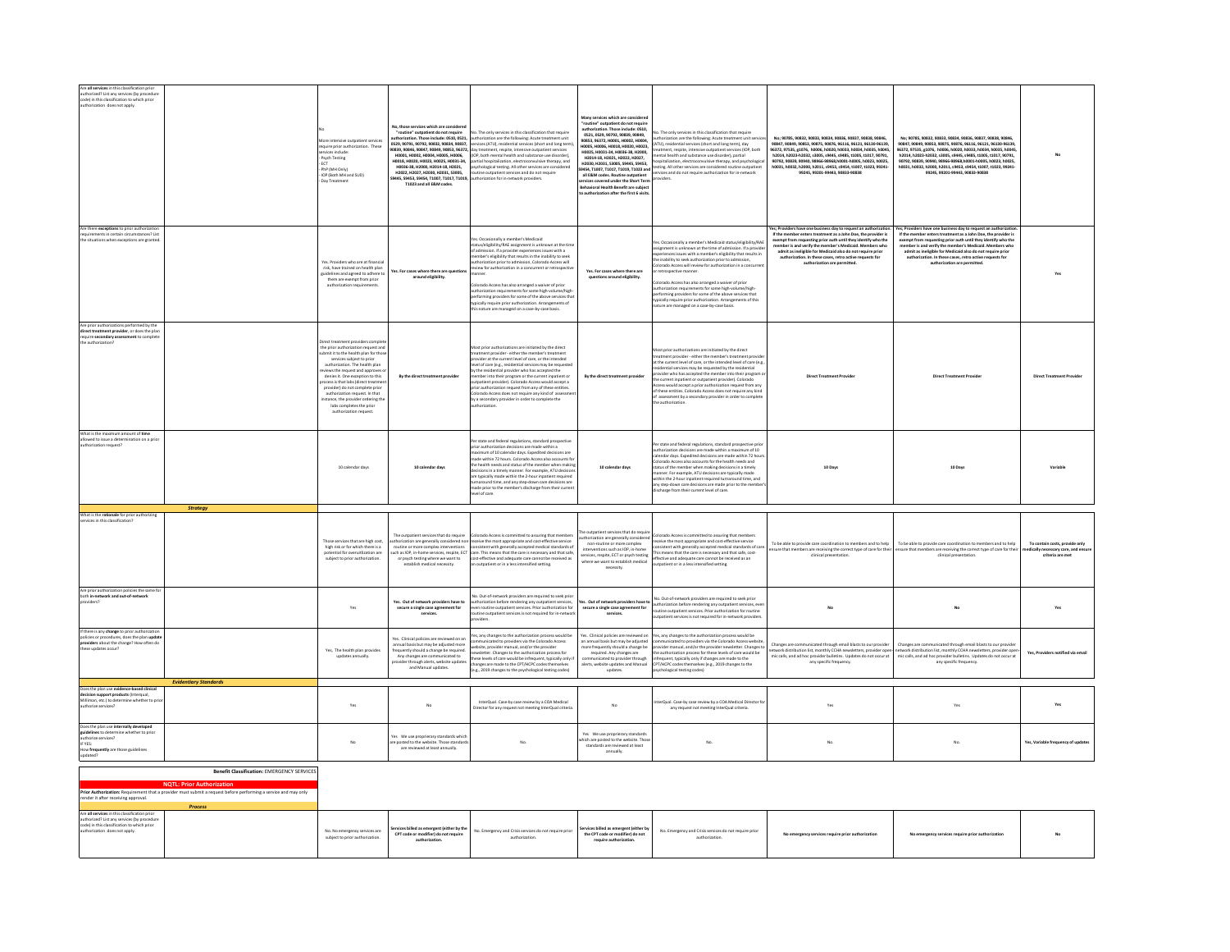| Are all services in this classification prior                                                                                                                           |                                                                                                                                                     |                                                                                                                                                                                                                                                                                                                                                                                                                                                          |                                                                                                                                                                                                                                                                |                                                                                                                                                                                                                                                                                                                                                                                                                                                                                                                                                                                                                                                                                                                          |                                                                                                                                                                                                                                                                                                                                                                                                                                                                                                                                                                 |                                                                                                                                                                                                                                                                                                                                                                                                                                                                                                                                                                                                                                  |                                                                                                                                                                                                                                                                                                                                                                                                                         |                                                                                                                                                                                                                                                                                                                                                                                                                       |                                                                                         |
|-------------------------------------------------------------------------------------------------------------------------------------------------------------------------|-----------------------------------------------------------------------------------------------------------------------------------------------------|----------------------------------------------------------------------------------------------------------------------------------------------------------------------------------------------------------------------------------------------------------------------------------------------------------------------------------------------------------------------------------------------------------------------------------------------------------|----------------------------------------------------------------------------------------------------------------------------------------------------------------------------------------------------------------------------------------------------------------|--------------------------------------------------------------------------------------------------------------------------------------------------------------------------------------------------------------------------------------------------------------------------------------------------------------------------------------------------------------------------------------------------------------------------------------------------------------------------------------------------------------------------------------------------------------------------------------------------------------------------------------------------------------------------------------------------------------------------|-----------------------------------------------------------------------------------------------------------------------------------------------------------------------------------------------------------------------------------------------------------------------------------------------------------------------------------------------------------------------------------------------------------------------------------------------------------------------------------------------------------------------------------------------------------------|----------------------------------------------------------------------------------------------------------------------------------------------------------------------------------------------------------------------------------------------------------------------------------------------------------------------------------------------------------------------------------------------------------------------------------------------------------------------------------------------------------------------------------------------------------------------------------------------------------------------------------|-------------------------------------------------------------------------------------------------------------------------------------------------------------------------------------------------------------------------------------------------------------------------------------------------------------------------------------------------------------------------------------------------------------------------|-----------------------------------------------------------------------------------------------------------------------------------------------------------------------------------------------------------------------------------------------------------------------------------------------------------------------------------------------------------------------------------------------------------------------|-----------------------------------------------------------------------------------------|
| authorized? List any services (by procedure<br>code) in this classification to which prior<br>authorization does not apply.                                             |                                                                                                                                                     | fore intensive outpatient services<br>require prior authorization. These<br>invices include:<br>Psych Testing<br>ECT<br>PhP (MH Only)<br>IOP (Both MH and SUD)<br>Day Treatment                                                                                                                                                                                                                                                                          | lo, those services which are considere<br>"routine" outpatient do not require<br>n. Those include: 0510, 0521<br>H0036-38, H2000, H2014-18, H2021.<br>H2022, H2027, H2030, H2031, S3005<br>445, S9453, S9454, T1007, T1017, T1019,<br>T1023 and all E&M codes. | No. The only services in this classification that require<br>authorization are the following: Acute treatment unit<br>0529, 90791, 90792, 90832, 90834, 90837, services (ATU), residential services (short and long term<br>anger metacation subsequented ations for the Frequency PESDE TBSDP PESDE TBSDP PFSDE<br>ussay, suoses, suose <i>n, suoses, suoses, suoses, l</i> uonna metamin, respuer, muemane uusputenna senveus.<br>1 <b>H0001, H0002, H0004, H0005, H0006,</b> (IDP, both mental health and substance use disorder),<br>H <b>0018, H0020, H002</b><br>psychological testing. All other services are considered<br>tine outpatient services and do not require<br>uthorization for in-network providers. | .<br>Many services which are considered<br>"routine" outpatient do not require<br>authorization. Those include: 0510.<br>0521 0529 90792 90839 90849<br>90853, 96372, H0001, H0002, H0004,<br>H0005, H0006, H0018, H0020, H0004,<br>H0025. H0031-34. H0036-38. H2000.<br>H2014-18, H2021, H2022, H2027,<br>H2030, H2031, S3005, S9445, S9453,<br>9454 T1007 T1017 T1019 T1023 and<br>all E&M codes. Routine outpatient<br>ervices covered under the Short Tern<br><b>Rehavioral Health Renefit are subject</b><br><b>pauthorization after the first 6 visit</b> | p. The only services in this classification that require<br>thorization are the following: Acute treatment unit servic<br>(ATU), residential services (short and long term), day<br>reatment, resolte, intensive outpatient services (IOP, both<br>ental health and substance use disorder), partial<br>spitalization, electroconvulsive therapy, and psychologic<br>esting. All other services are considered routine outpatient<br>ervices and do not require authorization for in-network<br>oviders.                                                                                                                         | No; 90785, 90832, 90833, 90834, 90836, 90837, 90838, 90846,<br>90847, 90849, 90853, 90875, 90876, 96116, 96121, 96130-96139,<br>96372 97535 #1076 h0006 h0020 h0033 h0034 h0035 h0045<br>h2014 h2023.h2032 <3005 <9445 <9485 t1005 t1017 90291<br>90792, 90839, 90940, 98966-98968, h0001-h0005, h0023, h0025,<br>h0031.h0032.h2000.h2011.s9453.s9454.t1007.t1023.99241-<br>99245, 99201-99443, 90833-90838             | No; 90785, 90832, 90833, 90834, 90836, 90837, 90838, 90846<br>90847, 90849, 90853, 90875, 90876, 96116, 96121, 96130-96139,<br>2004/2014 AFON4 SFON4 ACOO4 2006/1-023 ECRA<br>h2014. h2023-h2032. s3005. s9445. s9485. t1005. t1017. 90791<br>80792, 90839, 90940, 98966-98968,h0001-h0005, h0023, h0025,<br>h0031. h0032. h2000. h2011. s9453. s9454. t1007. t1023. 99241-<br>99245, 99201-99443, 90833-90838        |                                                                                         |
| Are there exceptions to prior authorization<br>requirements in certain circumstances? Lis<br>the situations when exceptions are granted                                 |                                                                                                                                                     | Yes. Providers who are at financia<br>risk, have trained on health plan<br>delines and agreed to adhere t<br>them are exempt from prior<br>authorization requirements.                                                                                                                                                                                                                                                                                   | es. For cases where there are questi<br>around eligibility.                                                                                                                                                                                                    | s. Occasionally a member's Medicaid<br>tatus/eligibility/RAE assignment is unknown at the time<br>of admission. If a provider experiences issues with a<br>mber's eligibility that results in the inability to seek<br>horization prior to admission, Colorado Access will<br>eview for authorization in a concurrent or retrospective<br>.<br>Colorado Access has also arranged a waiver of prior<br>authorization requirements for some high-volume/high<br>eforming providers for some of the above services that<br>typically require prior authorization. Arrangements of<br>s nature are managed on a case-by-case basis.                                                                                          | Yes. For cases where there are<br>questions around eligibility.                                                                                                                                                                                                                                                                                                                                                                                                                                                                                                 | es. Occasionally a member's Medicaid status/eligibility/RA<br>ssignment is unknown at the time of admission. If a provide<br>riences issues with a member's eligibility that results in<br>e inability to seek authorization prior to admission,<br>Colorado Access will review for authorization in a concurrer<br>retrospective manner<br>olorado Access has also arranged a waiver of prior<br>authorization requirements for some high-volume/high-<br>performing providers for some of the above services that<br>typically require prior authorization. Arrangements of this<br>sture are managed on a case-by-case basis. | Yes: Providers have one business day to request an authorization<br>If the member enters treatment as a John Doe, the provider is<br>exempt from requesting prior auth until they identify who the<br>member is and verify the member's Medicaid. Members who<br>admit as ineligible for Medicaid also do not require prior<br>authorization. In these cases, retro active requests for<br>authorization are permitted. | Yes: Providers have one business day to request an authorizatio<br>If the member enters treatment as a John Doe, the provider is<br>exempt from requesting prior auth until they identify who the<br>member is and verify the member's Medicaid. Members who<br>admit as ineligible for Medicaid also do not require prior<br>authorization. In these cases, retro active requests for<br>authorization are permitted |                                                                                         |
| Are prior authorizations performed by the<br>direct treatment provider, or does the pla<br>require secondary assessment to complet<br>the authorization?                |                                                                                                                                                     | Direct treatment providers comple<br>the nrior authorization request and<br>mit it to the health plan for thos<br>services subject to prior<br>authorization. The health plan<br>iews the request and approves o<br>denies it. One exception to this<br>cess is that labs (direct treatme<br>provider) do not complete prior<br>authorization request. In that<br>stance, the provider ordering th<br>labs completes the prior<br>authorization request. | By the direct treatment provider                                                                                                                                                                                                                               | fost neigrauthorizations are initiated by the direct<br>reatment provider - either the member's treatment<br>provider at the current level of care, or the intended<br>evel of care (e.g., residential services may be requested<br>by the residential provider who has accepted the<br>nember into their program or the current inpatient or<br>stpatient provider). Colorado Access would accept a<br>prior authorization request from any of these entities.<br>Colorado Access does not require any kind of assessm<br>by a secondary provider in order to complete the<br>thorization.                                                                                                                              | By the direct treatment provider                                                                                                                                                                                                                                                                                                                                                                                                                                                                                                                                | fost prior authorizations are initiated by the direct<br>reatment provider - either the member's treatment prov<br>at the current level of care, or the intended level of care (e.g.<br>ential services may be requested by the residential<br>rovider who has accepted the member into their program o<br>he current inpatient or outpatient provider). Colorado<br>Access would accept a prior authorization request from any<br>of these entities. Colorado Access does not require any kind<br>of assessment by a secondary provider in order to complete<br>e authorization                                                 | <b>Direct Treatment Provider</b>                                                                                                                                                                                                                                                                                                                                                                                        | <b>Direct Treatment Provider</b>                                                                                                                                                                                                                                                                                                                                                                                      | <b>Direct Treatment Provide</b>                                                         |
| What is the maximum amount of time<br>allowed to issue a determination on a pri<br>authorization request?                                                               |                                                                                                                                                     | 10 calendar days                                                                                                                                                                                                                                                                                                                                                                                                                                         | 10 calendar days                                                                                                                                                                                                                                               | .<br>Per state and federal regulations, standard prospective<br>prior authorization decisions are made within a<br>maximum of 10 calendar days. Expedited decisions are<br>nade within 72 hours Colorado Access also accounts for<br>he health needs and status of the member when making<br>decisions in a timely manner. For example, ATU decision<br>re typically made within the 2-hour inpatient required<br>naround time, and any step-down care decisions are<br>made prior to the member's discharge from their curren<br>level of care.                                                                                                                                                                         | 10 calendar days                                                                                                                                                                                                                                                                                                                                                                                                                                                                                                                                                | er state and federal regulations, standard prospective pri<br>thorization decisions are made within a maximum of 10<br>calendar days. Expedited decisions are made within 72 hour.<br>lorado Access also accounts for the health needs and<br>tatus of the member when making decisions in a timely<br>anner. For example, ATU decisions are typically made<br>thin the 2-hour inpatient required turnaround time, and<br>any step-down care decisions are made prior to the membe<br>ischarge from their current level of care                                                                                                  | 10 Days                                                                                                                                                                                                                                                                                                                                                                                                                 | 10 Days                                                                                                                                                                                                                                                                                                                                                                                                               |                                                                                         |
|                                                                                                                                                                         | <b>Strategy</b>                                                                                                                                     |                                                                                                                                                                                                                                                                                                                                                                                                                                                          |                                                                                                                                                                                                                                                                |                                                                                                                                                                                                                                                                                                                                                                                                                                                                                                                                                                                                                                                                                                                          |                                                                                                                                                                                                                                                                                                                                                                                                                                                                                                                                                                 |                                                                                                                                                                                                                                                                                                                                                                                                                                                                                                                                                                                                                                  |                                                                                                                                                                                                                                                                                                                                                                                                                         |                                                                                                                                                                                                                                                                                                                                                                                                                       |                                                                                         |
| What is the rationale for prior authorizing<br>rvices in this classification                                                                                            |                                                                                                                                                     | Those services that are high cost<br>high risk or for which there is a<br>notential for overvitlization are<br>subject to prior authorization                                                                                                                                                                                                                                                                                                            | The outpatient services that do require<br>zation are generally considered non<br>routine or more complex interventions<br>or psych testing where we want to<br>establish medical necessity.                                                                   | plorado Access is committed to assuring that members<br>receive the most appropriate and cost-effective service<br>consistent with generally accepted medical standards of<br>uch as IOP, in-home services, respite, ECT care. This means that the care is necessary and that safe<br>cost-effective and adequate care cannot be received as<br>an outpatient or in a less intensified setting.                                                                                                                                                                                                                                                                                                                          | The outpatient services that do require<br>uthorization are generally considered<br>non-routine or more complex<br>interventions such as IOP, in-home<br>services, respite, ECT or psych testing<br>where we want to establish medical<br>necessity.                                                                                                                                                                                                                                                                                                            | olorado Access is committed to assuring that members<br>eceive the most appropriate and cost-effective service<br>consistent with generally accepted medical standards of care<br>This means that the care is necessary and that safe, cost-<br>ffective and adequate care cannot be received as an<br>utpatient or in a less intensified setting.                                                                                                                                                                                                                                                                               | To be able to provide care coordination to members and to help<br>ensure that members are receiving the correct type of care for their<br>clinical presentation                                                                                                                                                                                                                                                         | To be able to provide care coordination to members and to help<br>nsure that members are receiving the correct type of care for their<br>clinical presentation                                                                                                                                                                                                                                                        | To contain costs, provide only<br>nedically necessary care, and ensu<br>criteria are me |
| Are prior authorization policies the same f<br>both in-network and out-of-network<br>providers?                                                                         |                                                                                                                                                     | Yes                                                                                                                                                                                                                                                                                                                                                                                                                                                      | Yes. Out of network providers have to<br>secure a single case agreement for<br>services.                                                                                                                                                                       | No. Out-of-network providers are required to seek prior<br>authorization before rendering any outpatient services,<br>aven routine outpatient services. Prior authorization for<br>utine outpatient services is not required for in-network<br>widen                                                                                                                                                                                                                                                                                                                                                                                                                                                                     | fes. Out of network neoviders have to<br>secure a single case agreement for<br>services.                                                                                                                                                                                                                                                                                                                                                                                                                                                                        | to. Out-of-network providers are required to seek prior<br>authorization before rendering any outpatient services, ever<br>routine outpatient services. Prior authorization for routine<br>utpatient services is not required for in-network providers                                                                                                                                                                                                                                                                                                                                                                           |                                                                                                                                                                                                                                                                                                                                                                                                                         |                                                                                                                                                                                                                                                                                                                                                                                                                       | Yes                                                                                     |
| If there is any change to prior authorization<br>policies or procedures, does the plan updat<br>these updates occur?                                                    |                                                                                                                                                     | Yes, The health plan provides<br>updates annually.                                                                                                                                                                                                                                                                                                                                                                                                       | Yes. Clinical policies are reviewed on ar<br>nnual hasis hut may be adjusted mon<br>equently should a change be required<br>Any changes are communicated to<br>vider through alerts, website update:<br>and Manual updates.                                    | Yes, any changes to the authorization process would be<br>mmunicated to providers via the Colorado Access<br>bsite, provider manual, and/or the provider<br>wsletter. Changes to the authorization process for<br>hese levels of care would be infrequent, typically only it<br>anges are made to the CPT/HCPC codes them<br>e.g., 2019 changes to the psychological testing codes)                                                                                                                                                                                                                                                                                                                                      | Yes. Clinical policies are reviewed on<br>an annual basis but may be adjusted<br>more frequently should a change be<br>required. Any changes are<br>communicated to provider through<br>alerts, website updates and Manual<br>updates.                                                                                                                                                                                                                                                                                                                          | res, any changes to the authorization process would be<br>mmunicated to providers via the Colorado Access website<br>ovider manual, and/or the provider newsletter. Changes t<br>the authorization process for these levels of care would be<br>nfrequent, typically only if changes are made to the<br>CPT/HCPC codes themselves (e.g., 2019 changes to the<br>sychological testing codes)                                                                                                                                                                                                                                      | Changes are communicated through email blasts to our provider<br>etwork distribution list, monthly CCHA newsletters, provider open-<br>mic calls, and ad hoc provider bulletins. Updates do not occur at<br>any specific frequency.                                                                                                                                                                                     | Changes are communicated through email blasts to our provide<br>etwork distribution list, monthly CCHA newsletters, provider oper<br>mic calls, and ad hoc provider bulletins. Updates do not occur at<br>any specific frequency.                                                                                                                                                                                     | Yes, Providers notified via email                                                       |
| Does the plan use evidence-based clinical                                                                                                                               | <b>Evidentiary Standards</b>                                                                                                                        |                                                                                                                                                                                                                                                                                                                                                                                                                                                          |                                                                                                                                                                                                                                                                |                                                                                                                                                                                                                                                                                                                                                                                                                                                                                                                                                                                                                                                                                                                          |                                                                                                                                                                                                                                                                                                                                                                                                                                                                                                                                                                 |                                                                                                                                                                                                                                                                                                                                                                                                                                                                                                                                                                                                                                  |                                                                                                                                                                                                                                                                                                                                                                                                                         |                                                                                                                                                                                                                                                                                                                                                                                                                       |                                                                                         |
| decision support products (Interqual,<br>Milliman, etc.) to determine whether to pri<br>uthorize services?                                                              |                                                                                                                                                     | Yes                                                                                                                                                                                                                                                                                                                                                                                                                                                      | No                                                                                                                                                                                                                                                             | InterQual. Case-by case review by a COA Medical<br>lirector for any request not meeting InterQual criteria                                                                                                                                                                                                                                                                                                                                                                                                                                                                                                                                                                                                               | No.                                                                                                                                                                                                                                                                                                                                                                                                                                                                                                                                                             | erQual. Case-by case review by a COA Medical Director fr<br>any request not meeting interQual criteria.                                                                                                                                                                                                                                                                                                                                                                                                                                                                                                                          | Yes                                                                                                                                                                                                                                                                                                                                                                                                                     | Yes                                                                                                                                                                                                                                                                                                                                                                                                                   | Yes                                                                                     |
| Does the plan use internally developed<br>guidelines to determine whether to prior<br>authorize services?<br>IF YES:<br>How frequently are those guidelines<br>updated? |                                                                                                                                                     | No                                                                                                                                                                                                                                                                                                                                                                                                                                                       | Yes We use proprierary standards which<br>e posted to the website. Those standard<br>are reviewed at least annually.                                                                                                                                           | No.                                                                                                                                                                                                                                                                                                                                                                                                                                                                                                                                                                                                                                                                                                                      | Yes We use proprierary standards<br>hich are posted to the website. Those<br>standards are reviewed at least<br>annually.                                                                                                                                                                                                                                                                                                                                                                                                                                       | No.                                                                                                                                                                                                                                                                                                                                                                                                                                                                                                                                                                                                                              | No.                                                                                                                                                                                                                                                                                                                                                                                                                     | No.                                                                                                                                                                                                                                                                                                                                                                                                                   | Yes, Variable frequency of updates                                                      |
|                                                                                                                                                                         | Benefit Classification: EMERGENCY SERVICE                                                                                                           |                                                                                                                                                                                                                                                                                                                                                                                                                                                          |                                                                                                                                                                                                                                                                |                                                                                                                                                                                                                                                                                                                                                                                                                                                                                                                                                                                                                                                                                                                          |                                                                                                                                                                                                                                                                                                                                                                                                                                                                                                                                                                 |                                                                                                                                                                                                                                                                                                                                                                                                                                                                                                                                                                                                                                  |                                                                                                                                                                                                                                                                                                                                                                                                                         |                                                                                                                                                                                                                                                                                                                                                                                                                       |                                                                                         |
|                                                                                                                                                                         |                                                                                                                                                     |                                                                                                                                                                                                                                                                                                                                                                                                                                                          |                                                                                                                                                                                                                                                                |                                                                                                                                                                                                                                                                                                                                                                                                                                                                                                                                                                                                                                                                                                                          |                                                                                                                                                                                                                                                                                                                                                                                                                                                                                                                                                                 |                                                                                                                                                                                                                                                                                                                                                                                                                                                                                                                                                                                                                                  |                                                                                                                                                                                                                                                                                                                                                                                                                         |                                                                                                                                                                                                                                                                                                                                                                                                                       |                                                                                         |
|                                                                                                                                                                         | <b>NOTL: Prior Authorization</b><br>Prior Authorization: Requirement that a provider must submit a request before performing a service and may only |                                                                                                                                                                                                                                                                                                                                                                                                                                                          |                                                                                                                                                                                                                                                                |                                                                                                                                                                                                                                                                                                                                                                                                                                                                                                                                                                                                                                                                                                                          |                                                                                                                                                                                                                                                                                                                                                                                                                                                                                                                                                                 |                                                                                                                                                                                                                                                                                                                                                                                                                                                                                                                                                                                                                                  |                                                                                                                                                                                                                                                                                                                                                                                                                         |                                                                                                                                                                                                                                                                                                                                                                                                                       |                                                                                         |
| ender it after receiving approval.                                                                                                                                      |                                                                                                                                                     |                                                                                                                                                                                                                                                                                                                                                                                                                                                          |                                                                                                                                                                                                                                                                |                                                                                                                                                                                                                                                                                                                                                                                                                                                                                                                                                                                                                                                                                                                          |                                                                                                                                                                                                                                                                                                                                                                                                                                                                                                                                                                 |                                                                                                                                                                                                                                                                                                                                                                                                                                                                                                                                                                                                                                  |                                                                                                                                                                                                                                                                                                                                                                                                                         |                                                                                                                                                                                                                                                                                                                                                                                                                       |                                                                                         |
|                                                                                                                                                                         | Process                                                                                                                                             |                                                                                                                                                                                                                                                                                                                                                                                                                                                          |                                                                                                                                                                                                                                                                |                                                                                                                                                                                                                                                                                                                                                                                                                                                                                                                                                                                                                                                                                                                          |                                                                                                                                                                                                                                                                                                                                                                                                                                                                                                                                                                 |                                                                                                                                                                                                                                                                                                                                                                                                                                                                                                                                                                                                                                  |                                                                                                                                                                                                                                                                                                                                                                                                                         |                                                                                                                                                                                                                                                                                                                                                                                                                       |                                                                                         |
| Are all services in this classification prior<br>authorized? List any services (by procedure                                                                            |                                                                                                                                                     |                                                                                                                                                                                                                                                                                                                                                                                                                                                          |                                                                                                                                                                                                                                                                |                                                                                                                                                                                                                                                                                                                                                                                                                                                                                                                                                                                                                                                                                                                          |                                                                                                                                                                                                                                                                                                                                                                                                                                                                                                                                                                 |                                                                                                                                                                                                                                                                                                                                                                                                                                                                                                                                                                                                                                  |                                                                                                                                                                                                                                                                                                                                                                                                                         |                                                                                                                                                                                                                                                                                                                                                                                                                       |                                                                                         |

| code) in this classification to which prior<br>Services billed as emergent (either by<br>Services billed as emergent (either by the<br>No. Emergency and Crisis services do not require prior<br>authorization does not apply.<br>No. Emergency and Crisis services do not require prior<br>No. No emergency services are<br>CPT code or modifier) do not require<br>the CPT code or modifier) do not<br>No emergency services require prior authorization<br>No emergency services require prior authorization<br>subject to prior authorization.<br>authorization.<br>authorization.<br>authorization.<br>require authorization. | authorized? List any services (by procedure |  |  |  |  |  |  |  |
|------------------------------------------------------------------------------------------------------------------------------------------------------------------------------------------------------------------------------------------------------------------------------------------------------------------------------------------------------------------------------------------------------------------------------------------------------------------------------------------------------------------------------------------------------------------------------------------------------------------------------------|---------------------------------------------|--|--|--|--|--|--|--|
|------------------------------------------------------------------------------------------------------------------------------------------------------------------------------------------------------------------------------------------------------------------------------------------------------------------------------------------------------------------------------------------------------------------------------------------------------------------------------------------------------------------------------------------------------------------------------------------------------------------------------------|---------------------------------------------|--|--|--|--|--|--|--|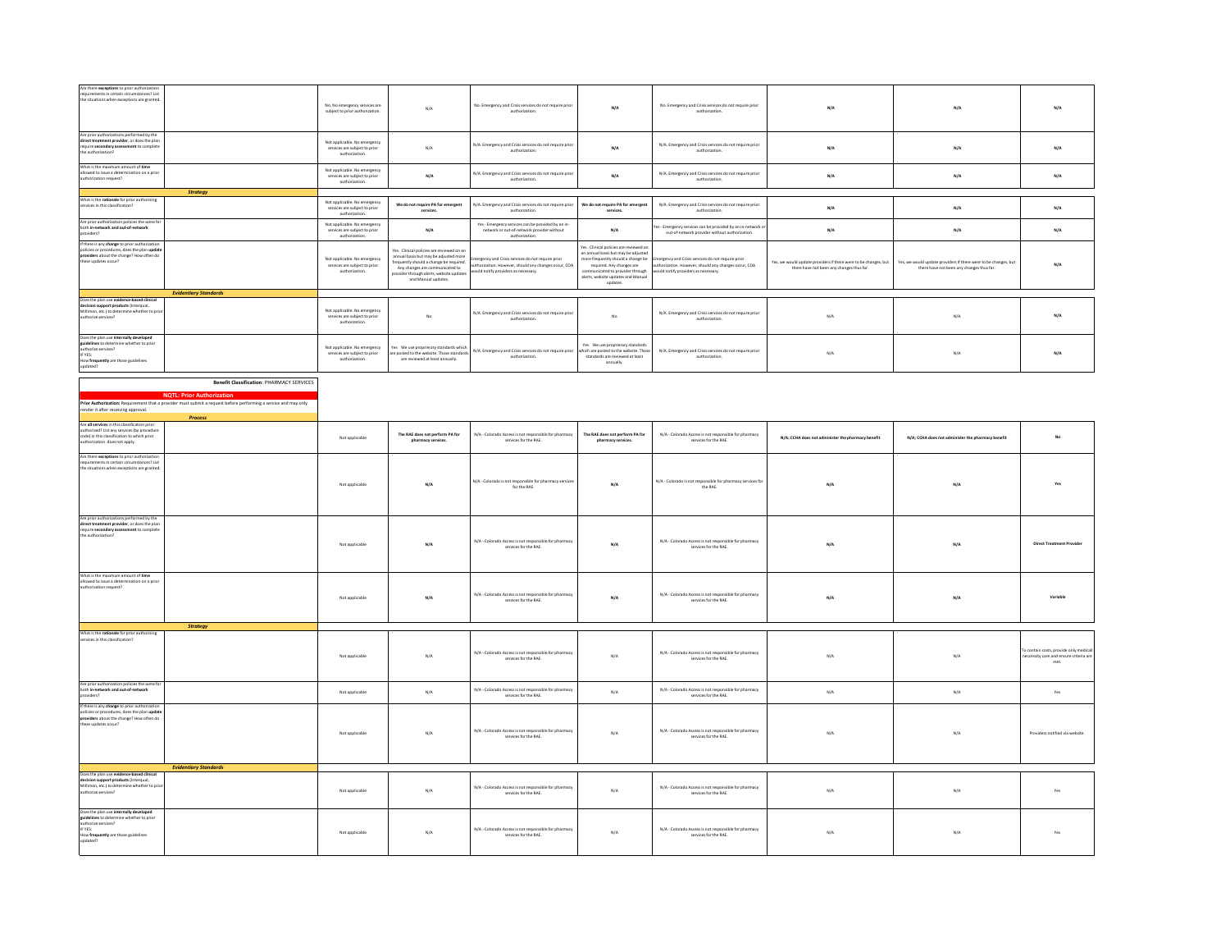| Are there exceptions to prior authorizati<br>requirements in certain circumstances? List<br>the situations when exceptions are granted.                                                                           |                                                                                                                                                                                                                                                                  | No. No emergency services are<br>subject to prior authorization.                | N/A                                                                                                                                                                                                                                 | No. Emergency and Crisis services do not require prior<br>authorization                                                                                                                             | $\mathsf{N}/\mathsf{A}$                                                                                                                                                                                                                | No. Emergency and Crisis services do not require prior<br>authorization.                                                                                                                                         | $\mathsf{N}/\mathsf{A}$                                                                                      | $\mathsf{N}/\mathsf{A}$                                                                                      | $\mathsf{N}/\mathsf{A}$                                                                 |
|-------------------------------------------------------------------------------------------------------------------------------------------------------------------------------------------------------------------|------------------------------------------------------------------------------------------------------------------------------------------------------------------------------------------------------------------------------------------------------------------|---------------------------------------------------------------------------------|-------------------------------------------------------------------------------------------------------------------------------------------------------------------------------------------------------------------------------------|-----------------------------------------------------------------------------------------------------------------------------------------------------------------------------------------------------|----------------------------------------------------------------------------------------------------------------------------------------------------------------------------------------------------------------------------------------|------------------------------------------------------------------------------------------------------------------------------------------------------------------------------------------------------------------|--------------------------------------------------------------------------------------------------------------|--------------------------------------------------------------------------------------------------------------|-----------------------------------------------------------------------------------------|
| Are prior authorizations performed by the<br>direct treatment provider, or does the plan<br>require secondary assessment to complete<br>the authorization?                                                        |                                                                                                                                                                                                                                                                  | Not applicable. No emergency<br>services are subject to prior<br>authorization. | N/A                                                                                                                                                                                                                                 | N/A. Emergency and Crisis services do not require prior<br>authorization.                                                                                                                           | N/A                                                                                                                                                                                                                                    | N/A. Emergency and Crisis services do not require prior<br>authorization.                                                                                                                                        | $\mathsf{N}/\mathsf{A}$                                                                                      | $\mathsf{N}/\mathsf{A}$                                                                                      | N/A                                                                                     |
| What is the maximum amount of time<br>allowed to issue a determination on a prior<br>authorization request?                                                                                                       |                                                                                                                                                                                                                                                                  | Not applicable. No emergency<br>services are subject to prior<br>authorization. | $\mathsf{N}/\mathsf{A}$                                                                                                                                                                                                             | N/A. Emergency and Crisis services do not require prior<br>authorization.                                                                                                                           | $\mathsf{N}/\mathsf{A}$                                                                                                                                                                                                                | N/A. Emergency and Crisis services do not require prior<br>authorization.                                                                                                                                        | $\mathsf{N}/\mathsf{A}$                                                                                      | $\mathsf{N}/\mathsf{A}$                                                                                      | $\mathsf{N}/\mathsf{A}$                                                                 |
| What is the rationale for prior authorizing                                                                                                                                                                       | Strategy                                                                                                                                                                                                                                                         |                                                                                 |                                                                                                                                                                                                                                     |                                                                                                                                                                                                     |                                                                                                                                                                                                                                        |                                                                                                                                                                                                                  |                                                                                                              |                                                                                                              |                                                                                         |
| services in this classification?<br>Are prior authorization policies the same for                                                                                                                                 |                                                                                                                                                                                                                                                                  | Not applicable. No emergency<br>services are subject to prior<br>authorization. | We do not require PA for emergent<br>services.                                                                                                                                                                                      | N/A. Emergency and Crisis services do not require prior<br>authorization                                                                                                                            | We do not require PA for emergent<br>services.                                                                                                                                                                                         | N/A. Emergency and Crisis services do not require prior<br>authorization.                                                                                                                                        | N/A                                                                                                          | N/A                                                                                                          | N/A                                                                                     |
| both in-network and out-of-network<br>providers?                                                                                                                                                                  |                                                                                                                                                                                                                                                                  | Not applicable. No emergency<br>services are subject to prior<br>authorization. | N/A                                                                                                                                                                                                                                 | Yes - Emergency services can be provided by an in-<br>network or out-of-network provider without<br>authorization.                                                                                  | N/A                                                                                                                                                                                                                                    | es - Emergency services can be provided by an in-network o<br>out-of-network provider without authorization.                                                                                                     | $\mathsf{N}/\mathsf{A}$                                                                                      | N/A                                                                                                          | N/A                                                                                     |
| If there is any change to prior authorization<br>policies or procedures, does the plan updat<br>providers about the change? How often do<br>these updates occur?                                                  |                                                                                                                                                                                                                                                                  | Not applicable. No emergency<br>services are subject to prior<br>authorization. | Yes. Clinical policies are reviewed on ar<br>annual basis but may be adjusted more<br>frequently should a change be required.<br>Any changes are communicated to<br>provider through alerts, website updates<br>and Manual updates. | ergency and Crisis services do not require prior<br>integency and cruis services do not require prior<br>thorization. However, should any changes occur, CDA<br>ould notify providers as necessary. | res. Clinical policies are reviewed or<br>an annual basis but may be adjusted<br>more frequently should a change be<br>required. Any changes are<br>communicated to provider through<br>alerts, website updates and Manual<br>updates. | nergency and Crisis services do not require prior<br>structure principles to the services do not require price.<br>suthorization. However, should any changes occur, COA<br>would notify providers as necessary. | Yes, we would update providers if there were to be changes, but<br>there have not been any changes thus far. | Yes, we would update providers if there were to be changes, but<br>there have not been any changes thus far. | N/A                                                                                     |
|                                                                                                                                                                                                                   | <b>Evidentiary Standards</b>                                                                                                                                                                                                                                     |                                                                                 |                                                                                                                                                                                                                                     |                                                                                                                                                                                                     |                                                                                                                                                                                                                                        |                                                                                                                                                                                                                  |                                                                                                              |                                                                                                              |                                                                                         |
| Does the plan use evidence-based clinical<br>decision support products (Interqual,<br>Milliman, etc.) to determine whether to prio<br>authorize services?                                                         |                                                                                                                                                                                                                                                                  | Not applicable. No emergency<br>services are subject to prior<br>authorization. | No                                                                                                                                                                                                                                  | N/A. Emergency and Crisis services do not require prio.<br>authorization                                                                                                                            | No.                                                                                                                                                                                                                                    | N/A. Emergency and Crisis services do not require prior<br>authorization.                                                                                                                                        | N/A                                                                                                          | N/A                                                                                                          | N/A                                                                                     |
| Does the plan use internally developed<br>guidelines to determine whether to prior<br>authorize services?<br>$\begin{array}{ll} \ldots \ldots \ldots \end{array}$ How frequently are those guidelines<br>updated? |                                                                                                                                                                                                                                                                  | Not applicable. No emergency<br>services are subject to prior<br>authorization. | .<br>Yes We use proprierary standards which<br>re posted to the website. Those standard<br>are reviewed at least annually.                                                                                                          | N/A. Emergency and Crisis services do not require prior<br>authorization.                                                                                                                           | Yes We use proprierary standard<br>which are posted to the website. Those<br>standards are reviewed at least<br>annually.                                                                                                              | N/A. Emergency and Crisis services do not require prior<br>authorization.                                                                                                                                        | $\rm N/A$                                                                                                    | $\rm N/A$                                                                                                    | N/A                                                                                     |
| Are all services in this classification prior                                                                                                                                                                     | <b>Benefit Classification: PHARMACY SERVICES</b><br><b>NQTL: Prior Authorization</b><br>Prior Authorization: Requirement that a provider must submit a request before performing a service and may only<br>render it after receiving approval.<br><b>Process</b> |                                                                                 |                                                                                                                                                                                                                                     |                                                                                                                                                                                                     |                                                                                                                                                                                                                                        |                                                                                                                                                                                                                  |                                                                                                              |                                                                                                              |                                                                                         |
| Are an services in this crassification prior<br>authorized? List any services (by procedure<br>code) in this classification to which prior<br>authorization does not apply.                                       |                                                                                                                                                                                                                                                                  | Not applicable                                                                  | The RAE does not perform PA for<br>pharmacy services.                                                                                                                                                                               | N/A - Colorado Access is not responsible for pharmacy<br>services for the RAE.                                                                                                                      | The RAE does not perform PA for<br>pharmacy services.                                                                                                                                                                                  | N/A - Colorado Access is not responsible for pharmacy<br>services for the RAE.                                                                                                                                   | N/A; CCHA does not administer the pharmacy benefit                                                           | N/A; CCHA does not administer the pharmacy benefit                                                           | <b>No</b>                                                                               |
| Are there exceptions to prior authorization<br>requirements in certain circumstances? List<br>the situations when exceptions are granted.                                                                         |                                                                                                                                                                                                                                                                  | Not applicable                                                                  | N/A                                                                                                                                                                                                                                 | N/A - Colorado is not responsible for pharmacy services<br>for the RAE.                                                                                                                             | $\mathsf{N}/\mathsf{A}$                                                                                                                                                                                                                | N/A - Colorado is not responsible for pharmacy services for<br>the RAE.                                                                                                                                          | $\mathsf{N}/\mathsf{A}$                                                                                      | $\mathsf{N}/\mathsf{A}$                                                                                      | Yes                                                                                     |
| Are prior authorizations performed by the<br>direct treatment provider, or does the plan<br>require secondary assessment to complete<br>the authorization?                                                        |                                                                                                                                                                                                                                                                  | Not applicable                                                                  | N/A                                                                                                                                                                                                                                 | N/A - Colorado Access is not responsible for pharmacy<br>services for the RAE.                                                                                                                      | N/A                                                                                                                                                                                                                                    | N/A - Colorado Access is not responsible for pharmacy<br>services for the RAE.                                                                                                                                   | N/A                                                                                                          | N/A                                                                                                          | <b>Direct Treatment Provider</b>                                                        |
| What is the maximum amount of time<br>allowed to issue a determination on a prior<br>authorization request?                                                                                                       |                                                                                                                                                                                                                                                                  | Not applicable                                                                  | $\rm N/A$                                                                                                                                                                                                                           | N/A - Colorado Access is not responsible for pharmacy<br>services for the RAE.                                                                                                                      | $\mathsf{N}/\mathsf{A}$                                                                                                                                                                                                                | N/A - Colorado Access is not responsible for pharmacy<br>services for the RAE.                                                                                                                                   | $\mathsf{N}/\mathsf{A}$                                                                                      | $\mathsf{N}/\mathsf{A}$                                                                                      | Variable                                                                                |
|                                                                                                                                                                                                                   | <b>Strategy</b>                                                                                                                                                                                                                                                  |                                                                                 |                                                                                                                                                                                                                                     |                                                                                                                                                                                                     |                                                                                                                                                                                                                                        |                                                                                                                                                                                                                  |                                                                                                              |                                                                                                              |                                                                                         |
| What is the rationale for prior authorizing<br>services in this classification?                                                                                                                                   |                                                                                                                                                                                                                                                                  | Not applicable                                                                  | N/A                                                                                                                                                                                                                                 | N/A - Colorado Access is not responsible for pharmac<br>services for the RAE.                                                                                                                       | N/A                                                                                                                                                                                                                                    | N/A - Colorado Access is not responsible for pharmacy<br>services for the RAE.                                                                                                                                   | N/A                                                                                                          | N/A                                                                                                          | To contain costs, provide only medical<br>econsity care and ensure criteria are<br>met. |
| Are prior authorization policies the same fo<br>both in-network and out-of-network<br>providers?                                                                                                                  |                                                                                                                                                                                                                                                                  | Not applicable                                                                  | N/A                                                                                                                                                                                                                                 | N/A - Colorado Access is not responsible for pharmacy<br>services for the RAE.                                                                                                                      | N/A                                                                                                                                                                                                                                    | N/A - Colorado Access is not responsible for pharmacy<br>services for the RAE.                                                                                                                                   | N/A                                                                                                          | $\rm N/A$                                                                                                    | Yes                                                                                     |
| If there is any change to prior authorization<br>policies or procedures, does the plan update<br>providers about the change? How often do<br>these updates occur?                                                 |                                                                                                                                                                                                                                                                  | Not applicable                                                                  | $\rm N/A$                                                                                                                                                                                                                           | N/A - Colorado Access is not responsible for pharmacy<br>services for the RAE.                                                                                                                      | $\rm N/A$                                                                                                                                                                                                                              | N/A - Colorado Access is not responsible for pharmacy<br>services for the RAE.                                                                                                                                   | $\rm N/A$                                                                                                    | N/A                                                                                                          | Providers notified via website.                                                         |
|                                                                                                                                                                                                                   | <b>Evidentiary Standards</b>                                                                                                                                                                                                                                     |                                                                                 |                                                                                                                                                                                                                                     |                                                                                                                                                                                                     |                                                                                                                                                                                                                                        |                                                                                                                                                                                                                  |                                                                                                              |                                                                                                              |                                                                                         |
| Does the plan use evidence-based clinical<br>decision support products (Interqual,<br>Milliman, etc.) to determine whether to prio<br>authorize services?                                                         |                                                                                                                                                                                                                                                                  | Not applicable                                                                  | $\rm N/A$                                                                                                                                                                                                                           | N/A - Colorado Access is not responsible for pharmacy<br>services for the RAE.                                                                                                                      | $\mathrm{N}/\mathrm{A}$                                                                                                                                                                                                                | $N/A \cdot \text{Colorado Access is not responsible for pharmacy} \\ \text{senvices for the RAE.}$                                                                                                               | $\rm N/A$                                                                                                    | $\rm N/A$                                                                                                    | Yes                                                                                     |
| Does the plan use internally developed<br>guidelines to determine whether to prior<br>authorize services?<br>IF YES:<br>How frequently are those guidelines<br>updated?                                           |                                                                                                                                                                                                                                                                  | Not applicable                                                                  | N/A                                                                                                                                                                                                                                 | N/A - Colorado Access is not responsible for pharmacy<br>services for the RAE.                                                                                                                      | N/A                                                                                                                                                                                                                                    | N/A - Colorado Access is not responsible for pharmacy<br>services for the RAE.                                                                                                                                   | N/A                                                                                                          | N/A                                                                                                          | Yes                                                                                     |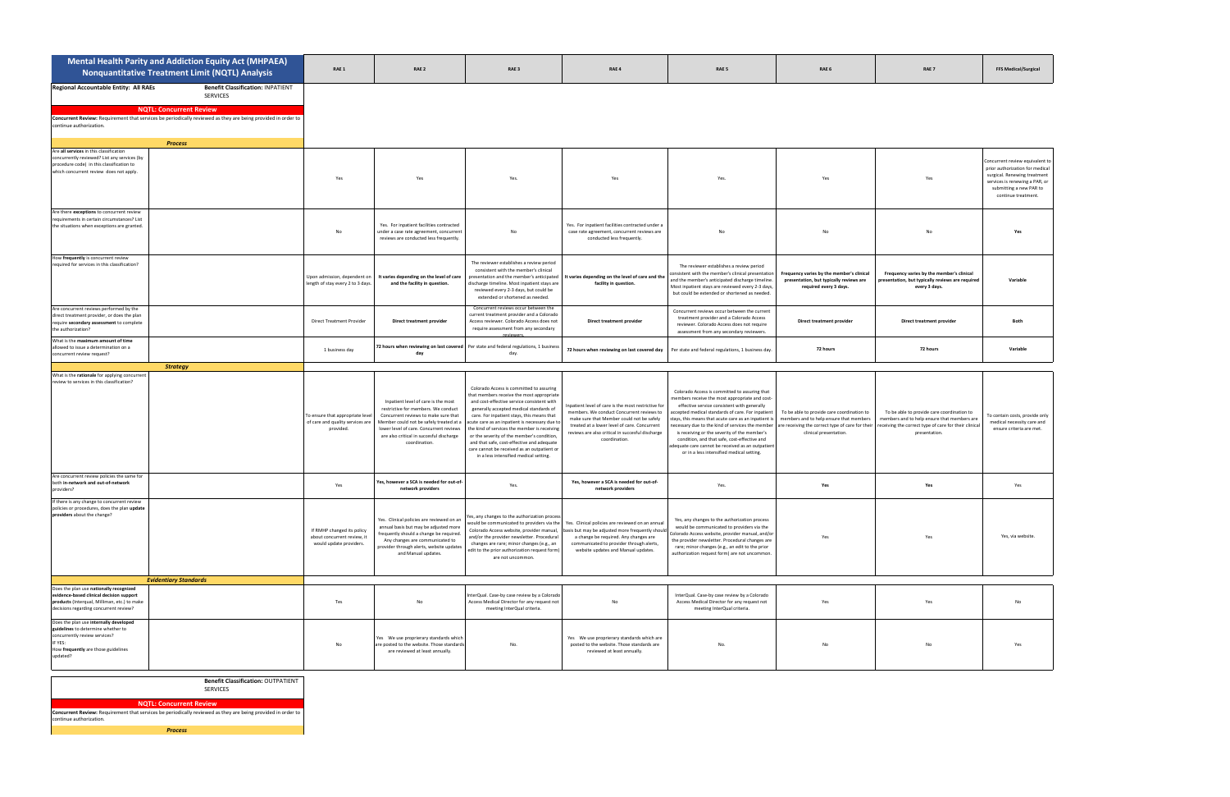|                                                                                                                                                                                 | Mental Health Parity and Addiction Equity Act (MHPAEA)<br>Nonquantitative Treatment Limit (NQTL) Analysis                                                                                                     | RAE 1                                                                                | RAE <sub>2</sub>                                                                                                                                                                                                                                                      | RAE <sub>3</sub>                                                                                                                                                                                                                                                                                                                                                                                                                                                                                                    | RAE 4                                                                                                                                                                                                                                                             | RAE 5                                                                                                                                                                                                                                                                                                                                                                                                                                                                                                          | RAE 6                                                                                                           | RAE <sub>7</sub>                                                                                                                                                                                                     | <b>FFS Medical/Surgical</b>                                                                                                                                                            |
|---------------------------------------------------------------------------------------------------------------------------------------------------------------------------------|---------------------------------------------------------------------------------------------------------------------------------------------------------------------------------------------------------------|--------------------------------------------------------------------------------------|-----------------------------------------------------------------------------------------------------------------------------------------------------------------------------------------------------------------------------------------------------------------------|---------------------------------------------------------------------------------------------------------------------------------------------------------------------------------------------------------------------------------------------------------------------------------------------------------------------------------------------------------------------------------------------------------------------------------------------------------------------------------------------------------------------|-------------------------------------------------------------------------------------------------------------------------------------------------------------------------------------------------------------------------------------------------------------------|----------------------------------------------------------------------------------------------------------------------------------------------------------------------------------------------------------------------------------------------------------------------------------------------------------------------------------------------------------------------------------------------------------------------------------------------------------------------------------------------------------------|-----------------------------------------------------------------------------------------------------------------|----------------------------------------------------------------------------------------------------------------------------------------------------------------------------------------------------------------------|----------------------------------------------------------------------------------------------------------------------------------------------------------------------------------------|
| Regional Accountable Entity: All RAEs<br>continue authorization.                                                                                                                | <b>Benefit Classification: INPATIENT</b><br><b>SERVICES</b><br><b>NQTL: Concurrent Review</b><br>Concurrent Review: Requirement that services be periodically reviewed as they are being provided in order to |                                                                                      |                                                                                                                                                                                                                                                                       |                                                                                                                                                                                                                                                                                                                                                                                                                                                                                                                     |                                                                                                                                                                                                                                                                   |                                                                                                                                                                                                                                                                                                                                                                                                                                                                                                                |                                                                                                                 |                                                                                                                                                                                                                      |                                                                                                                                                                                        |
| Are all services in this classification<br>concurrently reviewed? List any services (by<br>procedure code) in this classification to<br>which concurrent review does not apply. | <b>Process</b>                                                                                                                                                                                                | Yes                                                                                  | Yes                                                                                                                                                                                                                                                                   | Yes                                                                                                                                                                                                                                                                                                                                                                                                                                                                                                                 |                                                                                                                                                                                                                                                                   |                                                                                                                                                                                                                                                                                                                                                                                                                                                                                                                | Yes                                                                                                             | Yes                                                                                                                                                                                                                  | Concurrent review equivalent to<br>prior authorization for medical<br>surgical. Renewing treatment<br>services is renewing a PAR, or<br>submitting a new PAR to<br>continue treatment. |
| Are there exceptions to concurrent review<br>requirements in certain circumstances? List<br>the situations when exceptions are granted.                                         |                                                                                                                                                                                                               | No                                                                                   | Yes. For inpatient facilities contracted<br>under a case rate agreement, concurrent<br>reviews are conducted less frequently.                                                                                                                                         | No                                                                                                                                                                                                                                                                                                                                                                                                                                                                                                                  | Yes. For inpatient facilities contracted under a<br>case rate agreement, concurrent reviews are<br>conducted less frequently.                                                                                                                                     | No                                                                                                                                                                                                                                                                                                                                                                                                                                                                                                             | No                                                                                                              | No                                                                                                                                                                                                                   |                                                                                                                                                                                        |
| How frequently is concurrent review<br>required for services in this classification?                                                                                            |                                                                                                                                                                                                               | Upon admission, dependent on<br>length of stay every 2 to 3 days.                    | It varies depending on the level of care<br>and the facility in question.                                                                                                                                                                                             | The reviewer establishes a review period<br>consistent with the member's clinical<br>presentation and the member's anticipated<br>discharge timeline. Most inpatient stays are<br>reviewed every 2-3 days, but could be<br>extended or shortened as needed.                                                                                                                                                                                                                                                         | It varies depending on the level of care and the<br>facility in question.                                                                                                                                                                                         | The reviewer establishes a review period<br>onsistent with the member's clinical presentation<br>and the member's anticipated discharge timeline<br>Most inpatient stays are reviewed every 2-3 days<br>but could be extended or shortened as needed.                                                                                                                                                                                                                                                          | Frequency varies by the member's clinical<br>presentation, but typically reviews are<br>required every 3 days.  | Frequency varies by the member's clinical<br>presentation, but typically reviews are required<br>every 3 days.                                                                                                       | Variable                                                                                                                                                                               |
| Are concurrent reviews performed by the<br>direct treatment provider, or does the plan<br>require secondary assessment to complete<br>the authorization?                        |                                                                                                                                                                                                               | <b>Direct Treatment Provider</b>                                                     | Direct treatment provider                                                                                                                                                                                                                                             | Concurrent reviews occur between the<br>current treatment provider and a Colorado<br>Access reviewer. Colorado Access does not<br>require assessment from any secondary                                                                                                                                                                                                                                                                                                                                             | Direct treatment provider                                                                                                                                                                                                                                         | Concurrent reviews occur between the current<br>treatment provider and a Colorado Access<br>reviewer. Colorado Access does not require<br>assessment from any secondary reviewers.                                                                                                                                                                                                                                                                                                                             | Direct treatment provider                                                                                       | Direct treatment provider                                                                                                                                                                                            | Both                                                                                                                                                                                   |
| What is the maximum amount of time<br>allowed to issue a determination on a<br>concurrent review request?                                                                       |                                                                                                                                                                                                               | 1 business day                                                                       | day                                                                                                                                                                                                                                                                   | 72 hours when reviewing on last covered Per state and federal regulations, 1 business<br>day.                                                                                                                                                                                                                                                                                                                                                                                                                       | 72 hours when reviewing on last covered day                                                                                                                                                                                                                       | Per state and federal regulations, 1 business day.                                                                                                                                                                                                                                                                                                                                                                                                                                                             | 72 hours                                                                                                        | 72 hours                                                                                                                                                                                                             | Variable                                                                                                                                                                               |
| What is the rationale for applying concurrent<br>review to services in this classification?                                                                                     | <b>Strategy</b>                                                                                                                                                                                               | To ensure that appropriate level<br>of care and quality services are<br>provided.    | Inpatient level of care is the most<br>restrictive for members. We conduct<br>Concurrent reviews to make sure that<br>Member could not be safely treated at a<br>lower level of care. Concurrent reviews<br>are also critical in succesful discharge<br>coordination. | Colorado Access is committed to assuring<br>that members receive the most appropriate<br>and cost-effective service consistent with<br>generally accepted medical standards of<br>care. For inpatient stays, this means that<br>acute care as an inpatient is necessary due to<br>the kind of services the member is receiving<br>or the severity of the member's condition,<br>and that safe, cost-effective and adequate<br>care cannot be received as an outpatient or<br>in a less intensified medical setting. | Inpatient level of care is the most restrictive for<br>members. We conduct Concurrent reviews to<br>make sure that Member could not be safely<br>treated at a lower level of care. Concurrent<br>reviews are also critical in succesful discharge<br>coordination | Colorado Access is committed to assuring that<br>members receive the most appropriate and cost-<br>effective service consistent with generally<br>accepted medical standards of care. For inpatient<br>stays, this means that acute care as an inpatient i<br>necessary due to the kind of services the member<br>is receiving or the severity of the member's<br>condition, and that safe, cost-effective and<br>dequate care cannot be received as an outpatien<br>or in a less intensified medical setting. | To be able to provide care coordination to<br>members and to help ensure that members<br>clinical presentation. | To be able to provide care coordination to<br>members and to help ensure that members are<br>ire receiving the correct type of care for their receiving the correct type of care for their clinical<br>presentation. | To contain costs, provide only<br>medical necessity care and<br>ensure criteria are met.                                                                                               |
| Are concurrent review policies the same for<br>both in-network and out-of-network<br>providers?                                                                                 |                                                                                                                                                                                                               | Yes                                                                                  | Yes, however a SCA is needed for out-of-<br>network providers                                                                                                                                                                                                         | Yes.                                                                                                                                                                                                                                                                                                                                                                                                                                                                                                                | Yes, however a SCA is needed for out-of-<br>network providers                                                                                                                                                                                                     | Yes.                                                                                                                                                                                                                                                                                                                                                                                                                                                                                                           | Yes                                                                                                             | Yes                                                                                                                                                                                                                  | Yes                                                                                                                                                                                    |
| If there is any change to concurrent review<br>policies or procedures, does the plan update<br>providers about the change?                                                      |                                                                                                                                                                                                               | If RMHP changed its policy<br>about concurrent review, it<br>would update providers. | Yes. Clinical policies are reviewed on an<br>annual basis but may be adjusted more<br>frequently should a change be required.<br>Any changes are communicated to<br>provider through alerts, website updates<br>and Manual updates.                                   | es, any changes to the authorization process<br>vould be communicated to providers via the<br>Colorado Access website, provider manual,<br>and/or the provider newsletter. Procedural<br>changes are rare; minor changes (e.g., an<br>edit to the prior authorization request form)<br>are not uncommon.                                                                                                                                                                                                            | Yes. Clinical policies are reviewed on an annual<br>basis but may be adjusted more frequently should<br>a change be required. Any changes are<br>communicated to provider through alerts,<br>website updates and Manual updates.                                  | Yes, any changes to the authorization process<br>would be communicated to providers via the<br>Colorado Access website, provider manual, and/or<br>the provider newsletter. Procedural changes are<br>rare; minor changes (e.g., an edit to the prior<br>authorization request form) are not uncommon.                                                                                                                                                                                                         | Yes                                                                                                             | Yes                                                                                                                                                                                                                  | Yes, via website.                                                                                                                                                                      |
| Does the plan use nationally recognized                                                                                                                                         | <b>Evidentiary Standards</b>                                                                                                                                                                                  |                                                                                      |                                                                                                                                                                                                                                                                       |                                                                                                                                                                                                                                                                                                                                                                                                                                                                                                                     |                                                                                                                                                                                                                                                                   | InterQual. Case-by case review by a Colorado                                                                                                                                                                                                                                                                                                                                                                                                                                                                   |                                                                                                                 |                                                                                                                                                                                                                      |                                                                                                                                                                                        |
| evidence-based clinical decision support<br>products (Interqual, Milliman, etc.) to make<br>decisions regarding concurrent review?                                              |                                                                                                                                                                                                               | Tes                                                                                  | No                                                                                                                                                                                                                                                                    | nterQual. Case-by case review by a Colorado<br>Access Medical Director for any request not<br>meeting InterQual criteria.                                                                                                                                                                                                                                                                                                                                                                                           | No                                                                                                                                                                                                                                                                | Access Medical Director for any request not<br>meeting InterQual criteria.                                                                                                                                                                                                                                                                                                                                                                                                                                     | Yes                                                                                                             | Yes                                                                                                                                                                                                                  | No                                                                                                                                                                                     |
| Does the plan use internally developed<br>guidelines to determine whether to<br>concurrently review services?<br>IF YES:<br>How frequently are those guidelines<br>updated?     |                                                                                                                                                                                                               | No                                                                                   | Yes We use proprierary standards which<br>are posted to the website. Those standards<br>are reviewed at least annually.                                                                                                                                               | No.                                                                                                                                                                                                                                                                                                                                                                                                                                                                                                                 | Yes We use proprierary standards which are<br>posted to the website. Those standards are<br>reviewed at least annually.                                                                                                                                           | No.                                                                                                                                                                                                                                                                                                                                                                                                                                                                                                            | No                                                                                                              | No                                                                                                                                                                                                                   |                                                                                                                                                                                        |

**Benefit Classification:** OUTPATIENT

SERVICES

**NQTL: Concurrent Review Concurrent Review:** Requirement that services be periodically reviewed as they are being provided in order to continue authorization.

*Process*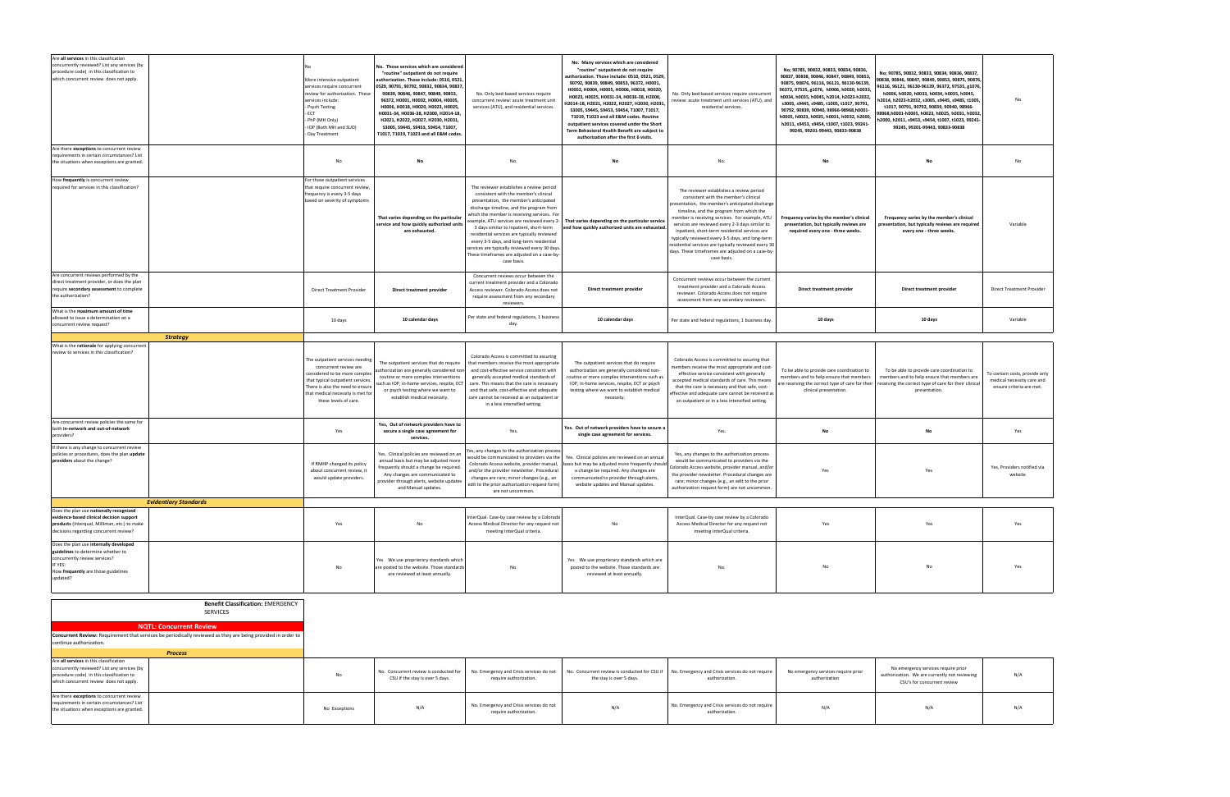| Are all services in this classification<br>concurrently reviewed? List any services (by<br>procedure code) in this classification to<br>which concurrent review does not apply. |                                                                                                                                                                                                                          | More intensive outpatient<br>services require concurrent<br>review for authorization. These<br>services include:<br>Psych Testing<br>ECT<br>- PhP (MH Only)<br>- IOP (Both MH and SUD)<br>- Day Treatment                       | No. Those services which are considered<br>"routine" outpatient do not require<br>uthorization. Those include: 0510, 0521<br>0529, 90791, 90792, 90832, 90834, 90837,<br>90839, 90846, 90847, 90849, 90853,<br>96372, Н0001, Н0002, Н0004, Н0005,<br>Н0006, Н0018, Н0020, Н0023, Н0025,<br>H0031-34, H0036-38, H2000, H2014-18,<br>H2021, H2022, H2027, H2030, H2031,<br>S3005, S9445, S9453, S9454, T1007,<br>T1017, T1019, T1023 and all E&M codes. | No. Only bed-based services require<br>concurrent review: acute treatment unit<br>services (ATU), and residential services.                                                                                                                                                                                                                                                                                                                                                                                             | No. Many services which are considered<br>"routine" outpatient do not require<br>authorization. Those include: 0510, 0521, 0529,<br>90792, 90839, 90849, 90853, 96372, H0001,<br>Н0002, Н0004, Н0005, Н0006, Н0018, Н0020,<br>Н0023, Н0025, Н0031-34, Н0036-38, Н2000,<br>H2014-18, H2021, H2022, H2027, H2030, H2031<br>S3005, S9445, S9453, S9454, T1007, T1017,<br>T1019, T1023 and all E&M codes. Routine<br>outpatient services covered under the Short<br>Term Behavioral Health Benefit are subject to<br>authorization after the first 6 visits. | No. Only bed-based services require concurrent<br>eview: acute treatment unit services (ATU), and<br>residential services.                                                                                                                                                                                                                                                                                                                                                                                            | No; 90785, 90832, 90833, 90834, 90836,<br>90837, 90838, 90846, 90847, 90849, 90853,<br>90875, 90876, 96116, 96121, 96130-96139,<br>96372, 97535, g1076, h0006, h0020, h0033,<br>h0034, h0035, h0045, h2014, h2023-h2032,<br>s3005, s9445, s9485, t1005, t1017, 90791,<br>90792, 90839, 90940, 98966-98968, h0001-<br>h0005, h0023, h0025, h0031, h0032, h2000,<br>h2011, s9453, s9454, t1007, t1023, 99241-<br>99245, 99201-99443, 90833-90838 | No; 90785, 90832, 90833, 90834, 90836, 90837,<br>90838, 90846, 90847, 90849, 90853, 90875, 90876<br>96116, 96121, 96130-96139, 96372, 97535, g1076,<br>h0006, h0020, h0033, h0034, h0035, h0045,<br>h2014, h2023-h2032, s3005, s9445, s9485, t1005,<br>t1017, 90791, 90792, 90839, 90940, 98966-<br>98968,h0001-h0005, h0023, h0025, h0031, h0032,<br>h2000, h2011, s9453, s9454, t1007, t1023, 99241-<br>99245, 99201-99443, 90833-90838 |                                                                                          |
|---------------------------------------------------------------------------------------------------------------------------------------------------------------------------------|--------------------------------------------------------------------------------------------------------------------------------------------------------------------------------------------------------------------------|---------------------------------------------------------------------------------------------------------------------------------------------------------------------------------------------------------------------------------|-------------------------------------------------------------------------------------------------------------------------------------------------------------------------------------------------------------------------------------------------------------------------------------------------------------------------------------------------------------------------------------------------------------------------------------------------------|-------------------------------------------------------------------------------------------------------------------------------------------------------------------------------------------------------------------------------------------------------------------------------------------------------------------------------------------------------------------------------------------------------------------------------------------------------------------------------------------------------------------------|----------------------------------------------------------------------------------------------------------------------------------------------------------------------------------------------------------------------------------------------------------------------------------------------------------------------------------------------------------------------------------------------------------------------------------------------------------------------------------------------------------------------------------------------------------|-----------------------------------------------------------------------------------------------------------------------------------------------------------------------------------------------------------------------------------------------------------------------------------------------------------------------------------------------------------------------------------------------------------------------------------------------------------------------------------------------------------------------|------------------------------------------------------------------------------------------------------------------------------------------------------------------------------------------------------------------------------------------------------------------------------------------------------------------------------------------------------------------------------------------------------------------------------------------------|-------------------------------------------------------------------------------------------------------------------------------------------------------------------------------------------------------------------------------------------------------------------------------------------------------------------------------------------------------------------------------------------------------------------------------------------|------------------------------------------------------------------------------------------|
| Are there exceptions to concurrent review<br>requirements in certain circumstances? List<br>the situations when exceptions are granted.                                         |                                                                                                                                                                                                                          | No                                                                                                                                                                                                                              | No                                                                                                                                                                                                                                                                                                                                                                                                                                                    | No                                                                                                                                                                                                                                                                                                                                                                                                                                                                                                                      |                                                                                                                                                                                                                                                                                                                                                                                                                                                                                                                                                          | No                                                                                                                                                                                                                                                                                                                                                                                                                                                                                                                    | No                                                                                                                                                                                                                                                                                                                                                                                                                                             | No                                                                                                                                                                                                                                                                                                                                                                                                                                        | No                                                                                       |
| How frequently is concurrent review<br>required for services in this classification?                                                                                            |                                                                                                                                                                                                                          | For those outpatient services<br>that require concurrent review<br>frequency is every 3-5 days<br>based on severity of symptoms                                                                                                 | That varies depending on the particular<br>service and how quickly authorized units<br>are exhausted.                                                                                                                                                                                                                                                                                                                                                 | The reviewer establishes a review period<br>consistent with the member's clinical<br>presentation, the member's anticipated<br>discharge timeline, and the program from<br>which the member is receiving services. Fo<br>xample, ATU services are reviewed every 2<br>3 days similar to inpatient, short-term<br>residential services are typically reviewed<br>every 3-5 days, and long-term residential<br>services are typically reviewed every 30 days<br>These timeframes are adjusted on a case-by<br>case basis. | That varies depending on the particular service<br>nd how quickly authorized units are exhausted                                                                                                                                                                                                                                                                                                                                                                                                                                                         | The reviewer establishes a review period<br>consistent with the member's clinical<br>resentation, the member's anticipated discharge<br>timeline, and the program from which the<br>member is receiving services. For example, ATU<br>services are reviewed every 2-3 days similar to<br>inpatient, short-term residential services are<br>typically reviewed every 3-5 days, and long-term<br>residential services are typically reviewed every 3<br>days. These timeframes are adjusted on a case-by<br>case basis. | Frequency varies by the member's clinical<br>presentation, but typically reviews are<br>required every one - three weeks.                                                                                                                                                                                                                                                                                                                      | Frequency varies by the member's clinical<br>presentation, but typically reviews are required<br>every one - three weeks.                                                                                                                                                                                                                                                                                                                 | Variable                                                                                 |
| Are concurrent reviews performed by the<br>direct treatment provider, or does the plan<br>require secondary assessment to complete<br>the authorization?                        |                                                                                                                                                                                                                          | <b>Direct Treatment Provider</b>                                                                                                                                                                                                | Direct treatment provider                                                                                                                                                                                                                                                                                                                                                                                                                             | Concurrent reviews occur between the<br>current treatment provider and a Colorado<br>Access reviewer. Colorado Access does not<br>require assessment from any secondary<br>reviewers.                                                                                                                                                                                                                                                                                                                                   | Direct treatment provider                                                                                                                                                                                                                                                                                                                                                                                                                                                                                                                                | Concurrent reviews occur between the current<br>treatment provider and a Colorado Access<br>reviewer. Colorado Access does not require<br>assessment from any secondary reviewers.                                                                                                                                                                                                                                                                                                                                    | Direct treatment provider                                                                                                                                                                                                                                                                                                                                                                                                                      | Direct treatment provider                                                                                                                                                                                                                                                                                                                                                                                                                 | <b>Direct Treatment Provider</b>                                                         |
| What is the maximum amount of time<br>allowed to issue a determination on a<br>concurrent review request?                                                                       |                                                                                                                                                                                                                          | 10 days                                                                                                                                                                                                                         | 10 calendar days                                                                                                                                                                                                                                                                                                                                                                                                                                      | Per state and federal regulations, 1 business<br>day.                                                                                                                                                                                                                                                                                                                                                                                                                                                                   | 10 calendar days                                                                                                                                                                                                                                                                                                                                                                                                                                                                                                                                         | Per state and federal regulations, 1 business day.                                                                                                                                                                                                                                                                                                                                                                                                                                                                    | 10 days                                                                                                                                                                                                                                                                                                                                                                                                                                        | 10 days                                                                                                                                                                                                                                                                                                                                                                                                                                   | Variable                                                                                 |
|                                                                                                                                                                                 | <b>Strategy</b>                                                                                                                                                                                                          |                                                                                                                                                                                                                                 |                                                                                                                                                                                                                                                                                                                                                                                                                                                       |                                                                                                                                                                                                                                                                                                                                                                                                                                                                                                                         |                                                                                                                                                                                                                                                                                                                                                                                                                                                                                                                                                          |                                                                                                                                                                                                                                                                                                                                                                                                                                                                                                                       |                                                                                                                                                                                                                                                                                                                                                                                                                                                |                                                                                                                                                                                                                                                                                                                                                                                                                                           |                                                                                          |
| What is the rationale for applying concurrent<br>review to services in this classification?                                                                                     |                                                                                                                                                                                                                          | The outpatient services needing<br>concurrent review are<br>considered to be more comple:<br>that typical outpatient services<br>There is also the need to ensure<br>that medical necessity is met for<br>these levels of care. | The outpatient services that do require<br>authorization are generally considered non<br>routine or more complex interventions<br>such as IOP, in-home services, respite, ECT<br>or psych testing where we want to<br>establish medical necessity.                                                                                                                                                                                                    | Colorado Access is committed to assuring<br>that members receive the most appropriate<br>and cost-effective service consistent with<br>generally accepted medical standards of<br>care. This means that the care is necessary<br>and that safe, cost-effective and adequate<br>care cannot be received as an outpatient or<br>in a less intensified setting.                                                                                                                                                            | The outpatient services that do require<br>authorization are generally considered non-<br>routine or more complex interventions such as<br>IOP, in-home services, respite, ECT or psych<br>testing where we want to establish medical<br>necessity.                                                                                                                                                                                                                                                                                                      | Colorado Access is committed to assuring that<br>nembers receive the most appropriate and cost-<br>effective service consistent with generally<br>accepted medical standards of care. This means<br>that the care is necessary and that safe, cost-<br>ffective and adequate care cannot be received a<br>an outpatient or in a less intensified setting.                                                                                                                                                             | To be able to provide care coordination to<br>members and to help ensure that members<br>clinical presentation.                                                                                                                                                                                                                                                                                                                                | To be able to provide care coordination to<br>members and to help ensure that members are<br>are receiving the correct type of care for their receiving the correct type of care for their clinical<br>presentation.                                                                                                                                                                                                                      | To contain costs, provide only<br>medical necessity care and<br>ensure criteria are met. |
| Are concurrent review policies the same for<br>both in-network and out-of-network<br>providers?                                                                                 |                                                                                                                                                                                                                          | Yes                                                                                                                                                                                                                             | Yes, Out of network providers have to<br>secure a single case agreement for<br>services.                                                                                                                                                                                                                                                                                                                                                              | Yes                                                                                                                                                                                                                                                                                                                                                                                                                                                                                                                     | Yes. Out of network providers have to secure a<br>single case agreement for services.                                                                                                                                                                                                                                                                                                                                                                                                                                                                    | Yes                                                                                                                                                                                                                                                                                                                                                                                                                                                                                                                   | No                                                                                                                                                                                                                                                                                                                                                                                                                                             | <b>No</b>                                                                                                                                                                                                                                                                                                                                                                                                                                 | Yes                                                                                      |
| If there is any change to concurrent review<br>policies or procedures, does the plan update<br>providers about the change?                                                      |                                                                                                                                                                                                                          | If RMHP changed its policy<br>about concurrent review, it<br>would update providers.                                                                                                                                            | Yes. Clinical policies are reviewed on an<br>annual basis but may be adjusted more<br>frequently should a change be required.<br>Any changes are communicated to<br>provider through alerts, website updates<br>and Manual updates.                                                                                                                                                                                                                   | es, any changes to the authorization proces<br>would be communicated to providers via the<br>Colorado Access website, provider manual,<br>and/or the provider newsletter. Procedural<br>changes are rare; minor changes (e.g., an<br>edit to the prior authorization request form<br>are not uncommon.                                                                                                                                                                                                                  | Yes. Clinical policies are reviewed on an annual<br>basis but may be adjusted more frequently should<br>a change be required. Any changes are<br>communicated to provider through alerts,<br>website updates and Manual updates.                                                                                                                                                                                                                                                                                                                         | Yes, any changes to the authorization process<br>would be communicated to providers via the<br>Colorado Access website, provider manual, and/or<br>the provider newsletter. Procedural changes are<br>rare; minor changes (e.g., an edit to the prior<br>authorization request form) are not uncommon.                                                                                                                                                                                                                | Yes                                                                                                                                                                                                                                                                                                                                                                                                                                            | Yes                                                                                                                                                                                                                                                                                                                                                                                                                                       | Yes, Providers notified via<br>website                                                   |
|                                                                                                                                                                                 | <b>Evidentiary Standards</b>                                                                                                                                                                                             |                                                                                                                                                                                                                                 |                                                                                                                                                                                                                                                                                                                                                                                                                                                       |                                                                                                                                                                                                                                                                                                                                                                                                                                                                                                                         |                                                                                                                                                                                                                                                                                                                                                                                                                                                                                                                                                          |                                                                                                                                                                                                                                                                                                                                                                                                                                                                                                                       |                                                                                                                                                                                                                                                                                                                                                                                                                                                |                                                                                                                                                                                                                                                                                                                                                                                                                                           |                                                                                          |
| Does the plan use nationally recognized<br>evidence-based clinical decision support<br>products (Interqual, Milliman, etc.) to make<br>decisions regarding concurrent review?   |                                                                                                                                                                                                                          | Yes                                                                                                                                                                                                                             | No                                                                                                                                                                                                                                                                                                                                                                                                                                                    | nterQual. Case-by case review by a Colorado<br>Access Medical Director for any request not<br>meeting InterQual criteria.                                                                                                                                                                                                                                                                                                                                                                                               | No                                                                                                                                                                                                                                                                                                                                                                                                                                                                                                                                                       | InterQual. Case-by case review by a Colorado<br>Access Medical Director for any request not<br>meeting InterQual criteria.                                                                                                                                                                                                                                                                                                                                                                                            | Yes                                                                                                                                                                                                                                                                                                                                                                                                                                            | Yes                                                                                                                                                                                                                                                                                                                                                                                                                                       | Yes                                                                                      |
| Does the plan use internally developed<br>guidelines to determine whether to<br>concurrently review services?<br>IF YES:<br>How frequently are those guidelines<br>updated?     |                                                                                                                                                                                                                          | No                                                                                                                                                                                                                              | Yes We use proprierary standards which<br>are posted to the website. Those standard:<br>are reviewed at least annually.                                                                                                                                                                                                                                                                                                                               | No                                                                                                                                                                                                                                                                                                                                                                                                                                                                                                                      | Yes We use proprierary standards which are<br>posted to the website. Those standards are<br>reviewed at least annually.                                                                                                                                                                                                                                                                                                                                                                                                                                  | No                                                                                                                                                                                                                                                                                                                                                                                                                                                                                                                    | No                                                                                                                                                                                                                                                                                                                                                                                                                                             | No                                                                                                                                                                                                                                                                                                                                                                                                                                        | Yes                                                                                      |
|                                                                                                                                                                                 |                                                                                                                                                                                                                          |                                                                                                                                                                                                                                 |                                                                                                                                                                                                                                                                                                                                                                                                                                                       |                                                                                                                                                                                                                                                                                                                                                                                                                                                                                                                         |                                                                                                                                                                                                                                                                                                                                                                                                                                                                                                                                                          |                                                                                                                                                                                                                                                                                                                                                                                                                                                                                                                       |                                                                                                                                                                                                                                                                                                                                                                                                                                                |                                                                                                                                                                                                                                                                                                                                                                                                                                           |                                                                                          |
| continue authorization.                                                                                                                                                         | <b>Benefit Classification: EMERGENCY</b><br>SERVICES<br><b>NQTL: Concurrent Review</b><br>Concurrent Review: Requirement that services be periodically reviewed as they are being provided in order to<br><b>Process</b> |                                                                                                                                                                                                                                 |                                                                                                                                                                                                                                                                                                                                                                                                                                                       |                                                                                                                                                                                                                                                                                                                                                                                                                                                                                                                         |                                                                                                                                                                                                                                                                                                                                                                                                                                                                                                                                                          |                                                                                                                                                                                                                                                                                                                                                                                                                                                                                                                       |                                                                                                                                                                                                                                                                                                                                                                                                                                                |                                                                                                                                                                                                                                                                                                                                                                                                                                           |                                                                                          |
| Are all services in this classification<br>concurrently reviewed? List any services (by<br>procedure code) in this classification to<br>which concurrent review does not apply. |                                                                                                                                                                                                                          | No                                                                                                                                                                                                                              | No. Concurrent review is conducted for<br>CSU if the stay is over 5 days.                                                                                                                                                                                                                                                                                                                                                                             | No. Emergency and Crisis services do not<br>require authorization.                                                                                                                                                                                                                                                                                                                                                                                                                                                      | No. Concurrent review is conducted for CSU if<br>the stay is over 5 days.                                                                                                                                                                                                                                                                                                                                                                                                                                                                                | No. Emergency and Crisis services do not require<br>authorization.                                                                                                                                                                                                                                                                                                                                                                                                                                                    | No emergency services require prior<br>authorization                                                                                                                                                                                                                                                                                                                                                                                           | No emergency services require prior<br>authorization. We are currently not reviewing<br>CSU's for concurrent review                                                                                                                                                                                                                                                                                                                       | N/A                                                                                      |
| Are there exceptions to concurrent review<br>requirements in certain circumstances? List<br>the situations when exceptions are granted.                                         |                                                                                                                                                                                                                          | No Exceptions                                                                                                                                                                                                                   | N/A                                                                                                                                                                                                                                                                                                                                                                                                                                                   | No. Emergency and Crisis services do not<br>require authorization.                                                                                                                                                                                                                                                                                                                                                                                                                                                      | N/A                                                                                                                                                                                                                                                                                                                                                                                                                                                                                                                                                      | No. Emergency and Crisis services do not require<br>authorization.                                                                                                                                                                                                                                                                                                                                                                                                                                                    | N/A                                                                                                                                                                                                                                                                                                                                                                                                                                            | N/A                                                                                                                                                                                                                                                                                                                                                                                                                                       | N/A                                                                                      |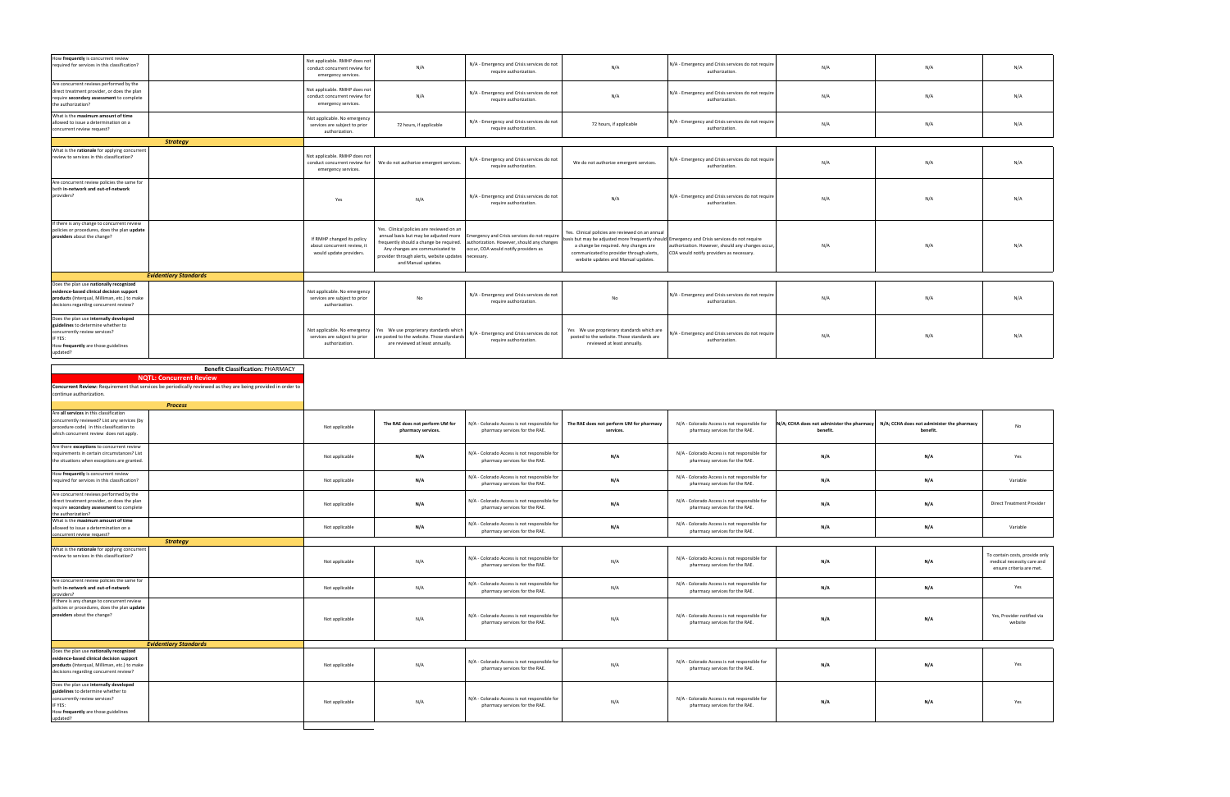| How frequently is concurrent review<br>required for services in this classification?                                                                                          |                                                                                                              | Not applicable. RMHP does not<br>conduct concurrent review for<br>emergency services. | N/A                                                                                                                                                                                                                                           | N/A - Emergency and Crisis services do not<br>require authorization.                                                              | N/A                                                                                                                                                                                                                                                                          | N/A - Emergency and Crisis services do not require<br>authorization.                         | N/A                                        | N/A                                        | N/A                                                                                      |
|-------------------------------------------------------------------------------------------------------------------------------------------------------------------------------|--------------------------------------------------------------------------------------------------------------|---------------------------------------------------------------------------------------|-----------------------------------------------------------------------------------------------------------------------------------------------------------------------------------------------------------------------------------------------|-----------------------------------------------------------------------------------------------------------------------------------|------------------------------------------------------------------------------------------------------------------------------------------------------------------------------------------------------------------------------------------------------------------------------|----------------------------------------------------------------------------------------------|--------------------------------------------|--------------------------------------------|------------------------------------------------------------------------------------------|
| Are concurrent reviews performed by the<br>direct treatment provider, or does the plan<br>require secondary assessment to complete<br>the authorization?                      |                                                                                                              | Not applicable. RMHP does not<br>conduct concurrent review for<br>emergency services. | N/A                                                                                                                                                                                                                                           | N/A - Emergency and Crisis services do not<br>require authorization.                                                              | N/A                                                                                                                                                                                                                                                                          | N/A - Emergency and Crisis services do not require<br>authorization.                         | N/A                                        | N/A                                        | N/A                                                                                      |
| What is the maximum amount of time<br>allowed to issue a determination on a<br>concurrent review request?                                                                     |                                                                                                              | Not applicable. No emergency<br>services are subject to prior<br>authorization.       | 72 hours, if applicable                                                                                                                                                                                                                       | N/A - Emergency and Crisis services do not<br>require authorization.                                                              | 72 hours, if applicable                                                                                                                                                                                                                                                      | N/A - Emergency and Crisis services do not require<br>authorization.                         | N/A                                        | N/A                                        | N/A                                                                                      |
|                                                                                                                                                                               | <b>Strategy</b>                                                                                              |                                                                                       |                                                                                                                                                                                                                                               |                                                                                                                                   |                                                                                                                                                                                                                                                                              |                                                                                              |                                            |                                            |                                                                                          |
| What is the rationale for applying concurrent<br>review to services in this classification?                                                                                   |                                                                                                              | Not applicable. RMHP does not<br>conduct concurrent review for<br>emergency services. | We do not authorize emergent services.                                                                                                                                                                                                        | N/A - Emergency and Crisis services do not<br>require authorization.                                                              | We do not authorize emergent services.                                                                                                                                                                                                                                       | N/A - Emergency and Crisis services do not require<br>authorization.                         | N/A                                        | N/A                                        | N/A                                                                                      |
| Are concurrent review policies the same for<br>both in-network and out-of-network<br>providers?                                                                               |                                                                                                              | Yes                                                                                   | N/A                                                                                                                                                                                                                                           | N/A - Emergency and Crisis services do not<br>require authorization.                                                              | N/A                                                                                                                                                                                                                                                                          | N/A - Emergency and Crisis services do not require<br>authorization.                         | N/A                                        | N/A                                        | N/A                                                                                      |
| If there is any change to concurrent review<br>policies or procedures, does the plan update<br>providers about the change?                                                    |                                                                                                              | If RMHP changed its policy<br>about concurrent review, it<br>would update providers.  | Yes. Clinical policies are reviewed on an<br>annual basis but may be adjusted more<br>requently should a change be required.<br>Any changes are communicated to<br>provider through alerts, website updates necessary.<br>and Manual updates. | mergency and Crisis services do not require<br>authorization. However, should any changes<br>occur, COA would notify providers as | Yes. Clinical policies are reviewed on an annual<br>asis but may be adjusted more frequently should Emergency and Crisis services do not require<br>a change be required. Any changes are<br>communicated to provider through alerts,<br>website updates and Manual updates. | authorization. However, should any changes occur<br>COA would notify providers as necessary. | N/A                                        | N/A                                        | N/A                                                                                      |
|                                                                                                                                                                               | <b>Evidentiary Standards</b>                                                                                 |                                                                                       |                                                                                                                                                                                                                                               |                                                                                                                                   |                                                                                                                                                                                                                                                                              |                                                                                              |                                            |                                            |                                                                                          |
| Does the plan use nationally recognized<br>evidence-based clinical decision support<br>products (Interqual, Milliman, etc.) to make<br>decisions regarding concurrent review? |                                                                                                              | Not applicable. No emergency<br>services are subject to prior<br>authorization.       | No                                                                                                                                                                                                                                            | N/A - Emergency and Crisis services do not<br>require authorization.                                                              | No                                                                                                                                                                                                                                                                           | N/A - Emergency and Crisis services do not require<br>authorization.                         | N/A                                        | N/A                                        | N/A                                                                                      |
| Does the plan use internally developed<br>guidelines to determine whether to<br>concurrently review services?<br>IF YES:<br>How frequently are those guidelines<br>updated?   |                                                                                                              | Not applicable. No emergency<br>services are subject to prior<br>authorization.       | Yes We use proprierary standards which<br>are posted to the website. Those standards<br>are reviewed at least annually.                                                                                                                       | N/A - Emergency and Crisis services do not<br>require authorization.                                                              | Yes We use proprierary standards which are<br>posted to the website. Those standards are<br>reviewed at least annually                                                                                                                                                       | V/A - Emergency and Crisis services do not require<br>authorization.                         | N/A                                        | N/A                                        | N/A                                                                                      |
|                                                                                                                                                                               |                                                                                                              |                                                                                       |                                                                                                                                                                                                                                               |                                                                                                                                   |                                                                                                                                                                                                                                                                              |                                                                                              |                                            |                                            |                                                                                          |
|                                                                                                                                                                               |                                                                                                              |                                                                                       |                                                                                                                                                                                                                                               |                                                                                                                                   |                                                                                                                                                                                                                                                                              |                                                                                              |                                            |                                            |                                                                                          |
|                                                                                                                                                                               | <b>Benefit Classification: PHARMACY</b>                                                                      |                                                                                       |                                                                                                                                                                                                                                               |                                                                                                                                   |                                                                                                                                                                                                                                                                              |                                                                                              |                                            |                                            |                                                                                          |
|                                                                                                                                                                               | <b>NQTL: Concurrent Review</b>                                                                               |                                                                                       |                                                                                                                                                                                                                                               |                                                                                                                                   |                                                                                                                                                                                                                                                                              |                                                                                              |                                            |                                            |                                                                                          |
|                                                                                                                                                                               |                                                                                                              |                                                                                       |                                                                                                                                                                                                                                               |                                                                                                                                   |                                                                                                                                                                                                                                                                              |                                                                                              |                                            |                                            |                                                                                          |
|                                                                                                                                                                               | Concurrent Review: Requirement that services be periodically reviewed as they are being provided in order to |                                                                                       |                                                                                                                                                                                                                                               |                                                                                                                                   |                                                                                                                                                                                                                                                                              |                                                                                              |                                            |                                            |                                                                                          |
| continue authorization.                                                                                                                                                       |                                                                                                              |                                                                                       |                                                                                                                                                                                                                                               |                                                                                                                                   |                                                                                                                                                                                                                                                                              |                                                                                              |                                            |                                            |                                                                                          |
|                                                                                                                                                                               |                                                                                                              |                                                                                       |                                                                                                                                                                                                                                               |                                                                                                                                   |                                                                                                                                                                                                                                                                              |                                                                                              |                                            |                                            |                                                                                          |
|                                                                                                                                                                               |                                                                                                              |                                                                                       |                                                                                                                                                                                                                                               |                                                                                                                                   |                                                                                                                                                                                                                                                                              |                                                                                              |                                            |                                            |                                                                                          |
|                                                                                                                                                                               | <b>Process</b>                                                                                               |                                                                                       |                                                                                                                                                                                                                                               |                                                                                                                                   |                                                                                                                                                                                                                                                                              |                                                                                              |                                            |                                            |                                                                                          |
|                                                                                                                                                                               |                                                                                                              |                                                                                       |                                                                                                                                                                                                                                               |                                                                                                                                   |                                                                                                                                                                                                                                                                              |                                                                                              |                                            |                                            |                                                                                          |
| Are all services in this classification                                                                                                                                       |                                                                                                              |                                                                                       |                                                                                                                                                                                                                                               |                                                                                                                                   |                                                                                                                                                                                                                                                                              |                                                                                              |                                            |                                            |                                                                                          |
| concurrently reviewed? List any services (by                                                                                                                                  |                                                                                                              |                                                                                       | The RAE does not perform UM for                                                                                                                                                                                                               | N/A - Colorado Access is not responsible for                                                                                      | The RAE does not perform UM for pharmacy                                                                                                                                                                                                                                     | N/A - Colorado Access is not responsible for                                                 | N/A; CCHA does not administer the pharmacy | N/A; CCHA does not administer the pharmacy |                                                                                          |
| procedure code) in this classification to                                                                                                                                     |                                                                                                              | Not applicable                                                                        |                                                                                                                                                                                                                                               |                                                                                                                                   | services.                                                                                                                                                                                                                                                                    |                                                                                              | benefit.                                   | benefit.                                   | No                                                                                       |
| which concurrent review does not apply.                                                                                                                                       |                                                                                                              |                                                                                       | pharmacy services.                                                                                                                                                                                                                            | pharmacy services for the RAE.                                                                                                    |                                                                                                                                                                                                                                                                              | pharmacy services for the RAE.                                                               |                                            |                                            |                                                                                          |
|                                                                                                                                                                               |                                                                                                              |                                                                                       |                                                                                                                                                                                                                                               |                                                                                                                                   |                                                                                                                                                                                                                                                                              |                                                                                              |                                            |                                            |                                                                                          |
| Are there exceptions to concurrent review                                                                                                                                     |                                                                                                              |                                                                                       |                                                                                                                                                                                                                                               |                                                                                                                                   |                                                                                                                                                                                                                                                                              |                                                                                              |                                            |                                            |                                                                                          |
| requirements in certain circumstances? List                                                                                                                                   |                                                                                                              |                                                                                       |                                                                                                                                                                                                                                               | N/A - Colorado Access is not responsible for                                                                                      |                                                                                                                                                                                                                                                                              | N/A - Colorado Access is not responsible for                                                 |                                            |                                            |                                                                                          |
| the situations when exceptions are granted.                                                                                                                                   |                                                                                                              | Not applicable                                                                        | N/A                                                                                                                                                                                                                                           | pharmacy services for the RAE.                                                                                                    | N/A                                                                                                                                                                                                                                                                          | pharmacy services for the RAE.                                                               | N/A                                        | N/A                                        | Yes                                                                                      |
|                                                                                                                                                                               |                                                                                                              |                                                                                       |                                                                                                                                                                                                                                               |                                                                                                                                   |                                                                                                                                                                                                                                                                              |                                                                                              |                                            |                                            |                                                                                          |
| How frequently is concurrent review                                                                                                                                           |                                                                                                              |                                                                                       |                                                                                                                                                                                                                                               |                                                                                                                                   |                                                                                                                                                                                                                                                                              |                                                                                              |                                            |                                            |                                                                                          |
| required for services in this classification?                                                                                                                                 |                                                                                                              | Not applicable                                                                        | N/A                                                                                                                                                                                                                                           | N/A - Colorado Access is not responsible for                                                                                      | N/A                                                                                                                                                                                                                                                                          | N/A - Colorado Access is not responsible for                                                 | N/A                                        | N/A                                        | Variable                                                                                 |
|                                                                                                                                                                               |                                                                                                              |                                                                                       |                                                                                                                                                                                                                                               | pharmacy services for the RAE.                                                                                                    |                                                                                                                                                                                                                                                                              | pharmacy services for the RAE.                                                               |                                            |                                            |                                                                                          |
| Are concurrent reviews performed by the                                                                                                                                       |                                                                                                              |                                                                                       |                                                                                                                                                                                                                                               |                                                                                                                                   |                                                                                                                                                                                                                                                                              |                                                                                              |                                            |                                            |                                                                                          |
| direct treatment provider, or does the plan                                                                                                                                   |                                                                                                              |                                                                                       |                                                                                                                                                                                                                                               | N/A - Colorado Access is not responsible for                                                                                      |                                                                                                                                                                                                                                                                              | N/A - Colorado Access is not responsible for                                                 |                                            |                                            | <b>Direct Treatment Provider</b>                                                         |
| require secondary assessment to complete                                                                                                                                      |                                                                                                              | Not applicable                                                                        | N/A                                                                                                                                                                                                                                           | pharmacy services for the RAE.                                                                                                    | N/A                                                                                                                                                                                                                                                                          | pharmacy services for the RAE.                                                               | N/A                                        | N/A                                        |                                                                                          |
| the authorization?                                                                                                                                                            |                                                                                                              |                                                                                       |                                                                                                                                                                                                                                               |                                                                                                                                   |                                                                                                                                                                                                                                                                              |                                                                                              |                                            |                                            |                                                                                          |
| What is the maximum amount of time                                                                                                                                            |                                                                                                              |                                                                                       |                                                                                                                                                                                                                                               | N/A - Colorado Access is not responsible for                                                                                      |                                                                                                                                                                                                                                                                              | N/A - Colorado Access is not responsible for                                                 |                                            |                                            |                                                                                          |
| allowed to issue a determination on a                                                                                                                                         |                                                                                                              | Not applicable                                                                        | N/A                                                                                                                                                                                                                                           | pharmacy services for the RAE.                                                                                                    | N/A                                                                                                                                                                                                                                                                          | pharmacy services for the RAE.                                                               | N/A                                        | N/A                                        | Variable                                                                                 |
| concurrent review request?                                                                                                                                                    |                                                                                                              |                                                                                       |                                                                                                                                                                                                                                               |                                                                                                                                   |                                                                                                                                                                                                                                                                              |                                                                                              |                                            |                                            |                                                                                          |
|                                                                                                                                                                               | <b>Strategy</b>                                                                                              |                                                                                       |                                                                                                                                                                                                                                               |                                                                                                                                   |                                                                                                                                                                                                                                                                              |                                                                                              |                                            |                                            |                                                                                          |
| What is the rationale for applying concurrent<br>review to services in this classification?                                                                                   |                                                                                                              | Not applicable                                                                        | N/A                                                                                                                                                                                                                                           | N/A - Colorado Access is not responsible for<br>pharmacy services for the RAE.                                                    | N/A                                                                                                                                                                                                                                                                          | N/A - Colorado Access is not responsible for<br>pharmacy services for the RAE.               | N/A                                        | N/A                                        | To contain costs, provide only<br>medical necessity care and<br>ensure criteria are met. |
| Are concurrent review policies the same for                                                                                                                                   |                                                                                                              |                                                                                       |                                                                                                                                                                                                                                               |                                                                                                                                   |                                                                                                                                                                                                                                                                              |                                                                                              |                                            |                                            |                                                                                          |
| both in-network and out-of-network                                                                                                                                            |                                                                                                              | Not applicable                                                                        | N/A                                                                                                                                                                                                                                           | N/A - Colorado Access is not responsible for                                                                                      | N/A                                                                                                                                                                                                                                                                          | N/A - Colorado Access is not responsible for                                                 | N/A                                        | N/A                                        | Yes                                                                                      |
| providers?                                                                                                                                                                    |                                                                                                              |                                                                                       |                                                                                                                                                                                                                                               | pharmacy services for the RAE.                                                                                                    |                                                                                                                                                                                                                                                                              | pharmacy services for the RAE.                                                               |                                            |                                            |                                                                                          |
| If there is any change to concurrent review                                                                                                                                   |                                                                                                              |                                                                                       |                                                                                                                                                                                                                                               |                                                                                                                                   |                                                                                                                                                                                                                                                                              |                                                                                              |                                            |                                            |                                                                                          |
| policies or procedures, does the plan update<br>providers about the change?                                                                                                   |                                                                                                              | Not applicable                                                                        | N/A                                                                                                                                                                                                                                           | N/A - Colorado Access is not responsible for<br>pharmacy services for the RAE.                                                    | N/A                                                                                                                                                                                                                                                                          | N/A - Colorado Access is not responsible for<br>pharmacy services for the RAE.               | N/A                                        | N/A                                        | Yes, Provider notified via<br>website                                                    |
|                                                                                                                                                                               | <b>Evidentiary Standards</b>                                                                                 |                                                                                       |                                                                                                                                                                                                                                               |                                                                                                                                   |                                                                                                                                                                                                                                                                              |                                                                                              |                                            |                                            |                                                                                          |
| Does the plan use nationally recognized<br>evidence-based clinical decision support<br>products (Interqual, Milliman, etc.) to make<br>decisions regarding concurrent review? |                                                                                                              | Not applicable                                                                        | N/A                                                                                                                                                                                                                                           | N/A - Colorado Access is not responsible for<br>pharmacy services for the RAE.                                                    | N/A                                                                                                                                                                                                                                                                          | N/A - Colorado Access is not responsible for<br>pharmacy services for the RAE.               | N/A                                        | N/A                                        | Yes                                                                                      |
|                                                                                                                                                                               |                                                                                                              |                                                                                       |                                                                                                                                                                                                                                               |                                                                                                                                   |                                                                                                                                                                                                                                                                              |                                                                                              |                                            |                                            |                                                                                          |
| Does the plan use internally developed<br>guidelines to determine whether to<br>concurrently review services?<br>IF YES:<br>How frequently are those guidelines<br>updated?   |                                                                                                              | Not applicable                                                                        | N/A                                                                                                                                                                                                                                           | N/A - Colorado Access is not responsible for<br>pharmacy services for the RAE.                                                    | N/A                                                                                                                                                                                                                                                                          | N/A - Colorado Access is not responsible for<br>pharmacy services for the RAE.               | N/A                                        | N/A                                        | Yes                                                                                      |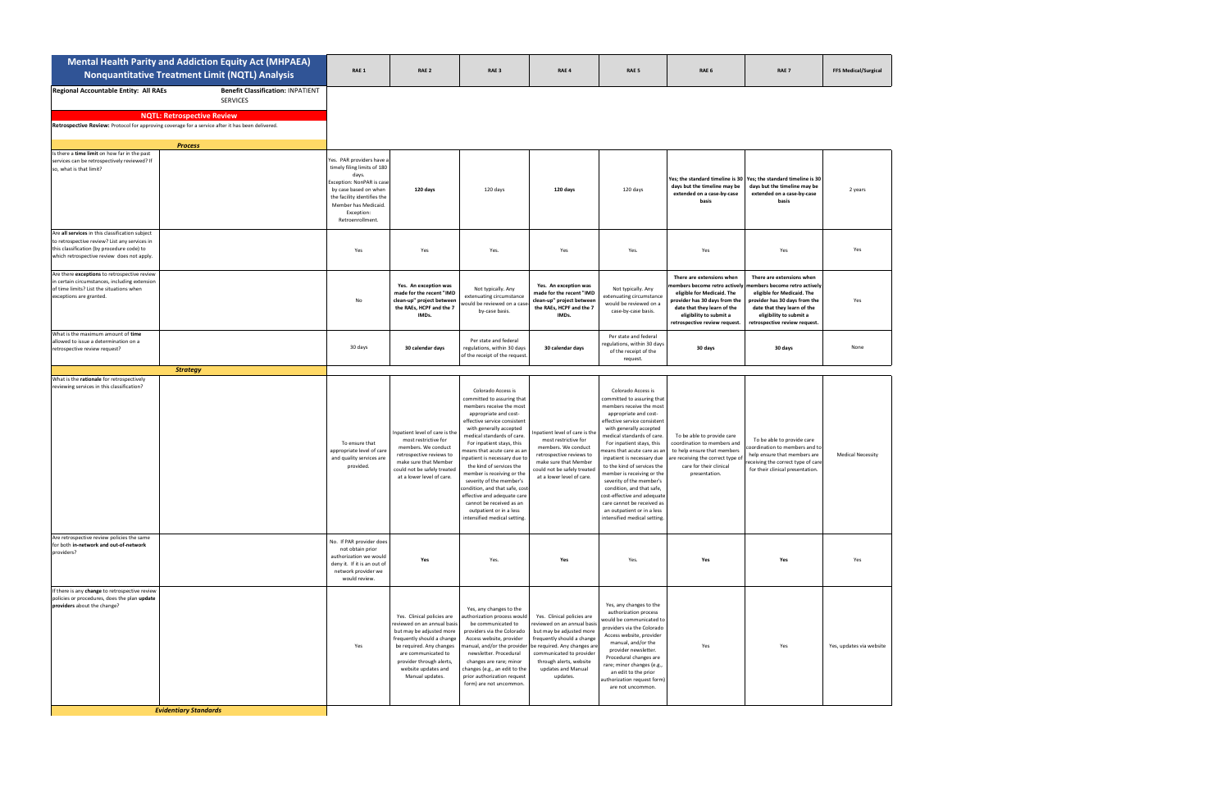|                                                                                                                                                                                              | <b>Mental Health Parity and Addiction Equity Act (MHPAEA)</b><br><b>Nonquantitative Treatment Limit (NQTL) Analysis</b>                                                                                                | RAE 1                                                                                                                                                                                                            | RAE 2                                                                                                                                                                                                                                        | RAE <sub>3</sub>                                                                                                                                                                                                                                                                                                                                                                                                                                                                                                                          | RAE 4                                                                                                                                                                                                                                                                    | RAE <sub>5</sub>                                                                                                                                                                                                                                                                                                                                                                                                                                                                                                                          | RAE 6                                                                                                                                                                                                                | RAE <sub>7</sub>                                                                                                                                                                                                    | <b>FFS Medical/Surgical</b> |
|----------------------------------------------------------------------------------------------------------------------------------------------------------------------------------------------|------------------------------------------------------------------------------------------------------------------------------------------------------------------------------------------------------------------------|------------------------------------------------------------------------------------------------------------------------------------------------------------------------------------------------------------------|----------------------------------------------------------------------------------------------------------------------------------------------------------------------------------------------------------------------------------------------|-------------------------------------------------------------------------------------------------------------------------------------------------------------------------------------------------------------------------------------------------------------------------------------------------------------------------------------------------------------------------------------------------------------------------------------------------------------------------------------------------------------------------------------------|--------------------------------------------------------------------------------------------------------------------------------------------------------------------------------------------------------------------------------------------------------------------------|-------------------------------------------------------------------------------------------------------------------------------------------------------------------------------------------------------------------------------------------------------------------------------------------------------------------------------------------------------------------------------------------------------------------------------------------------------------------------------------------------------------------------------------------|----------------------------------------------------------------------------------------------------------------------------------------------------------------------------------------------------------------------|---------------------------------------------------------------------------------------------------------------------------------------------------------------------------------------------------------------------|-----------------------------|
| Regional Accountable Entity: All RAEs                                                                                                                                                        | <b>Benefit Classification: INPATIENT</b><br><b>SERVICES</b><br><b>NQTL: Retrospective Review</b><br>Retrospective Review: Protocol for approving coverage for a service after it has been delivered.<br><b>Process</b> |                                                                                                                                                                                                                  |                                                                                                                                                                                                                                              |                                                                                                                                                                                                                                                                                                                                                                                                                                                                                                                                           |                                                                                                                                                                                                                                                                          |                                                                                                                                                                                                                                                                                                                                                                                                                                                                                                                                           |                                                                                                                                                                                                                      |                                                                                                                                                                                                                     |                             |
| Is there a time limit on how far in the past<br>services can be retrospectively reviewed? If<br>so, what is that limit?                                                                      |                                                                                                                                                                                                                        | Yes. PAR providers have a<br>timely filing limits of 180<br>days.<br>Exception: NonPAR is case<br>by case based on when<br>the facility identifies the<br>Member has Medicaid.<br>Exception:<br>Retroenrollment. | 120 days                                                                                                                                                                                                                                     | 120 days                                                                                                                                                                                                                                                                                                                                                                                                                                                                                                                                  | 120 days                                                                                                                                                                                                                                                                 | 120 days                                                                                                                                                                                                                                                                                                                                                                                                                                                                                                                                  | days but the timeline may be<br>extended on a case-by-case<br>basis                                                                                                                                                  | Yes; the standard timeline is 30 Yes; the standard timeline is 30<br>days but the timeline may be<br>extended on a case-by-case<br>basis                                                                            | 2 years                     |
| Are all services in this classification subject<br>to retrospective review? List any services in<br>this classification (by procedure code) to<br>which retrospective review does not apply. |                                                                                                                                                                                                                        | Yes                                                                                                                                                                                                              | Yes                                                                                                                                                                                                                                          | Yes.                                                                                                                                                                                                                                                                                                                                                                                                                                                                                                                                      | Yes                                                                                                                                                                                                                                                                      | Yes.                                                                                                                                                                                                                                                                                                                                                                                                                                                                                                                                      | Yes                                                                                                                                                                                                                  | Yes                                                                                                                                                                                                                 | Yes                         |
| Are there exceptions to retrospective review<br>in certain circumstances, including extension<br>of time limits? List the situations when<br>exceptions are granted.                         |                                                                                                                                                                                                                        | No                                                                                                                                                                                                               | Yes. An exception was<br>made for the recent "IMD<br>clean-up" project between<br>the RAEs, HCPF and the 7<br>IMDs.                                                                                                                          | Not typically. Any<br>extenuating circumstance<br>would be reviewed on a ca:<br>by-case basis.                                                                                                                                                                                                                                                                                                                                                                                                                                            | Yes. An exception was<br>made for the recent "IMD<br>clean-up" project between<br>the RAEs, HCPF and the 7<br>IMDs.                                                                                                                                                      | Not typically. Any<br>extenuating circumstance<br>would be reviewed on a<br>case-by-case basis.                                                                                                                                                                                                                                                                                                                                                                                                                                           | There are extensions when<br>nembers become retro actively<br>eligible for Medicaid. The<br>provider has 30 days from the<br>date that they learn of the<br>eligibility to submit a<br>retrospective review request. | There are extensions when<br>embers become retro actively<br>eligible for Medicaid. The<br>provider has 30 days from the<br>date that they learn of the<br>eligibility to submit a<br>retrospective review request. | Yes                         |
| What is the maximum amount of time<br>allowed to issue a determination on a<br>retrospective review request?                                                                                 |                                                                                                                                                                                                                        | 30 days                                                                                                                                                                                                          | 30 calendar days                                                                                                                                                                                                                             | Per state and federal<br>regulations, within 30 days<br>of the receipt of the request.                                                                                                                                                                                                                                                                                                                                                                                                                                                    | 30 calendar days                                                                                                                                                                                                                                                         | Per state and federal<br>egulations, within 30 days<br>of the receipt of the<br>request.                                                                                                                                                                                                                                                                                                                                                                                                                                                  | 30 days                                                                                                                                                                                                              | 30 days                                                                                                                                                                                                             | None                        |
|                                                                                                                                                                                              | <b>Strategy</b>                                                                                                                                                                                                        |                                                                                                                                                                                                                  |                                                                                                                                                                                                                                              |                                                                                                                                                                                                                                                                                                                                                                                                                                                                                                                                           |                                                                                                                                                                                                                                                                          |                                                                                                                                                                                                                                                                                                                                                                                                                                                                                                                                           |                                                                                                                                                                                                                      |                                                                                                                                                                                                                     |                             |
| What is the rationale for retrospectively<br>reviewing services in this classification?                                                                                                      |                                                                                                                                                                                                                        | To ensure that<br>appropriate level of care<br>and quality services are<br>provided.                                                                                                                             | Inpatient level of care is the<br>most restrictive for<br>members. We conduct<br>retrospective reviews to<br>make sure that Member<br>could not be safely treated<br>at a lower level of care.                                               | Colorado Access is<br>committed to assuring that<br>members receive the most<br>appropriate and cost-<br>effective service consistent<br>with generally accepted<br>medical standards of care.<br>For inpatient stays, this<br>means that acute care as an<br>inpatient is necessary due to<br>the kind of services the<br>member is receiving or the<br>severity of the member's<br>condition, and that safe, cost<br>effective and adequate care<br>cannot be received as an<br>outpatient or in a less<br>intensified medical setting. | npatient level of care is the<br>most restrictive for<br>members. We conduct<br>retrospective reviews to<br>make sure that Member<br>could not be safely treated<br>at a lower level of care.                                                                            | Colorado Access is<br>committed to assuring that<br>members receive the most<br>appropriate and cost-<br>effective service consistent<br>with generally accepted<br>medical standards of care.<br>For inpatient stays, this<br>neans that acute care as an<br>inpatient is necessary due<br>to the kind of services the<br>member is receiving or the<br>severity of the member's<br>condition, and that safe,<br>cost-effective and adequate<br>care cannot be received as<br>an outpatient or in a less<br>intensified medical setting. | To be able to provide care<br>coordination to members and<br>to help ensure that members<br>re receiving the correct type o<br>care for their clinical<br>presentation.                                              | To be able to provide care<br>oordination to members and to<br>help ensure that members are<br>receiving the correct type of care<br>for their clinical presentation.                                               | <b>Medical Necessity</b>    |
| Are retrospective review policies the same<br>for both in-network and out-of-network<br>providers?                                                                                           |                                                                                                                                                                                                                        | No. If PAR provider does<br>not obtain prior<br>authorization we would<br>deny it. If it is an out of<br>network provider we<br>would review.                                                                    | Yes                                                                                                                                                                                                                                          | Yes.                                                                                                                                                                                                                                                                                                                                                                                                                                                                                                                                      | Yes                                                                                                                                                                                                                                                                      | Yes.                                                                                                                                                                                                                                                                                                                                                                                                                                                                                                                                      | Yes                                                                                                                                                                                                                  | Yes                                                                                                                                                                                                                 | Yes                         |
| If there is any change to retrospective review<br>policies or procedures, does the plan update<br>providers about the change?                                                                |                                                                                                                                                                                                                        | Yes                                                                                                                                                                                                              | Yes. Clinical policies are<br>reviewed on an annual basis<br>but may be adjusted more<br>frequently should a change<br>be required. Any changes<br>are communicated to<br>provider through alerts,<br>website updates and<br>Manual updates. | Yes, any changes to the<br>authorization process would<br>be communicated to<br>providers via the Colorado<br>Access website, provider<br>newsletter. Procedural<br>changes are rare; minor<br>changes (e.g., an edit to the<br>prior authorization request<br>form) are not uncommon.                                                                                                                                                                                                                                                    | Yes. Clinical policies are<br>reviewed on an annual basis<br>but may be adjusted more<br>frequently should a change<br>manual, and/or the provider be required. Any changes are<br>communicated to provider<br>through alerts, website<br>updates and Manual<br>updates. | Yes, any changes to the<br>authorization process<br>vould be communicated to<br>providers via the Colorado<br>Access website, provider<br>manual, and/or the<br>provider newsletter.<br>Procedural changes are<br>rare; minor changes (e.g.,<br>an edit to the prior<br>uthorization request form)<br>are not uncommon.                                                                                                                                                                                                                   | Yes                                                                                                                                                                                                                  | Yes                                                                                                                                                                                                                 | Yes, updates via website    |
|                                                                                                                                                                                              | <b>Evidentiary Standards</b>                                                                                                                                                                                           |                                                                                                                                                                                                                  |                                                                                                                                                                                                                                              |                                                                                                                                                                                                                                                                                                                                                                                                                                                                                                                                           |                                                                                                                                                                                                                                                                          |                                                                                                                                                                                                                                                                                                                                                                                                                                                                                                                                           |                                                                                                                                                                                                                      |                                                                                                                                                                                                                     |                             |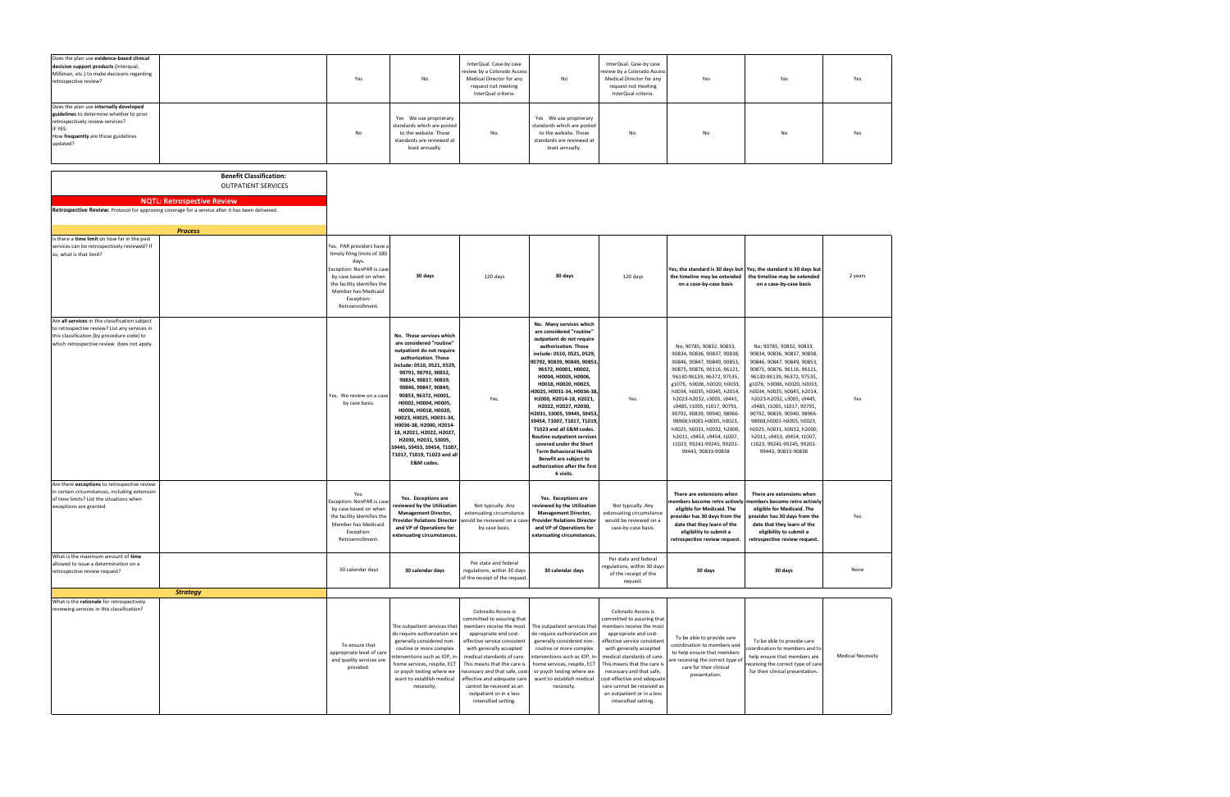| Does the plan use evidence-based clinical<br>decision support products (Interqual,<br>Milliman, etc.) to make decisions regarding<br>retrospective review?                                  | Yes | No                                                                                                                            | InterQual. Case-by case<br>review by a Colorado Access<br>Medical Director for any<br>request not meeting<br>InterQual criteria. | No                                                                                                                            | InterQual. Case-by case<br>review by a Colorado Access<br>Medical Director for any<br>request not meeting<br>InterQual criteria. | Yes | Yes | Yes |
|---------------------------------------------------------------------------------------------------------------------------------------------------------------------------------------------|-----|-------------------------------------------------------------------------------------------------------------------------------|----------------------------------------------------------------------------------------------------------------------------------|-------------------------------------------------------------------------------------------------------------------------------|----------------------------------------------------------------------------------------------------------------------------------|-----|-----|-----|
| Does the plan use internally developed<br>guidelines to determine whether to prior<br>retrospectively review services?<br><b>IF YES:</b><br>How frequently are those guidelines<br>updated? | No  | Yes We use proprierary<br>standards which are posted<br>to the website. Those<br>standards are reviewed at<br>least annually. | No.                                                                                                                              | Yes We use proprierary<br>standards which are posted<br>to the website. Those<br>standards are reviewed at<br>least annually. | No.                                                                                                                              | No  | No  | Yes |

| <b>Benefit Classification:</b><br><b>OUTPATIENT SERVICES</b>                                                                                                                                 |                                                                                                                                                                                                                  |                                                                                                                                                                                                                                                                                                                                                                                                                                                                             |                                                                                                                                                                                                                                                                                                                                                      |                                                                                                                                                                                                                                                                                                                                                                                                                                                                                                                                                                                                  |                                                                                                                                                                                                                                                                                                                                                      |                                                                                                                                                                                                                                                                                                                                                                                                                                                              |                                                                                                                                                                                                                                                                                                                                                                                                                                                              |                          |
|----------------------------------------------------------------------------------------------------------------------------------------------------------------------------------------------|------------------------------------------------------------------------------------------------------------------------------------------------------------------------------------------------------------------|-----------------------------------------------------------------------------------------------------------------------------------------------------------------------------------------------------------------------------------------------------------------------------------------------------------------------------------------------------------------------------------------------------------------------------------------------------------------------------|------------------------------------------------------------------------------------------------------------------------------------------------------------------------------------------------------------------------------------------------------------------------------------------------------------------------------------------------------|--------------------------------------------------------------------------------------------------------------------------------------------------------------------------------------------------------------------------------------------------------------------------------------------------------------------------------------------------------------------------------------------------------------------------------------------------------------------------------------------------------------------------------------------------------------------------------------------------|------------------------------------------------------------------------------------------------------------------------------------------------------------------------------------------------------------------------------------------------------------------------------------------------------------------------------------------------------|--------------------------------------------------------------------------------------------------------------------------------------------------------------------------------------------------------------------------------------------------------------------------------------------------------------------------------------------------------------------------------------------------------------------------------------------------------------|--------------------------------------------------------------------------------------------------------------------------------------------------------------------------------------------------------------------------------------------------------------------------------------------------------------------------------------------------------------------------------------------------------------------------------------------------------------|--------------------------|
| <b>NQTL: Retrospective Review</b>                                                                                                                                                            |                                                                                                                                                                                                                  |                                                                                                                                                                                                                                                                                                                                                                                                                                                                             |                                                                                                                                                                                                                                                                                                                                                      |                                                                                                                                                                                                                                                                                                                                                                                                                                                                                                                                                                                                  |                                                                                                                                                                                                                                                                                                                                                      |                                                                                                                                                                                                                                                                                                                                                                                                                                                              |                                                                                                                                                                                                                                                                                                                                                                                                                                                              |                          |
| Retrospective Review: Protocol for approving coverage for a service after it has been delivered.                                                                                             |                                                                                                                                                                                                                  |                                                                                                                                                                                                                                                                                                                                                                                                                                                                             |                                                                                                                                                                                                                                                                                                                                                      |                                                                                                                                                                                                                                                                                                                                                                                                                                                                                                                                                                                                  |                                                                                                                                                                                                                                                                                                                                                      |                                                                                                                                                                                                                                                                                                                                                                                                                                                              |                                                                                                                                                                                                                                                                                                                                                                                                                                                              |                          |
|                                                                                                                                                                                              |                                                                                                                                                                                                                  |                                                                                                                                                                                                                                                                                                                                                                                                                                                                             |                                                                                                                                                                                                                                                                                                                                                      |                                                                                                                                                                                                                                                                                                                                                                                                                                                                                                                                                                                                  |                                                                                                                                                                                                                                                                                                                                                      |                                                                                                                                                                                                                                                                                                                                                                                                                                                              |                                                                                                                                                                                                                                                                                                                                                                                                                                                              |                          |
| <b>Process</b>                                                                                                                                                                               |                                                                                                                                                                                                                  |                                                                                                                                                                                                                                                                                                                                                                                                                                                                             |                                                                                                                                                                                                                                                                                                                                                      |                                                                                                                                                                                                                                                                                                                                                                                                                                                                                                                                                                                                  |                                                                                                                                                                                                                                                                                                                                                      |                                                                                                                                                                                                                                                                                                                                                                                                                                                              |                                                                                                                                                                                                                                                                                                                                                                                                                                                              |                          |
| Is there a time limit on how far in the past                                                                                                                                                 |                                                                                                                                                                                                                  |                                                                                                                                                                                                                                                                                                                                                                                                                                                                             |                                                                                                                                                                                                                                                                                                                                                      |                                                                                                                                                                                                                                                                                                                                                                                                                                                                                                                                                                                                  |                                                                                                                                                                                                                                                                                                                                                      |                                                                                                                                                                                                                                                                                                                                                                                                                                                              |                                                                                                                                                                                                                                                                                                                                                                                                                                                              |                          |
| services can be retrospectively reviewed? If<br>so, what is that limit?                                                                                                                      | Yes. PAR providers have a<br>timely filing limits of 180<br>days.<br>Exception: NonPAR is case<br>by case based on when<br>the facility identifies the<br>Member has Medicaid.<br>Exception:<br>Retroenrollment. | 30 days                                                                                                                                                                                                                                                                                                                                                                                                                                                                     | 120 days                                                                                                                                                                                                                                                                                                                                             | 30 days                                                                                                                                                                                                                                                                                                                                                                                                                                                                                                                                                                                          | 120 days                                                                                                                                                                                                                                                                                                                                             | the timeline may be extended<br>on a case-by-case basis                                                                                                                                                                                                                                                                                                                                                                                                      | Yes; the standard is 30 days but Yes; the standard is 30 days but<br>the timeline may be extended<br>on a case-by-case basis                                                                                                                                                                                                                                                                                                                                 | 2 years                  |
| Are all services in this classification subject<br>to retrospective review? List any services in<br>this classification (by procedure code) to<br>which retrospective review does not apply. | Yes. We review on a case<br>by case basis.                                                                                                                                                                       | No. Those services which<br>are considered "routine"<br>outpatient do not require<br>authorization. Those<br>include: 0510, 0521, 0529<br>90791, 90792, 90832,<br>90834, 90837, 90839,<br>90846, 90847, 90849,<br>90853, 96372, H0001,<br>НООО2, НООО4, НООО5,<br>Н0006, Н0018, Н0020,<br>H0023, H0025, H0031-34,<br>H0036-38, H2000, H2014-<br>18, H2021, H2022, H2027<br>H2030, H2031, S3005,<br>S9445, S9453, S9454, T1007,<br>T1017, T1019, T1023 and all<br>E&M codes. | Yes.                                                                                                                                                                                                                                                                                                                                                 | No. Many services which<br>are considered "routine"<br>outpatient do not require<br>authorization. Those<br>include: 0510, 0521, 0529,<br>90792, 90839, 90849, 90853,<br>96372, H0001, H0002,<br>H0004, H0005, H0006,<br>H0018, H0020, H0023,<br>H0025, H0031-34, H0036-38<br>H2000, H2014-18, H2021,<br>H2022, H2027, H2030,<br>H2031, S3005, S9445, S9453,<br>S9454, T1007, T1017, T1019<br>T1023 and all E&M codes.<br><b>Routine outpatient services</b><br>covered under the Short<br><b>Term Behavioral Health</b><br>Benefit are subject to<br>authorization after the first<br>6 visits. | Yes.                                                                                                                                                                                                                                                                                                                                                 | No; 90785, 90832, 90833,<br>90834, 90836, 90837, 90838,<br>90846, 90847, 90849, 90853,<br>90875, 90876, 96116, 96121,<br>96130-96139, 96372, 97535,<br>g1076, h0006, h0020, h0033<br>h0034, h0035, h0045, h2014,<br>h2023-h2032, s3005, s9445,<br>s9485, t1005, t1017, 90791,<br>90792, 90839, 90940, 98966-<br>98968, h0001-h0005, h0023,<br>h0025, h0031, h0032, h2000,<br>h2011, s9453, s9454, t1007,<br>t1023, 99241-99245, 99201-<br>99443, 90833-90838 | No; 90785, 90832, 90833,<br>90834, 90836, 90837, 90838,<br>90846, 90847, 90849, 90853,<br>90875, 90876, 96116, 96121,<br>96130-96139, 96372, 97535,<br>g1076, h0006, h0020, h0033,<br>h0034, h0035, h0045, h2014,<br>h2023-h2032, s3005, s9445,<br>s9485, t1005, t1017, 90791,<br>90792, 90839, 90940, 98966-<br>98968,h0001-h0005, h0023,<br>h0025, h0031, h0032, h2000,<br>h2011, s9453, s9454, t1007,<br>t1023, 99241-99245, 99201-<br>99443, 90833-90838 | Yes                      |
| Are there exceptions to retrospective review<br>in certain circumstances, including extension<br>of time limits? List the situations when<br>exceptions are granted.                         | Yes.<br>Exception: NonPAR is case<br>by case based on when<br>the facility identifies the<br>Member has Medicaid.<br>Exception:<br>Retroenrollment.                                                              | Yes. Exceptions are<br>reviewed by the Utilization<br><b>Management Director,</b><br><b>Provider Relations Director</b><br>and VP of Operations for<br>extenuating circumstances                                                                                                                                                                                                                                                                                            | Not typically. Any<br>extenuating circumstance<br>would be reviewed on a case<br>by-case basis.                                                                                                                                                                                                                                                      | Yes. Exceptions are<br>reviewed by the Utilization<br><b>Management Director,</b><br><b>Provider Relations Director</b><br>and VP of Operations for<br>extenuating circumstances.                                                                                                                                                                                                                                                                                                                                                                                                                | Not typically. Any<br>extenuating circumstance<br>would be reviewed on a<br>case-by-case basis.                                                                                                                                                                                                                                                      | There are extensions when<br>eligible for Medicaid. The<br>provider has 30 days from the<br>date that they learn of the<br>eligibility to submit a<br>retrospective review request.                                                                                                                                                                                                                                                                          | There are extensions when<br>nembers become retro actively members become retro actively<br>eligible for Medicaid. The<br>provider has 30 days from the<br>date that they learn of the<br>eligibility to submit a<br>retrospective review request.                                                                                                                                                                                                           | Yes                      |
| What is the maximum amount of time<br>allowed to issue a determination on a<br>retrospective review request?                                                                                 | 30 calendar days                                                                                                                                                                                                 | 30 calendar days                                                                                                                                                                                                                                                                                                                                                                                                                                                            | Per state and federal<br>regulations, within 30 days<br>of the receipt of the request.                                                                                                                                                                                                                                                               | 30 calendar days                                                                                                                                                                                                                                                                                                                                                                                                                                                                                                                                                                                 | Per state and federal<br>egulations, within 30 days<br>of the receipt of the<br>request.                                                                                                                                                                                                                                                             | 30 days                                                                                                                                                                                                                                                                                                                                                                                                                                                      | 30 days                                                                                                                                                                                                                                                                                                                                                                                                                                                      | None                     |
| <b>Strategy</b>                                                                                                                                                                              |                                                                                                                                                                                                                  |                                                                                                                                                                                                                                                                                                                                                                                                                                                                             |                                                                                                                                                                                                                                                                                                                                                      |                                                                                                                                                                                                                                                                                                                                                                                                                                                                                                                                                                                                  |                                                                                                                                                                                                                                                                                                                                                      |                                                                                                                                                                                                                                                                                                                                                                                                                                                              |                                                                                                                                                                                                                                                                                                                                                                                                                                                              |                          |
| What is the rationale for retrospectively<br>reviewing services in this classification?                                                                                                      | To ensure that<br>appropriate level of care<br>and quality services are<br>provided.                                                                                                                             | The outpatient services that<br>do require authorization are<br>generally considered non-<br>routine or more complex<br>interventions such as IOP, in<br>home services, respite, ECT<br>or psych testing where we<br>want to establish medical<br>necessity.                                                                                                                                                                                                                | Colorado Access is<br>committed to assuring that<br>members receive the most<br>appropriate and cost-<br>effective service consistent<br>with generally accepted<br>medical standards of care.<br>This means that the care is<br>necessary and that safe, cost<br>effective and adequate care<br>cannot be received as an<br>outpatient or in a less | The outpatient services that<br>do require authorization are<br>generally considered non-<br>routine or more complex<br>interventions such as IOP, in<br>home services, respite, ECT<br>or psych testing where we<br>want to establish medical<br>necessity.                                                                                                                                                                                                                                                                                                                                     | Colorado Access is<br>committed to assuring that<br>members receive the most<br>appropriate and cost-<br>effective service consistent<br>with generally accepted<br>medical standards of care.<br>This means that the care is<br>necessary and that safe,<br>cost-effective and adequate<br>care cannot be received as<br>an outpatient or in a less | To be able to provide care<br>coordination to members and<br>to help ensure that members<br>are receiving the correct type o<br>care for their clinical<br>presentation.                                                                                                                                                                                                                                                                                     | To be able to provide care<br>coordination to members and to<br>help ensure that members are<br>receiving the correct type of care<br>for their clinical presentation.                                                                                                                                                                                                                                                                                       | <b>Medical Necessity</b> |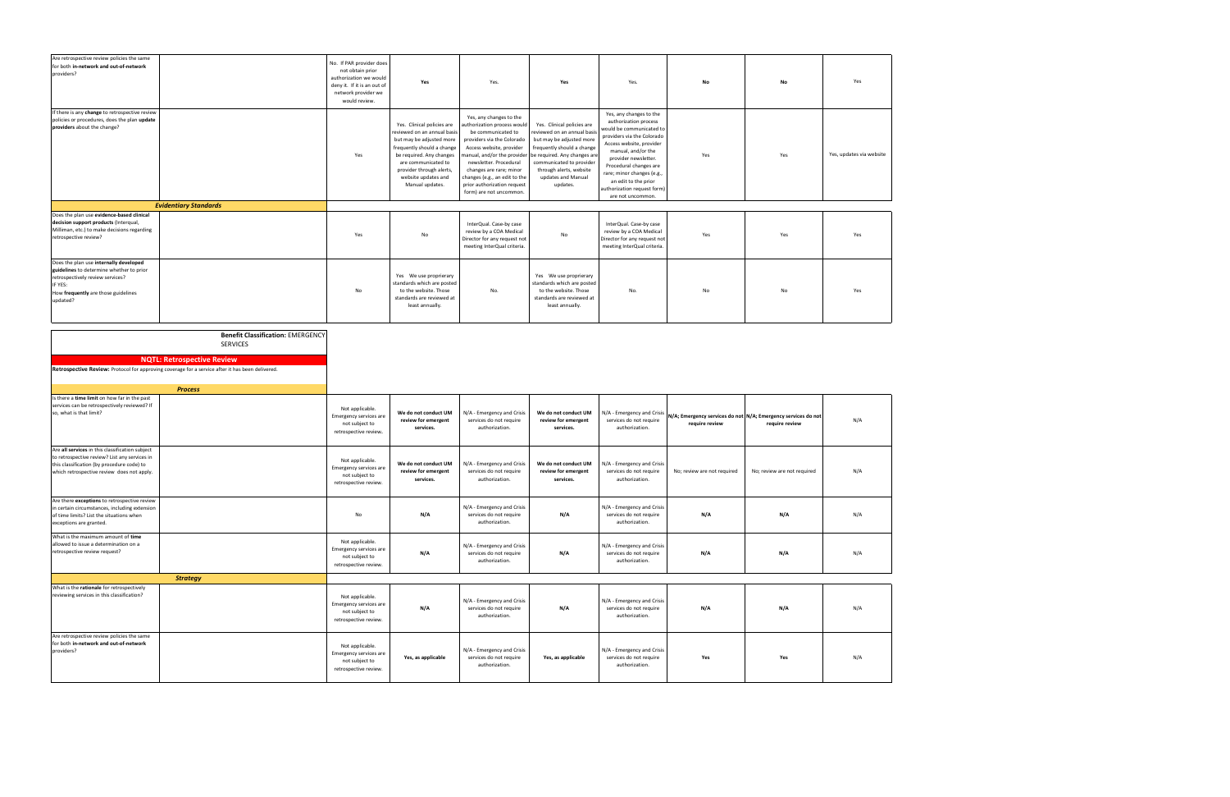| Are retrospective review policies the same<br>for both in-network and out-of-network<br>providers?                                                                                           |                                                                                                  | No. If PAR provider does<br>not obtain prior<br>authorization we would<br>deny it. If it is an out of<br>network provider we<br>would review. | Yes                                                                                                                                                                                                                                          | Yes.                                                                                                                                                                                                                                                                                                                 | Yes                                                                                                                                                                                                                                          | Yes.                                                                                                                                                                                                                                                                                                                     | No                                                                              | No                          | Yes                      |
|----------------------------------------------------------------------------------------------------------------------------------------------------------------------------------------------|--------------------------------------------------------------------------------------------------|-----------------------------------------------------------------------------------------------------------------------------------------------|----------------------------------------------------------------------------------------------------------------------------------------------------------------------------------------------------------------------------------------------|----------------------------------------------------------------------------------------------------------------------------------------------------------------------------------------------------------------------------------------------------------------------------------------------------------------------|----------------------------------------------------------------------------------------------------------------------------------------------------------------------------------------------------------------------------------------------|--------------------------------------------------------------------------------------------------------------------------------------------------------------------------------------------------------------------------------------------------------------------------------------------------------------------------|---------------------------------------------------------------------------------|-----------------------------|--------------------------|
| If there is any change to retrospective review<br>policies or procedures, does the plan update<br>providers about the change?                                                                |                                                                                                  | Yes                                                                                                                                           | Yes. Clinical policies are<br>reviewed on an annual basis<br>but may be adjusted more<br>frequently should a change<br>be required. Any changes<br>are communicated to<br>provider through alerts,<br>website updates and<br>Manual updates. | Yes, any changes to the<br>authorization process would<br>be communicated to<br>providers via the Colorado<br>Access website, provider<br>nanual, and/or the provide<br>newsletter. Procedural<br>changes are rare; minor<br>changes (e.g., an edit to the<br>prior authorization request<br>form) are not uncommon. | Yes. Clinical policies are<br>reviewed on an annual basi:<br>but may be adjusted more<br>frequently should a change<br>be required. Any changes are<br>communicated to provider<br>through alerts, website<br>updates and Manual<br>updates. | Yes, any changes to the<br>authorization process<br>would be communicated to<br>providers via the Colorado<br>Access website, provider<br>manual, and/or the<br>provider newsletter.<br>Procedural changes are<br>rare; minor changes (e.g.,<br>an edit to the prior<br>authorization request form)<br>are not uncommon. | Yes                                                                             | Yes                         | Yes, updates via website |
|                                                                                                                                                                                              | <b>Evidentiary Standards</b>                                                                     |                                                                                                                                               |                                                                                                                                                                                                                                              |                                                                                                                                                                                                                                                                                                                      |                                                                                                                                                                                                                                              |                                                                                                                                                                                                                                                                                                                          |                                                                                 |                             |                          |
| Does the plan use evidence-based clinical<br>decision support products (Interqual,<br>Milliman, etc.) to make decisions regarding<br>retrospective review?                                   |                                                                                                  | Yes                                                                                                                                           | No                                                                                                                                                                                                                                           | InterQual. Case-by case<br>review by a COA Medical<br>Director for any request not<br>meeting InterQual criteria.                                                                                                                                                                                                    | No                                                                                                                                                                                                                                           | InterQual. Case-by case<br>review by a COA Medical<br>Director for any request not<br>meeting InterQual criteria.                                                                                                                                                                                                        | Yes                                                                             | Yes                         | Yes                      |
| Does the plan use internally developed<br>guidelines to determine whether to prior<br>retrospectively review services?<br>IF YES:<br>How frequently are those guidelines<br>updated?         |                                                                                                  | No                                                                                                                                            | Yes We use proprierary<br>standards which are posted<br>to the website. Those<br>standards are reviewed at<br>least annually.                                                                                                                | No.                                                                                                                                                                                                                                                                                                                  | Yes We use proprierary<br>standards which are posted<br>to the website. Those<br>standards are reviewed at<br>least annually.                                                                                                                | No.                                                                                                                                                                                                                                                                                                                      | No                                                                              | No                          | Yes                      |
|                                                                                                                                                                                              | <b>Benefit Classification: EMERGENCY</b><br>SERVICES                                             |                                                                                                                                               |                                                                                                                                                                                                                                              |                                                                                                                                                                                                                                                                                                                      |                                                                                                                                                                                                                                              |                                                                                                                                                                                                                                                                                                                          |                                                                                 |                             |                          |
|                                                                                                                                                                                              | <b>NQTL: Retrospective Review</b>                                                                |                                                                                                                                               |                                                                                                                                                                                                                                              |                                                                                                                                                                                                                                                                                                                      |                                                                                                                                                                                                                                              |                                                                                                                                                                                                                                                                                                                          |                                                                                 |                             |                          |
|                                                                                                                                                                                              | Retrospective Review: Protocol for approving coverage for a service after it has been delivered. |                                                                                                                                               |                                                                                                                                                                                                                                              |                                                                                                                                                                                                                                                                                                                      |                                                                                                                                                                                                                                              |                                                                                                                                                                                                                                                                                                                          |                                                                                 |                             |                          |
|                                                                                                                                                                                              | <b>Process</b>                                                                                   |                                                                                                                                               |                                                                                                                                                                                                                                              |                                                                                                                                                                                                                                                                                                                      |                                                                                                                                                                                                                                              |                                                                                                                                                                                                                                                                                                                          |                                                                                 |                             |                          |
| Is there a time limit on how far in the past<br>services can be retrospectively reviewed? If<br>so, what is that limit?                                                                      |                                                                                                  | Not applicable.<br>Emergency services are<br>not subject to<br>retrospective review.                                                          | We do not conduct UM<br>review for emergent<br>services.                                                                                                                                                                                     | N/A - Emergency and Crisis<br>services do not require<br>authorization.                                                                                                                                                                                                                                              | We do not conduct UM<br>review for emergent<br>services.                                                                                                                                                                                     | N/A - Emergency and Crisis<br>services do not require<br>authorization.                                                                                                                                                                                                                                                  | N/A; Emergency services do not N/A; Emergency services do not<br>require review | require review              | N/A                      |
| Are all services in this classification subject<br>to retrospective review? List any services in<br>this classification (by procedure code) to<br>which retrospective review does not apply. |                                                                                                  | Not applicable.<br>Emergency services are<br>not subject to<br>retrospective review.                                                          | We do not conduct UM<br>review for emergent<br>services.                                                                                                                                                                                     | N/A - Emergency and Crisis<br>services do not require<br>authorization.                                                                                                                                                                                                                                              | We do not conduct UM<br>review for emergent<br>services.                                                                                                                                                                                     | N/A - Emergency and Crisis<br>services do not require<br>authorization.                                                                                                                                                                                                                                                  | No; review are not required                                                     | No; review are not required | N/A                      |
| Are there exceptions to retrospective review<br>in certain circumstances, including extension<br>of time limits? List the situations when<br>exceptions are granted.                         |                                                                                                  | No                                                                                                                                            | N/A                                                                                                                                                                                                                                          | N/A - Emergency and Crisis<br>services do not require<br>authorization.                                                                                                                                                                                                                                              | N/A                                                                                                                                                                                                                                          | N/A - Emergency and Crisis<br>services do not require<br>authorization.                                                                                                                                                                                                                                                  | N/A                                                                             | N/A                         | N/A                      |
| What is the maximum amount of time<br>allowed to issue a determination on a<br>retrospective review request?                                                                                 |                                                                                                  | Not applicable.<br>Emergency services are<br>not subject to<br>retrospective review.                                                          | N/A                                                                                                                                                                                                                                          | N/A - Emergency and Crisis<br>services do not require<br>authorization.                                                                                                                                                                                                                                              | N/A                                                                                                                                                                                                                                          | N/A - Emergency and Crisis<br>services do not require<br>authorization.                                                                                                                                                                                                                                                  | N/A                                                                             | N/A                         | N/A                      |
|                                                                                                                                                                                              | <b>Strategy</b>                                                                                  |                                                                                                                                               |                                                                                                                                                                                                                                              |                                                                                                                                                                                                                                                                                                                      |                                                                                                                                                                                                                                              |                                                                                                                                                                                                                                                                                                                          |                                                                                 |                             |                          |
| What is the rationale for retrospectively<br>reviewing services in this classification?                                                                                                      |                                                                                                  | Not applicable.<br>Emergency services are<br>not subject to<br>retrospective review.                                                          | N/A                                                                                                                                                                                                                                          | N/A - Emergency and Crisis<br>services do not require<br>authorization.                                                                                                                                                                                                                                              | N/A                                                                                                                                                                                                                                          | N/A - Emergency and Crisis<br>services do not require<br>authorization.                                                                                                                                                                                                                                                  | N/A                                                                             | N/A                         | N/A                      |
| Are retrospective review policies the same<br>for both in-network and out-of-network<br>providers?                                                                                           |                                                                                                  | Not applicable.<br>Emergency services are<br>not subject to<br>retrospective review.                                                          | Yes, as applicable                                                                                                                                                                                                                           | N/A - Emergency and Crisis<br>services do not require<br>authorization.                                                                                                                                                                                                                                              | Yes, as applicable                                                                                                                                                                                                                           | N/A - Emergency and Crisis<br>services do not require<br>authorization.                                                                                                                                                                                                                                                  | Yes                                                                             | Yes                         | N/A                      |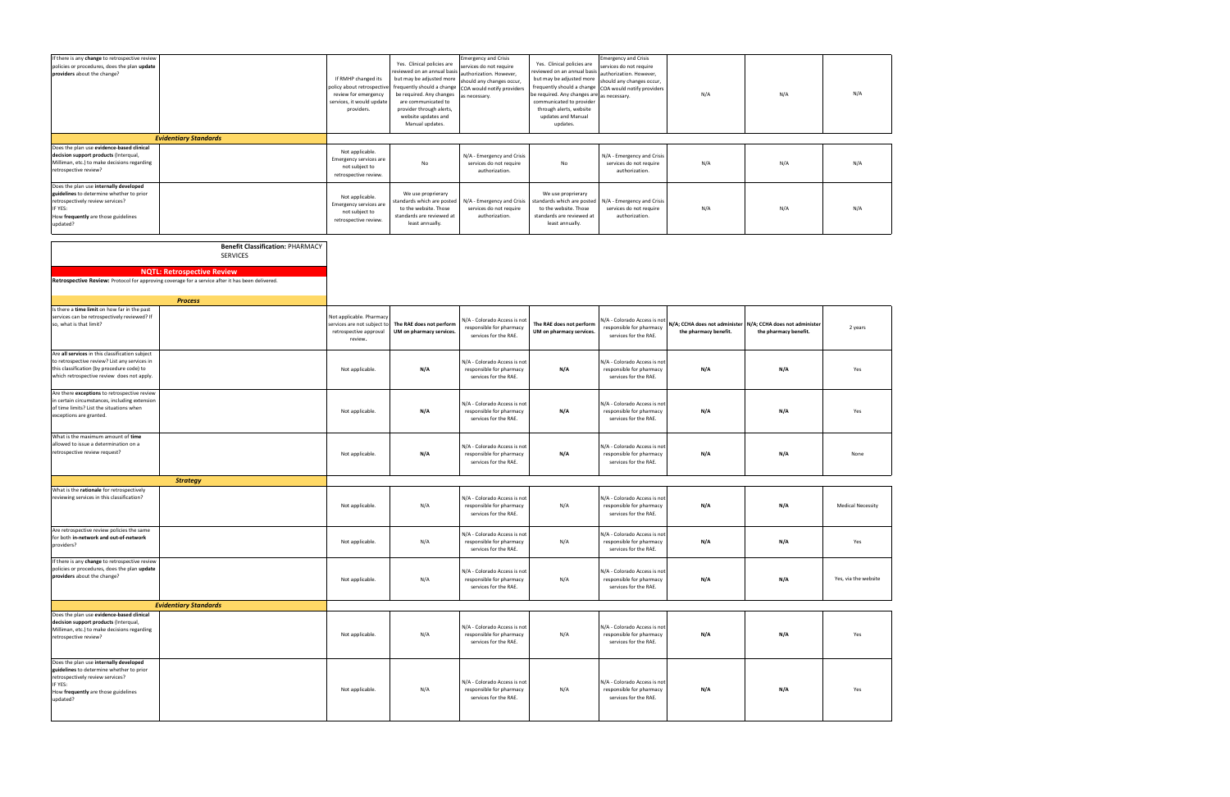| If there is any change to retrospective review<br>policies or procedures, does the plan update<br>providers about the change?                                                                |                                                                                                                                                                                                                       | If RMHP changed its<br>policy about retrospective<br>review for emergency<br>services, it would update<br>providers. | Yes. Clinical policies are<br>eviewed on an annual basi<br>but may be adjusted more<br>frequently should a change<br>be required. Any changes<br>are communicated to<br>provider through alerts,<br>website updates and<br>Manual updates. | <b>Emergency and Crisis</b><br>ervices do not require<br>authorization. However,<br>should any changes occur,<br>COA would notify providers<br>as necessary. | Yes. Clinical policies are<br>reviewed on an annual basi:<br>but may be adjusted more<br>frequently should a change<br>be required. Any changes are<br>communicated to provider<br>through alerts, website<br>updates and Manual<br>updates. | <b>Emergency and Crisis</b><br>services do not require<br>authorization. However,<br>should any changes occur,<br>COA would notify providers<br>as necessary. | N/A                   | N/A                                                                                  | N/A     |
|----------------------------------------------------------------------------------------------------------------------------------------------------------------------------------------------|-----------------------------------------------------------------------------------------------------------------------------------------------------------------------------------------------------------------------|----------------------------------------------------------------------------------------------------------------------|--------------------------------------------------------------------------------------------------------------------------------------------------------------------------------------------------------------------------------------------|--------------------------------------------------------------------------------------------------------------------------------------------------------------|----------------------------------------------------------------------------------------------------------------------------------------------------------------------------------------------------------------------------------------------|---------------------------------------------------------------------------------------------------------------------------------------------------------------|-----------------------|--------------------------------------------------------------------------------------|---------|
|                                                                                                                                                                                              | <b>Evidentiary Standards</b>                                                                                                                                                                                          |                                                                                                                      |                                                                                                                                                                                                                                            |                                                                                                                                                              |                                                                                                                                                                                                                                              |                                                                                                                                                               |                       |                                                                                      |         |
| Does the plan use evidence-based clinical<br>decision support products (Interqual,<br>Milliman, etc.) to make decisions regarding<br>retrospective review?                                   |                                                                                                                                                                                                                       | Not applicable.<br>Emergency services are<br>not subject to<br>retrospective review.                                 | No                                                                                                                                                                                                                                         | N/A - Emergency and Crisis<br>services do not require<br>authorization.                                                                                      | No                                                                                                                                                                                                                                           | N/A - Emergency and Crisis<br>services do not require<br>authorization.                                                                                       | N/A                   | N/A                                                                                  | N/A     |
| Does the plan use internally developed<br>guidelines to determine whether to prior<br>retrospectively review services?<br>IF YES:<br>How frequently are those guidelines<br>updated?         |                                                                                                                                                                                                                       | Not applicable.<br>Emergency services are<br>not subject to<br>retrospective review.                                 | We use proprierary<br>standards which are posted<br>to the website. Those<br>standards are reviewed at<br>least annually.                                                                                                                  | N/A - Emergency and Crisis<br>services do not require<br>authorization.                                                                                      | We use proprierary<br>standards which are posted<br>to the website. Those<br>standards are reviewed at<br>least annually.                                                                                                                    | N/A - Emergency and Crisis<br>services do not require<br>authorization.                                                                                       | N/A                   | N/A                                                                                  | N/A     |
|                                                                                                                                                                                              | <b>Benefit Classification: PHARMACY</b><br><b>SERVICES</b><br><b>NQTL: Retrospective Review</b><br>Retrospective Review: Protocol for approving coverage for a service after it has been delivered.<br><b>Process</b> |                                                                                                                      |                                                                                                                                                                                                                                            |                                                                                                                                                              |                                                                                                                                                                                                                                              |                                                                                                                                                               |                       |                                                                                      |         |
| Is there a time limit on how far in the past<br>services can be retrospectively reviewed? If<br>so, what is that limit?                                                                      |                                                                                                                                                                                                                       | Not applicable. Pharmacy<br>services are not subject to<br>retrospective approval<br>review.                         | The RAE does not perform<br>UM on pharmacy services.                                                                                                                                                                                       | N/A - Colorado Access is not<br>responsible for pharmacy<br>services for the RAE.                                                                            | The RAE does not perform<br>UM on pharmacy services.                                                                                                                                                                                         | N/A - Colorado Access is not<br>responsible for pharmacy<br>services for the RAE.                                                                             | the pharmacy benefit. | N/A; CCHA does not administer N/A; CCHA does not administer<br>the pharmacy benefit. | 2 years |
| Are all services in this classification subject<br>to retrospective review? List any services in<br>this classification (by procedure code) to<br>which retrospective review does not apply. |                                                                                                                                                                                                                       | Not applicable.                                                                                                      | N/A                                                                                                                                                                                                                                        | N/A - Colorado Access is not<br>responsible for pharmacy<br>services for the RAE.                                                                            | N/A                                                                                                                                                                                                                                          | N/A - Colorado Access is not<br>responsible for pharmacy<br>services for the RAE.                                                                             | N/A                   | N/A                                                                                  | Yes     |
| Are there exceptions to retrospective review<br>in certain circumstances, including extension<br>of time limits? List the situations when<br>exceptions are granted.                         |                                                                                                                                                                                                                       | Not applicable.                                                                                                      | N/A                                                                                                                                                                                                                                        | N/A - Colorado Access is not<br>responsible for pharmacy<br>sandara fan tha DAF.                                                                             | N/A                                                                                                                                                                                                                                          | N/A - Colorado Access is not<br>responsible for pharmacy<br>condensationales DAF                                                                              | N/A                   | N/A                                                                                  | Yes     |

N/A - Colorado Access is not responsible for pharmacy services for the RAE. **N/A**

**N/A - Colorado Access is not and access is not access is not access is not access is not access is not access if**  $N/A$  **Yes<br>
responsible for the RAE.<br>
<b>N/A** Yes

| What is the maximum amount of time<br>allowed to issue a determination on a<br>retrospective review request?                                                                         |                              | Not applicable. | N/A | N/A - Colorado Access is not<br>responsible for pharmacy<br>services for the RAE. | N/A | N/A - Colorado Access is not<br>responsible for pharmacy<br>services for the RAE. | N/A | N/A | None                     |
|--------------------------------------------------------------------------------------------------------------------------------------------------------------------------------------|------------------------------|-----------------|-----|-----------------------------------------------------------------------------------|-----|-----------------------------------------------------------------------------------|-----|-----|--------------------------|
|                                                                                                                                                                                      | <b>Strategy</b>              |                 |     |                                                                                   |     |                                                                                   |     |     |                          |
| What is the rationale for retrospectively<br>reviewing services in this classification?                                                                                              |                              | Not applicable. | N/A | N/A - Colorado Access is not<br>responsible for pharmacy<br>services for the RAE. | N/A | N/A - Colorado Access is not<br>responsible for pharmacy<br>services for the RAE. | N/A | N/A | <b>Medical Necessity</b> |
| Are retrospective review policies the same<br>for both in-network and out-of-network<br>providers?                                                                                   |                              | Not applicable. | N/A | N/A - Colorado Access is not<br>responsible for pharmacy<br>services for the RAE. | N/A | N/A - Colorado Access is not<br>responsible for pharmacy<br>services for the RAE. | N/A | N/A | Yes                      |
| If there is any change to retrospective review<br>policies or procedures, does the plan update<br>providers about the change?                                                        |                              | Not applicable. | N/A | N/A - Colorado Access is not<br>responsible for pharmacy<br>services for the RAE. | N/A | N/A - Colorado Access is not<br>responsible for pharmacy<br>services for the RAE. | N/A | N/A | Yes, via the website     |
|                                                                                                                                                                                      | <b>Evidentiary Standards</b> |                 |     |                                                                                   |     |                                                                                   |     |     |                          |
| Does the plan use evidence-based clinical<br>decision support products (Interqual,<br>Milliman, etc.) to make decisions regarding<br>retrospective review?                           |                              | Not applicable. | N/A | N/A - Colorado Access is not<br>responsible for pharmacy<br>services for the RAE. | N/A | N/A - Colorado Access is not<br>responsible for pharmacy<br>services for the RAE. | N/A | N/A | Yes                      |
| Does the plan use internally developed<br>guidelines to determine whether to prior<br>retrospectively review services?<br>IF YES:<br>How frequently are those guidelines<br>updated? |                              | Not applicable. | N/A | N/A - Colorado Access is not<br>responsible for pharmacy<br>services for the RAE. | N/A | N/A - Colorado Access is not<br>responsible for pharmacy<br>services for the RAE. | N/A | N/A | Yes                      |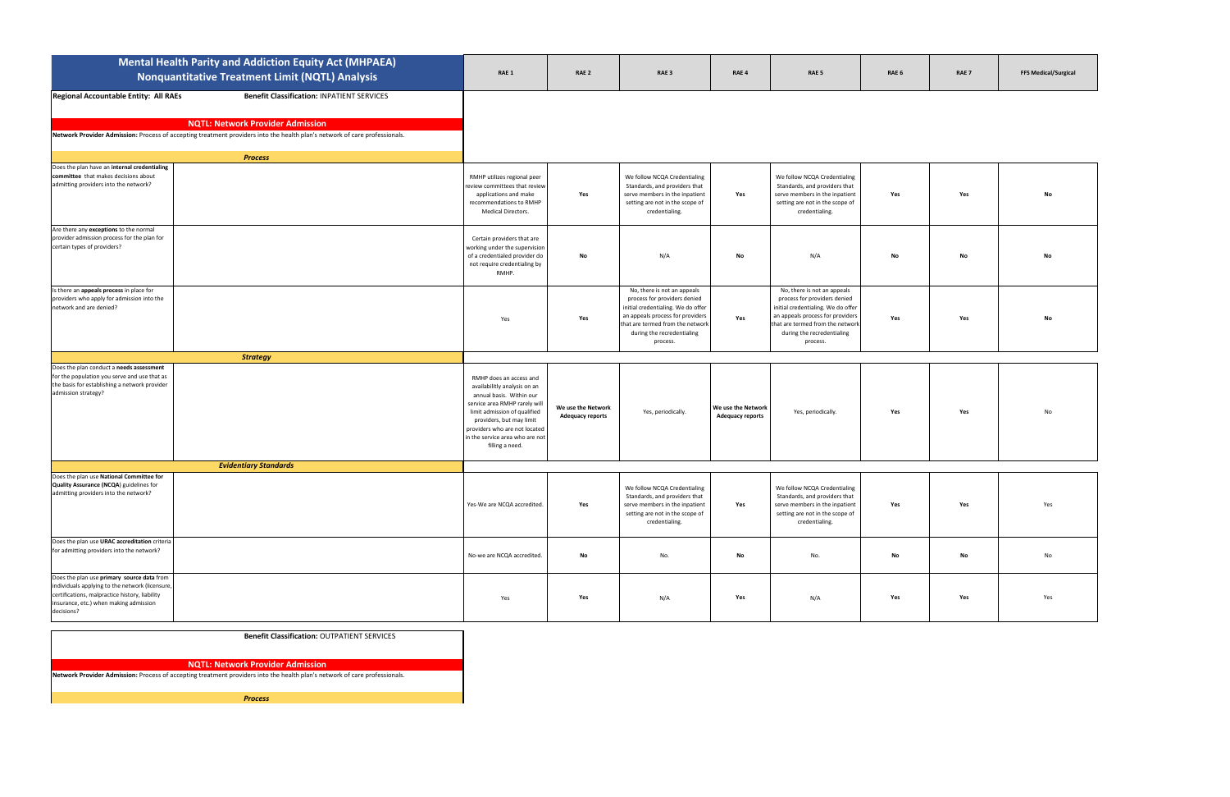|                                                                                                                                                                                                         | <b>Mental Health Parity and Addiction Equity Act (MHPAEA)</b><br><b>Nonquantitative Treatment Limit (NQTL) Analysis</b>                                                                                                    | RAE 1                                                                                                                                                                                                                                                                   | RAE <sub>2</sub>                              | RAE <sub>3</sub>                                                                                                                                                                                                    | RAE <sub>4</sub>                              | RAE <sub>5</sub>                                                                                                                                                                                                    | RAE 6 | RAE <sub>7</sub> | <b>FFS Medical/Surgical</b> |
|---------------------------------------------------------------------------------------------------------------------------------------------------------------------------------------------------------|----------------------------------------------------------------------------------------------------------------------------------------------------------------------------------------------------------------------------|-------------------------------------------------------------------------------------------------------------------------------------------------------------------------------------------------------------------------------------------------------------------------|-----------------------------------------------|---------------------------------------------------------------------------------------------------------------------------------------------------------------------------------------------------------------------|-----------------------------------------------|---------------------------------------------------------------------------------------------------------------------------------------------------------------------------------------------------------------------|-------|------------------|-----------------------------|
| Regional Accountable Entity: All RAEs                                                                                                                                                                   | <b>Benefit Classification: INPATIENT SERVICES</b><br><b>NQTL: Network Provider Admission</b><br>Network Provider Admission: Process of accepting treatment providers into the health plan's network of care professionals. |                                                                                                                                                                                                                                                                         |                                               |                                                                                                                                                                                                                     |                                               |                                                                                                                                                                                                                     |       |                  |                             |
| Does the plan have an internal credentialing                                                                                                                                                            | <b>Process</b>                                                                                                                                                                                                             |                                                                                                                                                                                                                                                                         |                                               |                                                                                                                                                                                                                     |                                               |                                                                                                                                                                                                                     |       |                  |                             |
| committee that makes decisions about<br>admitting providers into the network?                                                                                                                           |                                                                                                                                                                                                                            | RMHP utilizes regional peer<br>review committees that review<br>applications and make<br>recommendations to RMHP<br>Medical Directors.                                                                                                                                  | Yes                                           | We follow NCQA Credentialing<br>Standards, and providers that<br>serve members in the inpatient<br>setting are not in the scope of<br>credentialing.                                                                | Yes                                           | We follow NCQA Credentialing<br>Standards, and providers that<br>serve members in the inpatient<br>setting are not in the scope of<br>credentialing.                                                                | Yes   | Yes              |                             |
| Are there any exceptions to the normal<br>provider admission process for the plan for<br>certain types of providers?                                                                                    |                                                                                                                                                                                                                            | Certain providers that are<br>working under the supervision<br>of a credentialed provider do<br>not require credentialing by<br>RMHP.                                                                                                                                   | No                                            | N/A                                                                                                                                                                                                                 | No                                            | N/A                                                                                                                                                                                                                 | Nο    | No               | No                          |
| Is there an appeals process in place for<br>providers who apply for admission into the<br>network and are denied?                                                                                       |                                                                                                                                                                                                                            | Yes                                                                                                                                                                                                                                                                     | Yes                                           | No, there is not an appeals<br>process for providers denied<br>initial credentialing. We do offer<br>an appeals process for providers<br>that are termed from the networl<br>during the recredentialing<br>process. | Yes                                           | No, there is not an appeals<br>process for providers denied<br>initial credentialing. We do offer<br>an appeals process for providers<br>that are termed from the network<br>during the recredentialing<br>process. | Yes   | Yes              | No                          |
|                                                                                                                                                                                                         | <b>Strategy</b>                                                                                                                                                                                                            |                                                                                                                                                                                                                                                                         |                                               |                                                                                                                                                                                                                     |                                               |                                                                                                                                                                                                                     |       |                  |                             |
| Does the plan conduct a needs assessment<br>for the population you serve and use that as<br>the basis for establishing a network provider<br>admission strategy?                                        |                                                                                                                                                                                                                            | RMHP does an access and<br>availabilitly analysis on an<br>annual basis. Within our<br>service area RMHP rarely will<br>limit admission of qualified<br>providers, but may limit<br>providers who are not located<br>in the service area who are not<br>filling a need. | We use the Network<br><b>Adequacy reports</b> | Yes, periodically.                                                                                                                                                                                                  | We use the Network<br><b>Adequacy reports</b> | Yes, periodically.                                                                                                                                                                                                  | Yes   | Yes              | N <sub>C</sub>              |
|                                                                                                                                                                                                         | <b>Evidentiary Standards</b>                                                                                                                                                                                               |                                                                                                                                                                                                                                                                         |                                               |                                                                                                                                                                                                                     |                                               |                                                                                                                                                                                                                     |       |                  |                             |
| Does the plan use National Committee for<br>Quality Assurance (NCQA) guidelines for<br>admitting providers into the network?                                                                            |                                                                                                                                                                                                                            | Yes-We are NCQA accredited.                                                                                                                                                                                                                                             | Yes                                           | We follow NCQA Credentialing<br>Standards, and providers that<br>serve members in the inpatient<br>setting are not in the scope of<br>credentialing.                                                                | Yes                                           | We follow NCQA Credentialing<br>Standards, and providers that<br>serve members in the inpatient<br>setting are not in the scope of<br>credentialing.                                                                | Yes   | Yes              | Yes                         |
| Does the plan use URAC accreditation criteria<br>for admitting providers into the network?                                                                                                              |                                                                                                                                                                                                                            | No-we are NCQA accredited.                                                                                                                                                                                                                                              | No                                            | No.                                                                                                                                                                                                                 | No                                            | No.                                                                                                                                                                                                                 | No    | No               | No                          |
| Does the plan use primary source data from<br>individuals applying to the network (licensure,<br>certifications, malpractice history, liability<br>insurance, etc.) when making admission<br>decisions? |                                                                                                                                                                                                                            | Yes                                                                                                                                                                                                                                                                     | Yes                                           | N/A                                                                                                                                                                                                                 | Yes                                           | N/A                                                                                                                                                                                                                 | Yes   | Yes              | Yes                         |

## **Benefit Classification:** OUTPATIENT SERVICES

## **NQTL: Network Provider Admission**

**Network Provider Admission:** Process of accepting treatment providers into the health plan's network of care professionals.

*Process*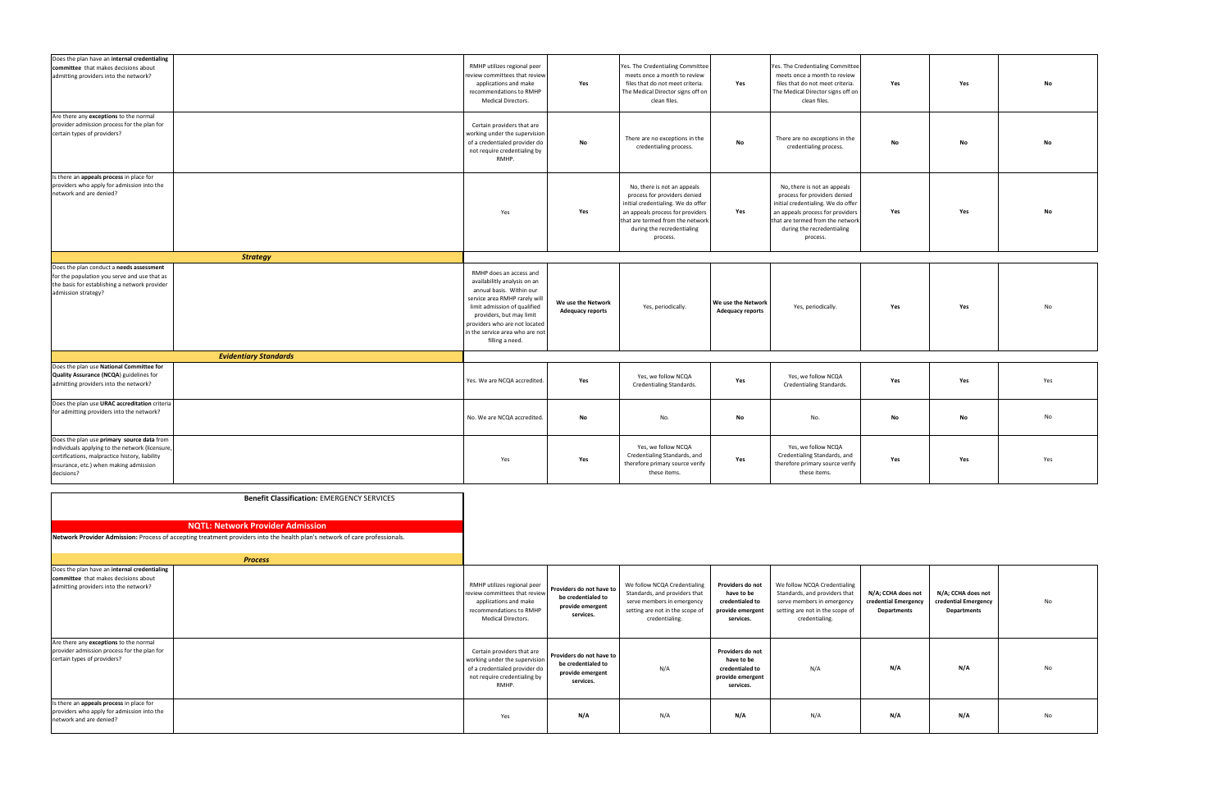| Does the plan have an internal credentialing<br>committee that makes decisions about<br>admitting providers into the network?                                                                           |                                                                                                                                                                       | RMHP utilizes regional peer<br>review committees that review<br>applications and make<br>recommendations to RMHP<br>Medical Directors.                                                                                                                                  | Yes                                                                             | Yes. The Credentialing Committee<br>meets once a month to review<br>files that do not meet criteria.<br>The Medical Director signs off on<br>clean files.                                                           | Yes                                                                                | Yes. The Credentialing Committee<br>meets once a month to review<br>files that do not meet criteria.<br>The Medical Director signs off on<br>clean files.                                                           | Yes                                                              | Yes                                                              | No  |
|---------------------------------------------------------------------------------------------------------------------------------------------------------------------------------------------------------|-----------------------------------------------------------------------------------------------------------------------------------------------------------------------|-------------------------------------------------------------------------------------------------------------------------------------------------------------------------------------------------------------------------------------------------------------------------|---------------------------------------------------------------------------------|---------------------------------------------------------------------------------------------------------------------------------------------------------------------------------------------------------------------|------------------------------------------------------------------------------------|---------------------------------------------------------------------------------------------------------------------------------------------------------------------------------------------------------------------|------------------------------------------------------------------|------------------------------------------------------------------|-----|
| Are there any exceptions to the normal<br>provider admission process for the plan for<br>certain types of providers?                                                                                    |                                                                                                                                                                       | Certain providers that are<br>working under the supervision<br>of a credentialed provider do<br>not require credentialing by<br>RMHP.                                                                                                                                   | No                                                                              | There are no exceptions in the<br>credentialing process.                                                                                                                                                            | No                                                                                 | There are no exceptions in the<br>credentialing process.                                                                                                                                                            | No                                                               | No                                                               | No  |
| Is there an appeals process in place for<br>providers who apply for admission into the<br>network and are denied?                                                                                       |                                                                                                                                                                       | Yes                                                                                                                                                                                                                                                                     | Yes                                                                             | No, there is not an appeals<br>process for providers denied<br>initial credentialing. We do offer<br>an appeals process for providers<br>that are termed from the networl<br>during the recredentialing<br>process. | Yes                                                                                | No, there is not an appeals<br>process for providers denied<br>initial credentialing. We do offer<br>an appeals process for providers<br>that are termed from the networl<br>during the recredentialing<br>process. | Yes                                                              | Yes                                                              | No  |
|                                                                                                                                                                                                         | <b>Strategy</b>                                                                                                                                                       |                                                                                                                                                                                                                                                                         |                                                                                 |                                                                                                                                                                                                                     |                                                                                    |                                                                                                                                                                                                                     |                                                                  |                                                                  |     |
| Does the plan conduct a needs assessment<br>for the population you serve and use that as<br>the basis for establishing a network provider<br>admission strategy?                                        |                                                                                                                                                                       | RMHP does an access and<br>availabilitly analysis on an<br>annual basis. Within our<br>service area RMHP rarely will<br>limit admission of qualified<br>providers, but may limit<br>providers who are not located<br>in the service area who are not<br>filling a need. | We use the Network<br><b>Adequacy reports</b>                                   | Yes, periodically.                                                                                                                                                                                                  | We use the Network<br><b>Adequacy reports</b>                                      | Yes, periodically.                                                                                                                                                                                                  | Yes                                                              | Yes                                                              | No  |
|                                                                                                                                                                                                         | <b>Evidentiary Standards</b>                                                                                                                                          |                                                                                                                                                                                                                                                                         |                                                                                 |                                                                                                                                                                                                                     |                                                                                    |                                                                                                                                                                                                                     |                                                                  |                                                                  |     |
| Does the plan use National Committee for                                                                                                                                                                |                                                                                                                                                                       |                                                                                                                                                                                                                                                                         |                                                                                 |                                                                                                                                                                                                                     |                                                                                    |                                                                                                                                                                                                                     |                                                                  |                                                                  |     |
| Quality Assurance (NCQA) guidelines for<br>admitting providers into the network?                                                                                                                        |                                                                                                                                                                       | Yes. We are NCQA accredited.                                                                                                                                                                                                                                            | Yes                                                                             | Yes, we follow NCQA<br>Credentialing Standards.                                                                                                                                                                     | Yes                                                                                | Yes, we follow NCQA<br>Credentialing Standards.                                                                                                                                                                     | Yes                                                              | Yes                                                              | Yes |
| Does the plan use URAC accreditation criteria<br>for admitting providers into the network?                                                                                                              |                                                                                                                                                                       | No. We are NCQA accredited.                                                                                                                                                                                                                                             | No                                                                              | No.                                                                                                                                                                                                                 | No                                                                                 | No.                                                                                                                                                                                                                 | No                                                               | No                                                               | No  |
| Does the plan use primary source data from<br>individuals applying to the network (licensure,<br>certifications, malpractice history, liability<br>insurance, etc.) when making admission<br>decisions? |                                                                                                                                                                       | Yes                                                                                                                                                                                                                                                                     | Yes                                                                             | Yes, we follow NCQA<br>Credentialing Standards, and<br>therefore primary source verify<br>these items.                                                                                                              | Yes                                                                                | Yes, we follow NCQA<br>Credentialing Standards, and<br>therefore primary source verify<br>these items.                                                                                                              | Yes                                                              | Yes                                                              | Yes |
|                                                                                                                                                                                                         | <b>Benefit Classification: EMERGENCY SERVICES</b>                                                                                                                     |                                                                                                                                                                                                                                                                         |                                                                                 |                                                                                                                                                                                                                     |                                                                                    |                                                                                                                                                                                                                     |                                                                  |                                                                  |     |
|                                                                                                                                                                                                         | <b>NQTL: Network Provider Admission</b><br>Network Provider Admission: Process of accepting treatment providers into the health plan's network of care professionals. |                                                                                                                                                                                                                                                                         |                                                                                 |                                                                                                                                                                                                                     |                                                                                    |                                                                                                                                                                                                                     |                                                                  |                                                                  |     |
|                                                                                                                                                                                                         | <b>Process</b>                                                                                                                                                        |                                                                                                                                                                                                                                                                         |                                                                                 |                                                                                                                                                                                                                     |                                                                                    |                                                                                                                                                                                                                     |                                                                  |                                                                  |     |
| Does the plan have an internal credentialing<br>committee that makes decisions about<br>admitting providers into the network?                                                                           |                                                                                                                                                                       | RMHP utilizes regional peer<br>review committees that review<br>applications and make<br>recommendations to RMHP<br>Medical Directors.                                                                                                                                  | Providers do not have to<br>be credentialed to<br>provide emergent<br>services. | We follow NCQA Credentialing<br>Standards, and providers that<br>serve members in emergency<br>setting are not in the scope of<br>credentialing.                                                                    | Providers do not<br>have to be<br>credentialed to<br>provide emergent<br>services. | We follow NCQA Credentialing<br>Standards, and providers that<br>serve members in emergency<br>setting are not in the scope of<br>credentialing.                                                                    | N/A; CCHA does not<br>credential Emergency<br><b>Departments</b> | N/A; CCHA does not<br>credential Emergency<br><b>Departments</b> | No  |
| Are there any exceptions to the normal<br>provider admission process for the plan for<br>certain types of providers?                                                                                    |                                                                                                                                                                       | Certain providers that are<br>working under the supervision<br>of a credentialed provider do<br>not require credentialing by<br>RMHP.                                                                                                                                   | Providers do not have to<br>be credentialed to<br>provide emergent<br>services. | N/A                                                                                                                                                                                                                 | Providers do not<br>have to be<br>credentialed to<br>provide emergent<br>services. | N/A                                                                                                                                                                                                                 | N/A                                                              | N/A                                                              | No  |
| Is there an appeals process in place for<br>providers who apply for admission into the<br>network and are denied?                                                                                       |                                                                                                                                                                       | Yes                                                                                                                                                                                                                                                                     | N/A                                                                             | N/A                                                                                                                                                                                                                 | N/A                                                                                | N/A                                                                                                                                                                                                                 | N/A                                                              | N/A                                                              | No  |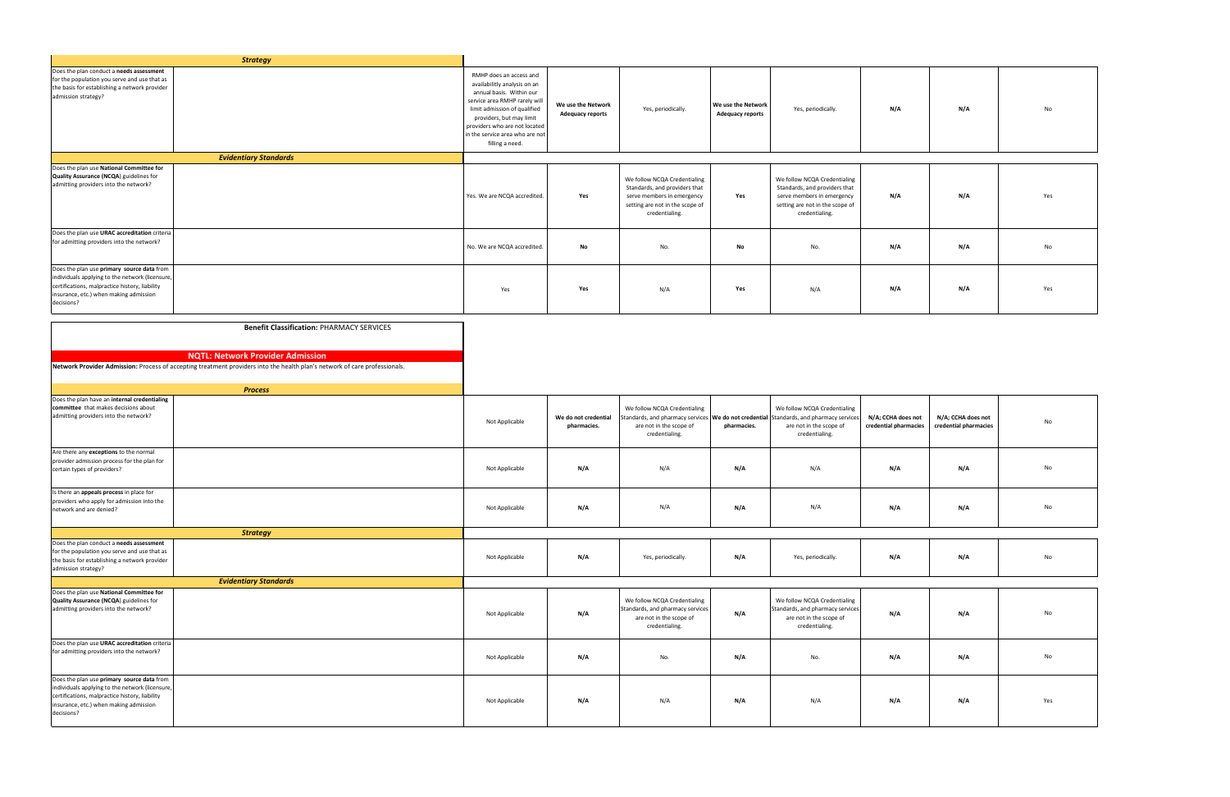|                                                                                            | <b>Strategy</b>                                                                                                            |                                 |                         |                                  |                         |                                                                                          |                       |                       |     |
|--------------------------------------------------------------------------------------------|----------------------------------------------------------------------------------------------------------------------------|---------------------------------|-------------------------|----------------------------------|-------------------------|------------------------------------------------------------------------------------------|-----------------------|-----------------------|-----|
| Does the plan conduct a needs assessment                                                   |                                                                                                                            |                                 |                         |                                  |                         |                                                                                          |                       |                       |     |
| for the population you serve and use that as                                               |                                                                                                                            | RMHP does an access and         |                         |                                  |                         |                                                                                          |                       |                       |     |
| the basis for establishing a network provider                                              |                                                                                                                            | availabilitly analysis on an    |                         |                                  |                         |                                                                                          |                       |                       |     |
| admission strategy?                                                                        |                                                                                                                            | annual basis. Within our        |                         |                                  |                         |                                                                                          |                       |                       |     |
|                                                                                            |                                                                                                                            | service area RMHP rarely will   | We use the Network      |                                  | We use the Network      |                                                                                          |                       |                       |     |
|                                                                                            |                                                                                                                            | limit admission of qualified    | <b>Adequacy reports</b> | Yes, periodically.               | <b>Adequacy reports</b> | Yes, periodically.                                                                       | N/A                   | N/A                   | No  |
|                                                                                            |                                                                                                                            | providers, but may limit        |                         |                                  |                         |                                                                                          |                       |                       |     |
|                                                                                            |                                                                                                                            | providers who are not located   |                         |                                  |                         |                                                                                          |                       |                       |     |
|                                                                                            |                                                                                                                            | in the service area who are not |                         |                                  |                         |                                                                                          |                       |                       |     |
|                                                                                            |                                                                                                                            | filling a need.                 |                         |                                  |                         |                                                                                          |                       |                       |     |
|                                                                                            | <b>Evidentiary Standards</b>                                                                                               |                                 |                         |                                  |                         |                                                                                          |                       |                       |     |
| Does the plan use National Committee for                                                   |                                                                                                                            |                                 |                         |                                  |                         |                                                                                          |                       |                       |     |
| Quality Assurance (NCQA) guidelines for                                                    |                                                                                                                            |                                 |                         |                                  |                         |                                                                                          |                       |                       |     |
| admitting providers into the network?                                                      |                                                                                                                            |                                 |                         | We follow NCQA Credentialing     |                         | We follow NCQA Credentialing                                                             |                       |                       |     |
|                                                                                            |                                                                                                                            |                                 |                         | Standards, and providers that    |                         | Standards, and providers that                                                            |                       |                       |     |
|                                                                                            |                                                                                                                            | Yes. We are NCQA accredited.    | Yes                     | serve members in emergency       | Yes                     | serve members in emergency                                                               | N/A                   | N/A                   | Yes |
|                                                                                            |                                                                                                                            |                                 |                         | setting are not in the scope of  |                         | setting are not in the scope of                                                          |                       |                       |     |
|                                                                                            |                                                                                                                            |                                 |                         | credentialing.                   |                         | credentialing.                                                                           |                       |                       |     |
|                                                                                            |                                                                                                                            |                                 |                         |                                  |                         |                                                                                          |                       |                       |     |
| Does the plan use URAC accreditation criteria<br>for admitting providers into the network? |                                                                                                                            |                                 |                         |                                  |                         |                                                                                          |                       |                       |     |
|                                                                                            |                                                                                                                            | No. We are NCQA accredited.     | No                      | No.                              | No                      | No.                                                                                      | N/A                   | N/A                   | No  |
|                                                                                            |                                                                                                                            |                                 |                         |                                  |                         |                                                                                          |                       |                       |     |
| Does the plan use primary source data from                                                 |                                                                                                                            |                                 |                         |                                  |                         |                                                                                          |                       |                       |     |
| individuals applying to the network (licensure,                                            |                                                                                                                            |                                 |                         |                                  |                         |                                                                                          |                       |                       |     |
| certifications, malpractice history, liability                                             |                                                                                                                            |                                 |                         |                                  |                         |                                                                                          |                       |                       |     |
| insurance, etc.) when making admission                                                     |                                                                                                                            | Yes                             | Yes                     | N/A                              | Yes                     | N/A                                                                                      | N/A                   | N/A                   | Yes |
| decisions?                                                                                 |                                                                                                                            |                                 |                         |                                  |                         |                                                                                          |                       |                       |     |
|                                                                                            |                                                                                                                            |                                 |                         |                                  |                         |                                                                                          |                       |                       |     |
|                                                                                            |                                                                                                                            |                                 |                         |                                  |                         |                                                                                          |                       |                       |     |
|                                                                                            | <b>Benefit Classification: PHARMACY SERVICES</b>                                                                           |                                 |                         |                                  |                         |                                                                                          |                       |                       |     |
|                                                                                            |                                                                                                                            |                                 |                         |                                  |                         |                                                                                          |                       |                       |     |
|                                                                                            | <b>NQTL: Network Provider Admission</b>                                                                                    |                                 |                         |                                  |                         |                                                                                          |                       |                       |     |
|                                                                                            |                                                                                                                            |                                 |                         |                                  |                         |                                                                                          |                       |                       |     |
|                                                                                            | Network Provider Admission: Process of accepting treatment providers into the health plan's network of care professionals. |                                 |                         |                                  |                         |                                                                                          |                       |                       |     |
|                                                                                            |                                                                                                                            |                                 |                         |                                  |                         |                                                                                          |                       |                       |     |
|                                                                                            | <b>Process</b>                                                                                                             |                                 |                         |                                  |                         |                                                                                          |                       |                       |     |
| Does the plan have an internal credentialing                                               |                                                                                                                            |                                 |                         |                                  |                         |                                                                                          |                       |                       |     |
| committee that makes decisions about                                                       |                                                                                                                            |                                 |                         | We follow NCQA Credentialing     |                         | We follow NCQA Credentialing                                                             |                       |                       |     |
| admitting providers into the network?                                                      |                                                                                                                            |                                 | We do not credential    |                                  |                         |                                                                                          |                       |                       |     |
|                                                                                            |                                                                                                                            | Not Applicable                  |                         |                                  |                         |                                                                                          |                       |                       |     |
|                                                                                            |                                                                                                                            |                                 |                         |                                  |                         | Standards, and pharmacy services   We do not credential Standards, and pharmacy services | N/A; CCHA does not    | N/A; CCHA does not    | No  |
|                                                                                            |                                                                                                                            |                                 | pharmacies.             | are not in the scope of          | pharmacies.             | are not in the scope of                                                                  | credential pharmacies | credential pharmacies |     |
|                                                                                            |                                                                                                                            |                                 |                         | credentialing.                   |                         | credentialing.                                                                           |                       |                       |     |
|                                                                                            |                                                                                                                            |                                 |                         |                                  |                         |                                                                                          |                       |                       |     |
| Are there any exceptions to the normal<br>provider admission process for the plan for      |                                                                                                                            |                                 |                         |                                  |                         |                                                                                          |                       |                       |     |
| certain types of providers?                                                                |                                                                                                                            | Not Applicable                  | N/A                     | N/A                              | N/A                     | N/A                                                                                      | N/A                   | N/A                   | No  |
|                                                                                            |                                                                                                                            |                                 |                         |                                  |                         |                                                                                          |                       |                       |     |
|                                                                                            |                                                                                                                            |                                 |                         |                                  |                         |                                                                                          |                       |                       |     |
| Is there an appeals process in place for                                                   |                                                                                                                            |                                 |                         |                                  |                         |                                                                                          |                       |                       |     |
| providers who apply for admission into the                                                 |                                                                                                                            |                                 |                         |                                  |                         |                                                                                          |                       |                       | No  |
| network and are denied?                                                                    |                                                                                                                            | Not Applicable                  | N/A                     | N/A                              | N/A                     | N/A                                                                                      | N/A                   | N/A                   |     |
|                                                                                            |                                                                                                                            |                                 |                         |                                  |                         |                                                                                          |                       |                       |     |
|                                                                                            | <b>Strategy</b>                                                                                                            |                                 |                         |                                  |                         |                                                                                          |                       |                       |     |
| Does the plan conduct a needs assessment                                                   |                                                                                                                            |                                 |                         |                                  |                         |                                                                                          |                       |                       |     |
| for the population you serve and use that as                                               |                                                                                                                            |                                 |                         |                                  |                         |                                                                                          |                       |                       | No  |
| the basis for establishing a network provider                                              |                                                                                                                            | Not Applicable                  | N/A                     | Yes, periodically.               | N/A                     | Yes, periodically.                                                                       | N/A                   | N/A                   |     |
| admission strategy?                                                                        |                                                                                                                            |                                 |                         |                                  |                         |                                                                                          |                       |                       |     |
|                                                                                            | <b>Evidentiary Standards</b>                                                                                               |                                 |                         |                                  |                         |                                                                                          |                       |                       |     |
| Does the plan use National Committee for                                                   |                                                                                                                            |                                 |                         |                                  |                         |                                                                                          |                       |                       |     |
| Quality Assurance (NCQA) guidelines for                                                    |                                                                                                                            |                                 |                         | We follow NCQA Credentialing     |                         | We follow NCQA Credentialing                                                             |                       |                       |     |
| admitting providers into the network?                                                      |                                                                                                                            | Not Applicable                  | N/A                     | Standards, and pharmacy services | N/A                     | Standards, and pharmacy services                                                         | N/A                   | N/A                   | No  |
|                                                                                            |                                                                                                                            |                                 |                         | are not in the scope of          |                         | are not in the scope of                                                                  |                       |                       |     |
|                                                                                            |                                                                                                                            |                                 |                         | credentialing.                   |                         | credentialing.                                                                           |                       |                       |     |
|                                                                                            |                                                                                                                            |                                 |                         |                                  |                         |                                                                                          |                       |                       |     |
| Does the plan use URAC accreditation criteria                                              |                                                                                                                            |                                 |                         |                                  |                         |                                                                                          |                       |                       |     |
| for admitting providers into the network?                                                  |                                                                                                                            | Not Applicable                  | N/A                     | No.                              | N/A                     | No.                                                                                      | N/A                   | N/A                   | No  |
|                                                                                            |                                                                                                                            |                                 |                         |                                  |                         |                                                                                          |                       |                       |     |
| Does the plan use primary source data from                                                 |                                                                                                                            |                                 |                         |                                  |                         |                                                                                          |                       |                       |     |
| individuals applying to the network (licensure,                                            |                                                                                                                            |                                 |                         |                                  |                         |                                                                                          |                       |                       |     |
| certifications, malpractice history, liability                                             |                                                                                                                            |                                 |                         |                                  |                         |                                                                                          |                       |                       |     |
| insurance, etc.) when making admission                                                     |                                                                                                                            | Not Applicable                  | N/A                     | N/A                              | N/A                     | N/A                                                                                      | N/A                   | N/A                   | Yes |
| decisions?                                                                                 |                                                                                                                            |                                 |                         |                                  |                         |                                                                                          |                       |                       |     |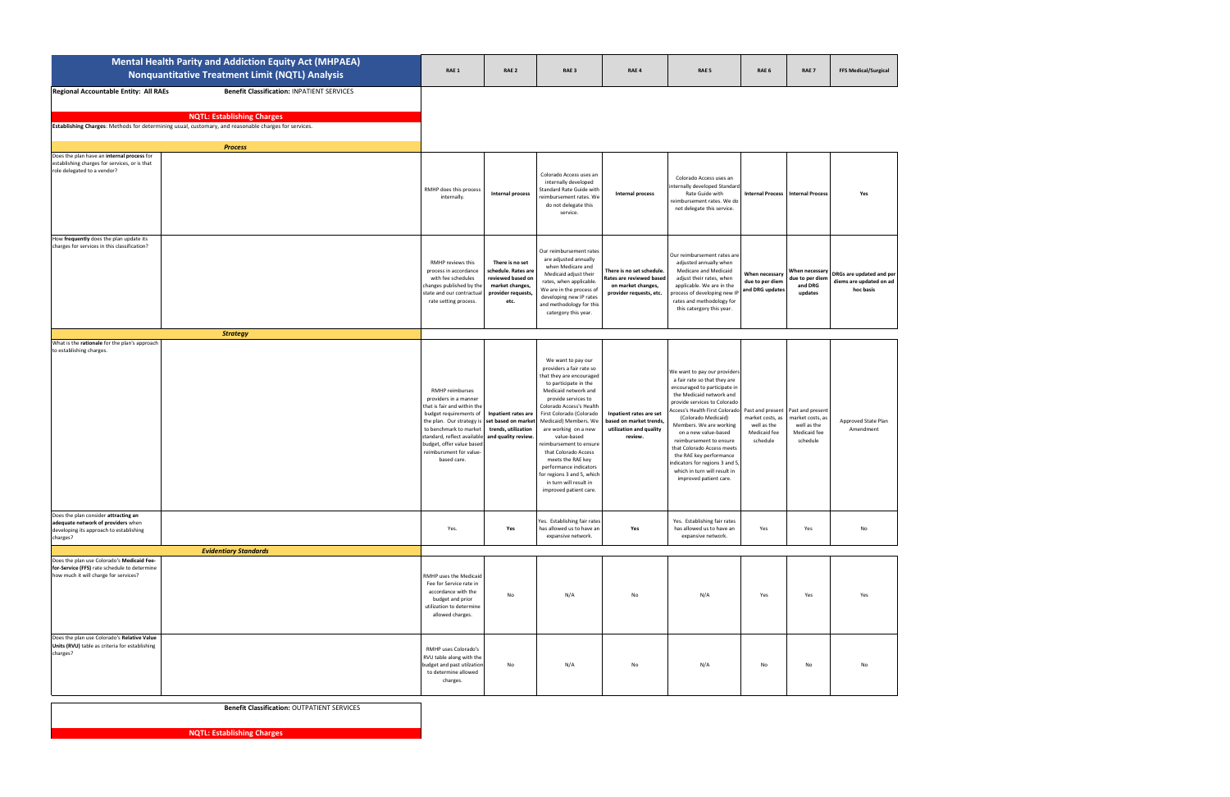|                                                                                                                                     | Mental Health Parity and Addiction Equity Act (MHPAEA)<br><b>Nonquantitative Treatment Limit (NQTL) Analysis</b>                                                                               | RAE 1                                                                                                                                                                                                                                                          | RAE <sub>2</sub>                                                                                             | RAE <sub>3</sub>                                                                                                                                                                                                                                                                                                                                                                                                                                               | RAE 4                                                                                                  | RAE <sub>5</sub>                                                                                                                                                                                                                                                                                                                                                                                                                                     | RAE <sub>6</sub>                                                                | RAE <sub>7</sub>                                                                | <b>FFS Medical/Surgical</b>                                      |
|-------------------------------------------------------------------------------------------------------------------------------------|------------------------------------------------------------------------------------------------------------------------------------------------------------------------------------------------|----------------------------------------------------------------------------------------------------------------------------------------------------------------------------------------------------------------------------------------------------------------|--------------------------------------------------------------------------------------------------------------|----------------------------------------------------------------------------------------------------------------------------------------------------------------------------------------------------------------------------------------------------------------------------------------------------------------------------------------------------------------------------------------------------------------------------------------------------------------|--------------------------------------------------------------------------------------------------------|------------------------------------------------------------------------------------------------------------------------------------------------------------------------------------------------------------------------------------------------------------------------------------------------------------------------------------------------------------------------------------------------------------------------------------------------------|---------------------------------------------------------------------------------|---------------------------------------------------------------------------------|------------------------------------------------------------------|
| Regional Accountable Entity: All RAEs                                                                                               | <b>Benefit Classification: INPATIENT SERVICES</b><br><b>NQTL: Establishing Charges</b><br>Establishing Charges: Methods for determining usual, customary, and reasonable charges for services. |                                                                                                                                                                                                                                                                |                                                                                                              |                                                                                                                                                                                                                                                                                                                                                                                                                                                                |                                                                                                        |                                                                                                                                                                                                                                                                                                                                                                                                                                                      |                                                                                 |                                                                                 |                                                                  |
|                                                                                                                                     | <b>Process</b>                                                                                                                                                                                 |                                                                                                                                                                                                                                                                |                                                                                                              |                                                                                                                                                                                                                                                                                                                                                                                                                                                                |                                                                                                        |                                                                                                                                                                                                                                                                                                                                                                                                                                                      |                                                                                 |                                                                                 |                                                                  |
| Does the plan have an internal process for<br>establishing charges for services, or is that<br>role delegated to a vendor?          |                                                                                                                                                                                                | RMHP does this process<br>internally.                                                                                                                                                                                                                          | <b>Internal process</b>                                                                                      | Colorado Access uses an<br>internally developed<br>Standard Rate Guide with<br>eimbursement rates. We<br>do not delegate this<br>service.                                                                                                                                                                                                                                                                                                                      | Internal process                                                                                       | Colorado Access uses an<br>internally developed Standard<br>Rate Guide with<br>reimbursement rates. We do<br>not delegate this service.                                                                                                                                                                                                                                                                                                              |                                                                                 | <b>Internal Process   Internal Process</b>                                      | Yes                                                              |
| How frequently does the plan update its<br>charges for services in this classification?                                             |                                                                                                                                                                                                | RMHP reviews this<br>process in accordance<br>with fee schedules<br>changes published by the<br>state and our contractua<br>rate setting process.                                                                                                              | There is no set<br>schedule. Rates are<br>reviewed based on<br>market changes,<br>provider requests,<br>etc. | Our reimbursement rates<br>are adjusted annually<br>when Medicare and<br>Medicaid adjust their<br>rates, when applicable.<br>We are in the process of<br>developing new IP rates<br>and methodology for this<br>catergory this year.                                                                                                                                                                                                                           | There is no set schedule.<br>Rates are reviewed based<br>on market changes,<br>provider requests, etc. | Our reimbursement rates are<br>adjusted annually when<br>Medicare and Medicaid<br>adjust their rates, when<br>applicable. We are in the<br>process of developing new IP<br>rates and methodology for<br>this catergory this year.                                                                                                                                                                                                                    | When necessary<br>due to per diem<br>and DRG updates                            | When necessary<br>due to per dien<br>and DRG<br>updates                         | DRGs are updated and per<br>diems are updated on ad<br>hoc basis |
| What is the rationale for the plan's approach                                                                                       | <b>Strategy</b>                                                                                                                                                                                |                                                                                                                                                                                                                                                                |                                                                                                              |                                                                                                                                                                                                                                                                                                                                                                                                                                                                |                                                                                                        |                                                                                                                                                                                                                                                                                                                                                                                                                                                      |                                                                                 |                                                                                 |                                                                  |
| to establishing charges.                                                                                                            |                                                                                                                                                                                                | RMHP reimburses<br>providers in a manner<br>that is fair and within the<br>budget requirements of<br>the plan. Our strategy is<br>to benchmark to market<br>standard, reflect available<br>budget, offer value based<br>reimbursment for value-<br>based care. | Inpatient rates are<br>set based on market<br>trends, utilization<br>and quality review.                     | We want to pay our<br>providers a fair rate so<br>that they are encouraged<br>to participate in the<br>Medicaid network and<br>provide services to<br>Colorado Access's Health<br>First Colorado (Colorado<br>Medicaid) Members. We<br>are working on a new<br>value-based<br>reimbursement to ensure<br>that Colorado Access<br>meets the RAE key<br>performance indicators<br>for regions 3 and 5, which<br>in turn will result in<br>improved patient care. | Inpatient rates are set<br>based on market trends,<br>utilization and quality<br>review.               | We want to pay our providers<br>a fair rate so that they are<br>encouraged to participate in<br>the Medicaid network and<br>provide services to Colorado<br>Access's Health First Colorado<br>(Colorado Medicaid)<br>Members. We are working<br>on a new value-based<br>reimbursement to ensure<br>that Colorado Access meets<br>the RAE key performance<br>indicators for regions 3 and 5<br>which in turn will result in<br>improved patient care. | Past and present<br>market costs, as<br>well as the<br>Medicaid fee<br>schedule | Past and present<br>narket costs, as<br>well as the<br>Medicaid fee<br>schedule | Approved State Plan<br>Amendment                                 |
| Does the plan consider attracting an<br>adequate network of providers when<br>developing its approach to establishing<br>charges?   |                                                                                                                                                                                                | Yes.                                                                                                                                                                                                                                                           | Yes                                                                                                          | Yes. Establishing fair rates<br>has allowed us to have an<br>expansive network.                                                                                                                                                                                                                                                                                                                                                                                | Yes                                                                                                    | Yes. Establishing fair rates<br>has allowed us to have an<br>expansive network.                                                                                                                                                                                                                                                                                                                                                                      | Yes                                                                             | Yes                                                                             | No                                                               |
|                                                                                                                                     | <b>Evidentiary Standards</b>                                                                                                                                                                   |                                                                                                                                                                                                                                                                |                                                                                                              |                                                                                                                                                                                                                                                                                                                                                                                                                                                                |                                                                                                        |                                                                                                                                                                                                                                                                                                                                                                                                                                                      |                                                                                 |                                                                                 |                                                                  |
| Does the plan use Colorado's Medicaid Fee-<br>for-Service (FFS) rate schedule to determine<br>how much it will charge for services? |                                                                                                                                                                                                | RMHP uses the Medicaid<br>Fee for Service rate in<br>accordance with the<br>budget and prior<br>utilization to determine<br>allowed charges.                                                                                                                   | No                                                                                                           | N/A                                                                                                                                                                                                                                                                                                                                                                                                                                                            | No                                                                                                     | N/A                                                                                                                                                                                                                                                                                                                                                                                                                                                  | Yes                                                                             | Yes                                                                             | Yes                                                              |
| Does the plan use Colorado's Relative Value<br>Units (RVU) table as criteria for establishing<br>charges?                           |                                                                                                                                                                                                | RMHP uses Colorado's<br>RVU table along with the<br>budget and past utilzation<br>to determine allowed<br>charges.                                                                                                                                             | No                                                                                                           | N/A                                                                                                                                                                                                                                                                                                                                                                                                                                                            | No                                                                                                     | N/A                                                                                                                                                                                                                                                                                                                                                                                                                                                  | No                                                                              | No                                                                              | No                                                               |

**Benefit Classification:** OUTPATIENT SERVICES

**NQTL: Establishing Charges**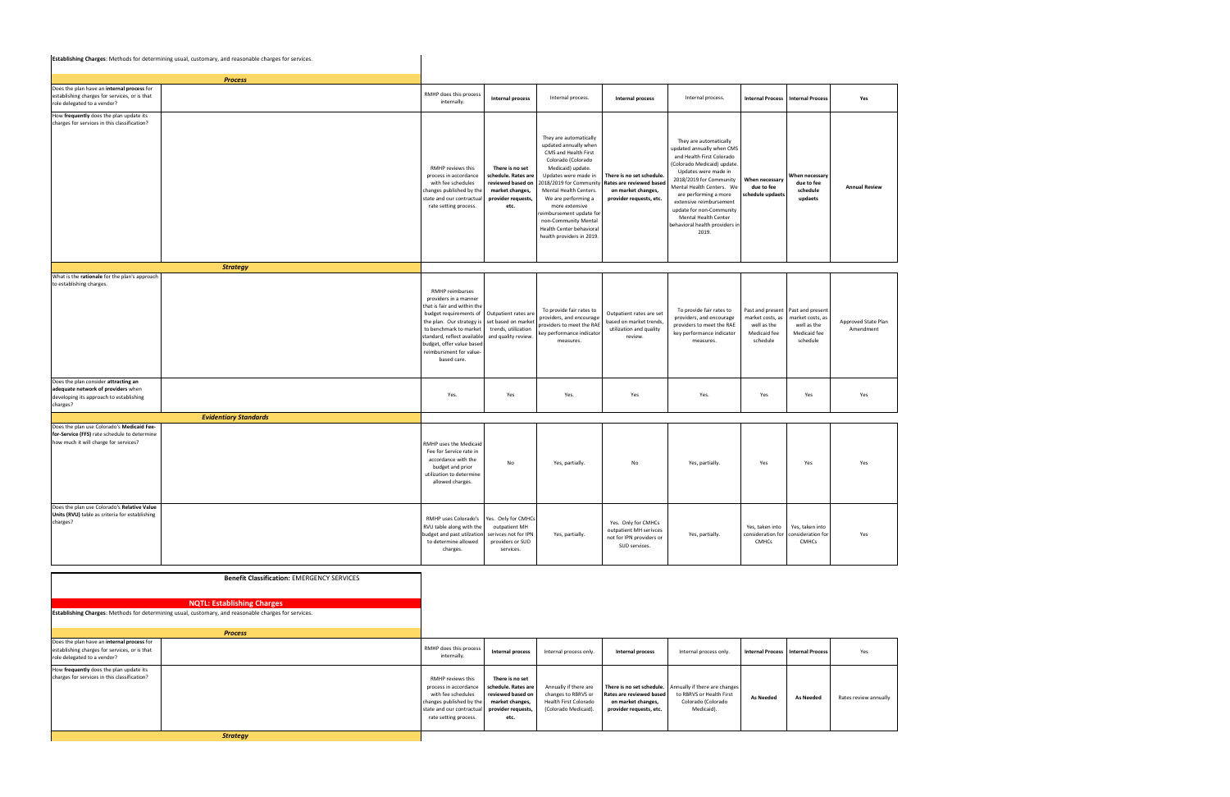|                                                                                                                                     | Establishing Charges: Methods for determining usual, customary, and reasonable charges for services. |                                                                                                                                                                                                                                                                |                                                                                                              |                                                                                                                                                                                                                                                                                                                                                     |                                                                                                        |                                                                                                                                                                                                                                                                                                                                                   |                                                                                 |                                                                                 |                                  |
|-------------------------------------------------------------------------------------------------------------------------------------|------------------------------------------------------------------------------------------------------|----------------------------------------------------------------------------------------------------------------------------------------------------------------------------------------------------------------------------------------------------------------|--------------------------------------------------------------------------------------------------------------|-----------------------------------------------------------------------------------------------------------------------------------------------------------------------------------------------------------------------------------------------------------------------------------------------------------------------------------------------------|--------------------------------------------------------------------------------------------------------|---------------------------------------------------------------------------------------------------------------------------------------------------------------------------------------------------------------------------------------------------------------------------------------------------------------------------------------------------|---------------------------------------------------------------------------------|---------------------------------------------------------------------------------|----------------------------------|
|                                                                                                                                     | <b>Process</b>                                                                                       |                                                                                                                                                                                                                                                                |                                                                                                              |                                                                                                                                                                                                                                                                                                                                                     |                                                                                                        |                                                                                                                                                                                                                                                                                                                                                   |                                                                                 |                                                                                 |                                  |
| Does the plan have an internal process for<br>establishing charges for services, or is that<br>role delegated to a vendor?          |                                                                                                      | RMHP does this process<br>internally.                                                                                                                                                                                                                          | Internal process                                                                                             | Internal process.                                                                                                                                                                                                                                                                                                                                   | Internal process                                                                                       | Internal process.                                                                                                                                                                                                                                                                                                                                 |                                                                                 | <b>Internal Process   Internal Process</b>                                      | Yes                              |
| How frequently does the plan update its<br>charges for services in this classification?                                             |                                                                                                      | RMHP reviews this<br>process in accordance<br>with fee schedules<br>changes published by th<br>state and our contractua<br>rate setting process.                                                                                                               | There is no set<br>schedule. Rates are<br>reviewed based on<br>market changes,<br>provider requests,<br>etc. | They are automatically<br>updated annually when<br>CMS and Health First<br>Colorado (Colorado<br>Medicaid) update.<br>Updates were made in<br>018/2019 for Community<br>Mental Health Centers.<br>We are performing a<br>more extensive<br>eimbursement update for<br>non-Community Mental<br>Health Center behavioral<br>health providers in 2019. | There is no set schedule.<br>Rates are reviewed based<br>on market changes,<br>provider requests, etc. | They are automatically<br>updated annually when CMS<br>and Health First Colorado<br>(Colorado Medicaid) update<br>Updates were made in<br>2018/2019 for Community<br>Mental Health Centers. We<br>are performing a more<br>extensive reimbursement<br>update for non-Community<br>Mental Health Center<br>behavioral health providers in<br>2019. | When necessary<br>due to fee<br>chedule updaets                                 | When necessary<br>due to fee<br>schedule<br>updaets                             | <b>Annual Review</b>             |
|                                                                                                                                     | <b>Strategy</b>                                                                                      |                                                                                                                                                                                                                                                                |                                                                                                              |                                                                                                                                                                                                                                                                                                                                                     |                                                                                                        |                                                                                                                                                                                                                                                                                                                                                   |                                                                                 |                                                                                 |                                  |
| What is the rationale for the plan's approach<br>to establishing charges.                                                           |                                                                                                      | RMHP reimburses<br>providers in a manner<br>that is fair and within the<br>budget requirements of<br>the plan. Our strategy is<br>to benchmark to market<br>standard, reflect available<br>budget, offer value based<br>reimbursment for value-<br>based care. | Outpatient rates are<br>set based on marke<br>trends, utilization<br>and quality review.                     | To provide fair rates to<br>providers, and encourage<br>providers to meet the RAE<br>ey performance indicator<br>measures.                                                                                                                                                                                                                          | Outpatient rates are set<br>based on market trends,<br>utilization and quality<br>review.              | To provide fair rates to<br>providers, and encourage<br>providers to meet the RAE<br>key performance indicator<br>measures.                                                                                                                                                                                                                       | Past and present<br>market costs, as<br>well as the<br>Medicaid fee<br>schedule | Past and present<br>market costs, as<br>well as the<br>Medicaid fee<br>schedule | Approved State Plan<br>Amendment |
| Does the plan consider attracting an<br>adequate network of providers when<br>developing its approach to establishing<br>charges?   |                                                                                                      | Yes.                                                                                                                                                                                                                                                           | Yes                                                                                                          | Yes.                                                                                                                                                                                                                                                                                                                                                | Yes                                                                                                    | Yes.                                                                                                                                                                                                                                                                                                                                              | Yes                                                                             | Yes                                                                             | Yes                              |
|                                                                                                                                     | <b>Evidentiary Standards</b>                                                                         |                                                                                                                                                                                                                                                                |                                                                                                              |                                                                                                                                                                                                                                                                                                                                                     |                                                                                                        |                                                                                                                                                                                                                                                                                                                                                   |                                                                                 |                                                                                 |                                  |
| Does the plan use Colorado's Medicaid Fee-<br>for-Service (FFS) rate schedule to determine<br>how much it will charge for services? |                                                                                                      | RMHP uses the Medicaid<br>Fee for Service rate in<br>accordance with the<br>budget and prior<br>utilization to determine<br>allowed charges.                                                                                                                   | No                                                                                                           | Yes, partially.                                                                                                                                                                                                                                                                                                                                     | No                                                                                                     | Yes, partially.                                                                                                                                                                                                                                                                                                                                   | Yes                                                                             | Yes                                                                             | Yes                              |
| Does the plan use Colorado's Relative Value<br>Units (RVU) table as criteria for establishing<br>charges?                           |                                                                                                      | RMHP uses Colorado's<br>RVU table along with the<br>budget and past utilzation<br>to determine allowed<br>charges.                                                                                                                                             | Yes. Only for CMHCs<br>outpatient MH<br>serivces not for IPN<br>providers or SUD<br>services.                | Yes, partially.                                                                                                                                                                                                                                                                                                                                     | Yes. Only for CMHCs<br>outpatient MH serivces<br>not for IPN providers or<br>SUD services.             | Yes, partially.                                                                                                                                                                                                                                                                                                                                   | Yes, taken into<br>consideration for<br>CMHCs                                   | Yes, taken into<br>consideration for<br><b>CMHCs</b>                            | Yes                              |
|                                                                                                                                     | <b>Benefit Classification: EMERGENCY SERVICES</b>                                                    |                                                                                                                                                                                                                                                                |                                                                                                              |                                                                                                                                                                                                                                                                                                                                                     |                                                                                                        |                                                                                                                                                                                                                                                                                                                                                   |                                                                                 |                                                                                 |                                  |

|                                                                                                                            | <b>NQTL: Establishing Charges</b><br>Establishing Charges: Methods for determining usual, customary, and reasonable charges for services. |                                                                                                                                                    |                                                                                                              |                                                                                               |                                                                           |                                                                                                                         |                  |                                     |                       |
|----------------------------------------------------------------------------------------------------------------------------|-------------------------------------------------------------------------------------------------------------------------------------------|----------------------------------------------------------------------------------------------------------------------------------------------------|--------------------------------------------------------------------------------------------------------------|-----------------------------------------------------------------------------------------------|---------------------------------------------------------------------------|-------------------------------------------------------------------------------------------------------------------------|------------------|-------------------------------------|-----------------------|
|                                                                                                                            |                                                                                                                                           |                                                                                                                                                    |                                                                                                              |                                                                                               |                                                                           |                                                                                                                         |                  |                                     |                       |
|                                                                                                                            | <b>Process</b>                                                                                                                            |                                                                                                                                                    |                                                                                                              |                                                                                               |                                                                           |                                                                                                                         |                  |                                     |                       |
| Does the plan have an internal process for<br>establishing charges for services, or is that<br>role delegated to a vendor? |                                                                                                                                           | RMHP does this process<br>internally.                                                                                                              | Internal process                                                                                             | Internal process only.                                                                        | Internal process                                                          | Internal process only.                                                                                                  |                  | Internal Process   Internal Process | Yes                   |
| How frequently does the plan update its<br>charges for services in this classification?                                    |                                                                                                                                           | RMHP reviews this<br>process in accordance<br>with fee schedules<br>changes published by the<br>state and our contractual<br>rate setting process. | There is no set<br>schedule. Rates are<br>reviewed based on<br>market changes,<br>provider requests,<br>etc. | Annually if there are<br>changes to RBRVS or<br>Health First Colorado<br>(Colorado Medicaid). | Rates are reviewed based<br>on market changes,<br>provider requests, etc. | There is no set schedule. Annually if there are changes<br>to RBRVS or Health First<br>Colorado (Colorado<br>Medicaid). | <b>As Needed</b> | <b>As Needed</b>                    | Rates review annually |
|                                                                                                                            | <b>Strategy</b>                                                                                                                           |                                                                                                                                                    |                                                                                                              |                                                                                               |                                                                           |                                                                                                                         |                  |                                     |                       |